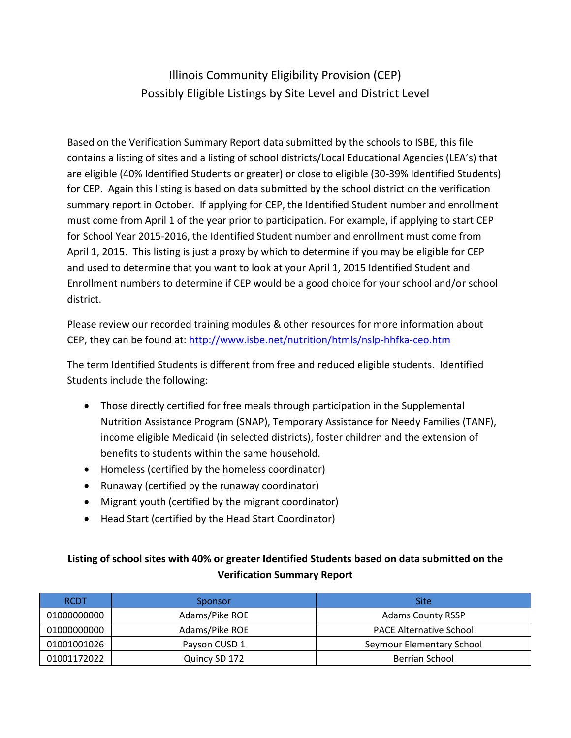# Illinois Community Eligibility Provision (CEP) Possibly Eligible Listings by Site Level and District Level

Based on the Verification Summary Report data submitted by the schools to ISBE, this file contains a listing of sites and a listing of school districts/Local Educational Agencies (LEA's) that are eligible (40% Identified Students or greater) or close to eligible (30-39% Identified Students) for CEP. Again this listing is based on data submitted by the school district on the verification summary report in October. If applying for CEP, the Identified Student number and enrollment must come from April 1 of the year prior to participation. For example, if applying to start CEP for School Year 2015-2016, the Identified Student number and enrollment must come from April 1, 2015. This listing is just a proxy by which to determine if you may be eligible for CEP and used to determine that you want to look at your April 1, 2015 Identified Student and Enrollment numbers to determine if CEP would be a good choice for your school and/or school district.

Please review our recorded training modules & other resources for more information about CEP, they can be found at[: http://www.isbe.net/nutrition/htmls/nslp-hhfka-ceo.htm](http://www.isbe.net/nutrition/htmls/nslp-hhfka-ceo.htm)

The term Identified Students is different from free and reduced eligible students. Identified Students include the following:

- Those directly certified for free meals through participation in the Supplemental Nutrition Assistance Program (SNAP), Temporary Assistance for Needy Families (TANF), income eligible Medicaid (in selected districts), foster children and the extension of benefits to students within the same household.
- Homeless (certified by the homeless coordinator)
- Runaway (certified by the runaway coordinator)
- Migrant youth (certified by the migrant coordinator)
- Head Start (certified by the Head Start Coordinator)

#### **Listing of school sites with 40% or greater Identified Students based on data submitted on the Verification Summary Report**

| <b>RCDT</b> | Sponsor        | Site                           |
|-------------|----------------|--------------------------------|
| 01000000000 | Adams/Pike ROE | <b>Adams County RSSP</b>       |
| 01000000000 | Adams/Pike ROE | <b>PACE Alternative School</b> |
| 01001001026 | Payson CUSD 1  | Seymour Elementary School      |
| 01001172022 | Quincy SD 172  | Berrian School                 |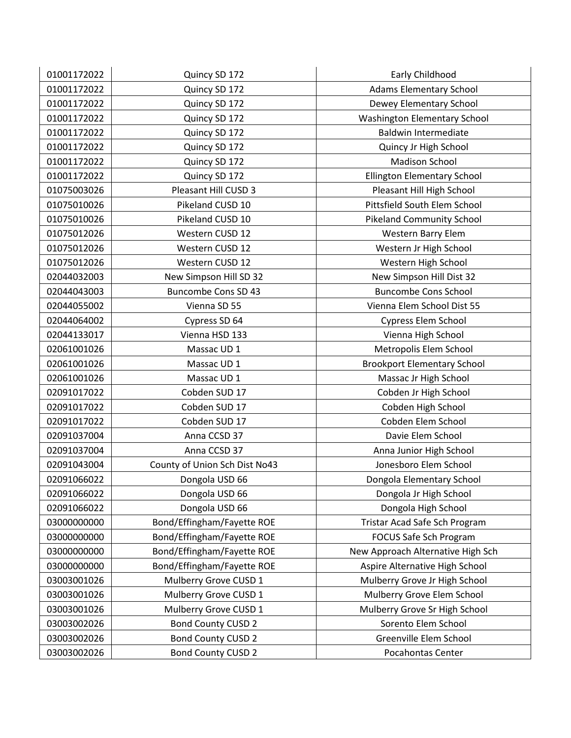| 01001172022 | Quincy SD 172                 | Early Childhood                    |
|-------------|-------------------------------|------------------------------------|
| 01001172022 | Quincy SD 172                 | <b>Adams Elementary School</b>     |
| 01001172022 | Quincy SD 172                 | Dewey Elementary School            |
| 01001172022 | Quincy SD 172                 | Washington Elementary School       |
| 01001172022 | Quincy SD 172                 | <b>Baldwin Intermediate</b>        |
| 01001172022 | Quincy SD 172                 | Quincy Jr High School              |
| 01001172022 | Quincy SD 172                 | <b>Madison School</b>              |
| 01001172022 | Quincy SD 172                 | <b>Ellington Elementary School</b> |
| 01075003026 | Pleasant Hill CUSD 3          | Pleasant Hill High School          |
| 01075010026 | Pikeland CUSD 10              | Pittsfield South Elem School       |
| 01075010026 | Pikeland CUSD 10              | <b>Pikeland Community School</b>   |
| 01075012026 | Western CUSD 12               | Western Barry Elem                 |
| 01075012026 | Western CUSD 12               | Western Jr High School             |
| 01075012026 | Western CUSD 12               | Western High School                |
| 02044032003 | New Simpson Hill SD 32        | New Simpson Hill Dist 32           |
| 02044043003 | <b>Buncombe Cons SD 43</b>    | <b>Buncombe Cons School</b>        |
| 02044055002 | Vienna SD 55                  | Vienna Elem School Dist 55         |
| 02044064002 | Cypress SD 64                 | Cypress Elem School                |
| 02044133017 | Vienna HSD 133                | Vienna High School                 |
| 02061001026 | Massac UD 1                   | Metropolis Elem School             |
| 02061001026 | Massac UD 1                   | <b>Brookport Elementary School</b> |
| 02061001026 | Massac UD 1                   | Massac Jr High School              |
| 02091017022 | Cobden SUD 17                 | Cobden Jr High School              |
| 02091017022 | Cobden SUD 17                 | Cobden High School                 |
| 02091017022 | Cobden SUD 17                 | Cobden Elem School                 |
| 02091037004 | Anna CCSD 37                  | Davie Elem School                  |
| 02091037004 | Anna CCSD 37                  | Anna Junior High School            |
| 02091043004 | County of Union Sch Dist No43 | Jonesboro Elem School              |
| 02091066022 | Dongola USD 66                | Dongola Elementary School          |
| 02091066022 | Dongola USD 66                | Dongola Jr High School             |
| 02091066022 | Dongola USD 66                | Dongola High School                |
| 03000000000 | Bond/Effingham/Fayette ROE    | Tristar Acad Safe Sch Program      |
| 03000000000 | Bond/Effingham/Fayette ROE    | FOCUS Safe Sch Program             |
| 03000000000 | Bond/Effingham/Fayette ROE    | New Approach Alternative High Sch  |
| 03000000000 | Bond/Effingham/Fayette ROE    | Aspire Alternative High School     |
| 03003001026 | Mulberry Grove CUSD 1         | Mulberry Grove Jr High School      |
| 03003001026 | Mulberry Grove CUSD 1         | Mulberry Grove Elem School         |
| 03003001026 | Mulberry Grove CUSD 1         | Mulberry Grove Sr High School      |
| 03003002026 | <b>Bond County CUSD 2</b>     | Sorento Elem School                |
| 03003002026 | <b>Bond County CUSD 2</b>     | Greenville Elem School             |
| 03003002026 | <b>Bond County CUSD 2</b>     | Pocahontas Center                  |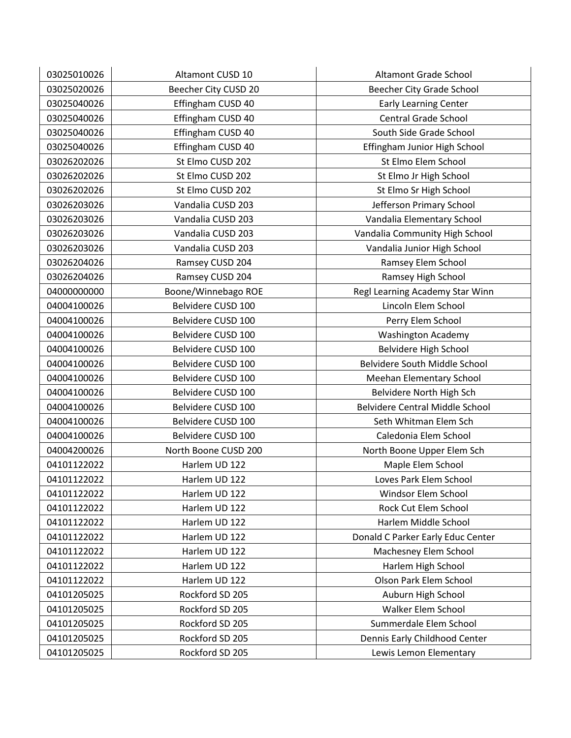| 03025010026 | Altamont CUSD 10     | <b>Altamont Grade School</b>           |
|-------------|----------------------|----------------------------------------|
| 03025020026 | Beecher City CUSD 20 | <b>Beecher City Grade School</b>       |
| 03025040026 | Effingham CUSD 40    | <b>Early Learning Center</b>           |
| 03025040026 | Effingham CUSD 40    | Central Grade School                   |
| 03025040026 | Effingham CUSD 40    | South Side Grade School                |
| 03025040026 | Effingham CUSD 40    | Effingham Junior High School           |
| 03026202026 | St Elmo CUSD 202     | St Elmo Elem School                    |
| 03026202026 | St Elmo CUSD 202     | St Elmo Jr High School                 |
| 03026202026 | St Elmo CUSD 202     | St Elmo Sr High School                 |
| 03026203026 | Vandalia CUSD 203    | Jefferson Primary School               |
| 03026203026 | Vandalia CUSD 203    | Vandalia Elementary School             |
| 03026203026 | Vandalia CUSD 203    | Vandalia Community High School         |
| 03026203026 | Vandalia CUSD 203    | Vandalia Junior High School            |
| 03026204026 | Ramsey CUSD 204      | Ramsey Elem School                     |
| 03026204026 | Ramsey CUSD 204      | Ramsey High School                     |
| 04000000000 | Boone/Winnebago ROE  | Regl Learning Academy Star Winn        |
| 04004100026 | Belvidere CUSD 100   | Lincoln Elem School                    |
| 04004100026 | Belvidere CUSD 100   | Perry Elem School                      |
| 04004100026 | Belvidere CUSD 100   | <b>Washington Academy</b>              |
| 04004100026 | Belvidere CUSD 100   | Belvidere High School                  |
| 04004100026 | Belvidere CUSD 100   | Belvidere South Middle School          |
| 04004100026 | Belvidere CUSD 100   | Meehan Elementary School               |
| 04004100026 | Belvidere CUSD 100   | Belvidere North High Sch               |
| 04004100026 | Belvidere CUSD 100   | <b>Belvidere Central Middle School</b> |
| 04004100026 | Belvidere CUSD 100   | Seth Whitman Elem Sch                  |
| 04004100026 | Belvidere CUSD 100   | Caledonia Elem School                  |
| 04004200026 | North Boone CUSD 200 | North Boone Upper Elem Sch             |
| 04101122022 | Harlem UD 122        | Maple Elem School                      |
| 04101122022 | Harlem UD 122        | Loves Park Elem School                 |
| 04101122022 | Harlem UD 122        | Windsor Elem School                    |
| 04101122022 | Harlem UD 122        | Rock Cut Elem School                   |
| 04101122022 | Harlem UD 122        | Harlem Middle School                   |
| 04101122022 | Harlem UD 122        | Donald C Parker Early Educ Center      |
| 04101122022 | Harlem UD 122        | Machesney Elem School                  |
| 04101122022 | Harlem UD 122        | Harlem High School                     |
| 04101122022 | Harlem UD 122        | Olson Park Elem School                 |
| 04101205025 | Rockford SD 205      | Auburn High School                     |
| 04101205025 | Rockford SD 205      | Walker Elem School                     |
| 04101205025 | Rockford SD 205      | Summerdale Elem School                 |
| 04101205025 | Rockford SD 205      | Dennis Early Childhood Center          |
| 04101205025 | Rockford SD 205      | Lewis Lemon Elementary                 |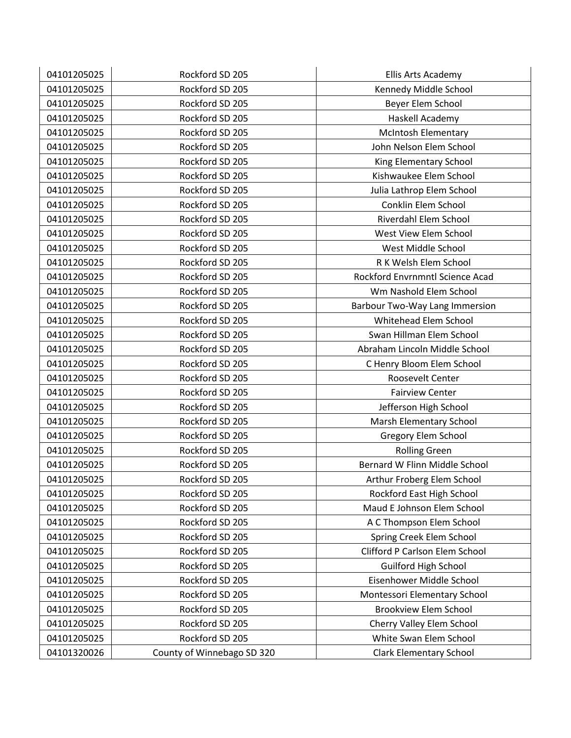| 04101205025 | Rockford SD 205            | Ellis Arts Academy              |
|-------------|----------------------------|---------------------------------|
| 04101205025 | Rockford SD 205            | Kennedy Middle School           |
| 04101205025 | Rockford SD 205            | Beyer Elem School               |
| 04101205025 | Rockford SD 205            | Haskell Academy                 |
| 04101205025 | Rockford SD 205            | <b>McIntosh Elementary</b>      |
| 04101205025 | Rockford SD 205            | John Nelson Elem School         |
| 04101205025 | Rockford SD 205            | King Elementary School          |
| 04101205025 | Rockford SD 205            | Kishwaukee Elem School          |
| 04101205025 | Rockford SD 205            | Julia Lathrop Elem School       |
| 04101205025 | Rockford SD 205            | Conklin Elem School             |
| 04101205025 | Rockford SD 205            | Riverdahl Elem School           |
| 04101205025 | Rockford SD 205            | West View Elem School           |
| 04101205025 | Rockford SD 205            | West Middle School              |
| 04101205025 | Rockford SD 205            | R K Welsh Elem School           |
| 04101205025 | Rockford SD 205            | Rockford Envrnmntl Science Acad |
| 04101205025 | Rockford SD 205            | Wm Nashold Elem School          |
| 04101205025 | Rockford SD 205            | Barbour Two-Way Lang Immersion  |
| 04101205025 | Rockford SD 205            | Whitehead Elem School           |
| 04101205025 | Rockford SD 205            | Swan Hillman Elem School        |
| 04101205025 | Rockford SD 205            | Abraham Lincoln Middle School   |
| 04101205025 | Rockford SD 205            | C Henry Bloom Elem School       |
| 04101205025 | Rockford SD 205            | Roosevelt Center                |
| 04101205025 | Rockford SD 205            | <b>Fairview Center</b>          |
| 04101205025 | Rockford SD 205            | Jefferson High School           |
| 04101205025 | Rockford SD 205            | Marsh Elementary School         |
| 04101205025 | Rockford SD 205            | Gregory Elem School             |
| 04101205025 | Rockford SD 205            | <b>Rolling Green</b>            |
| 04101205025 | Rockford SD 205            | Bernard W Flinn Middle School   |
| 04101205025 | Rockford SD 205            | Arthur Froberg Elem School      |
| 04101205025 | Rockford SD 205            | Rockford East High School       |
| 04101205025 | Rockford SD 205            | Maud E Johnson Elem School      |
| 04101205025 | Rockford SD 205            | A C Thompson Elem School        |
| 04101205025 | Rockford SD 205            | Spring Creek Elem School        |
| 04101205025 | Rockford SD 205            | Clifford P Carlson Elem School  |
| 04101205025 | Rockford SD 205            | Guilford High School            |
| 04101205025 | Rockford SD 205            | Eisenhower Middle School        |
| 04101205025 | Rockford SD 205            | Montessori Elementary School    |
| 04101205025 | Rockford SD 205            | <b>Brookview Elem School</b>    |
| 04101205025 | Rockford SD 205            | Cherry Valley Elem School       |
| 04101205025 | Rockford SD 205            | White Swan Elem School          |
| 04101320026 | County of Winnebago SD 320 | <b>Clark Elementary School</b>  |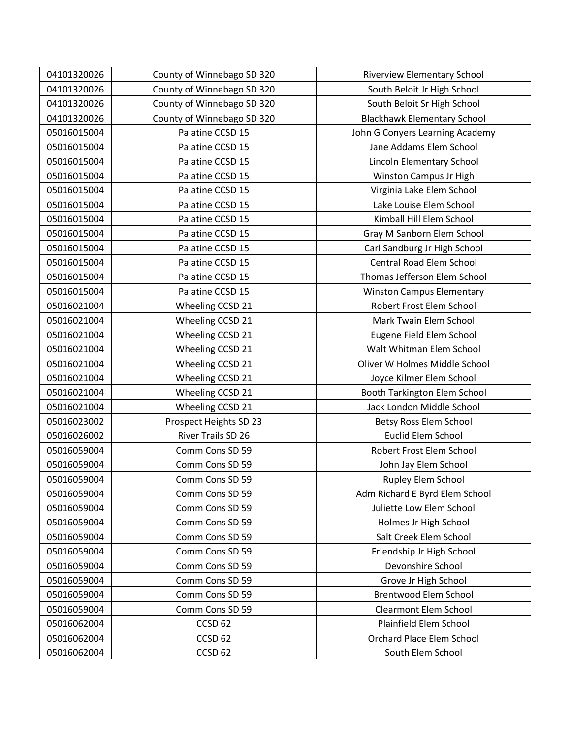| 04101320026 | County of Winnebago SD 320 | Riverview Elementary School        |
|-------------|----------------------------|------------------------------------|
| 04101320026 | County of Winnebago SD 320 | South Beloit Jr High School        |
| 04101320026 | County of Winnebago SD 320 | South Beloit Sr High School        |
| 04101320026 | County of Winnebago SD 320 | <b>Blackhawk Elementary School</b> |
| 05016015004 | Palatine CCSD 15           | John G Conyers Learning Academy    |
| 05016015004 | Palatine CCSD 15           | Jane Addams Elem School            |
| 05016015004 | Palatine CCSD 15           | Lincoln Elementary School          |
| 05016015004 | Palatine CCSD 15           | Winston Campus Jr High             |
| 05016015004 | Palatine CCSD 15           | Virginia Lake Elem School          |
| 05016015004 | Palatine CCSD 15           | Lake Louise Elem School            |
| 05016015004 | Palatine CCSD 15           | Kimball Hill Elem School           |
| 05016015004 | Palatine CCSD 15           | Gray M Sanborn Elem School         |
| 05016015004 | Palatine CCSD 15           | Carl Sandburg Jr High School       |
| 05016015004 | Palatine CCSD 15           | Central Road Elem School           |
| 05016015004 | Palatine CCSD 15           | Thomas Jefferson Elem School       |
| 05016015004 | Palatine CCSD 15           | <b>Winston Campus Elementary</b>   |
| 05016021004 | Wheeling CCSD 21           | Robert Frost Elem School           |
| 05016021004 | Wheeling CCSD 21           | Mark Twain Elem School             |
| 05016021004 | Wheeling CCSD 21           | Eugene Field Elem School           |
| 05016021004 | Wheeling CCSD 21           | Walt Whitman Elem School           |
| 05016021004 | Wheeling CCSD 21           | Oliver W Holmes Middle School      |
| 05016021004 | Wheeling CCSD 21           | Joyce Kilmer Elem School           |
| 05016021004 | Wheeling CCSD 21           | Booth Tarkington Elem School       |
| 05016021004 | Wheeling CCSD 21           | Jack London Middle School          |
| 05016023002 | Prospect Heights SD 23     | Betsy Ross Elem School             |
| 05016026002 | River Trails SD 26         | Euclid Elem School                 |
| 05016059004 | Comm Cons SD 59            | Robert Frost Elem School           |
| 05016059004 | Comm Cons SD 59            | John Jay Elem School               |
| 05016059004 | Comm Cons SD 59            | Rupley Elem School                 |
| 05016059004 | Comm Cons SD 59            | Adm Richard E Byrd Elem School     |
| 05016059004 | Comm Cons SD 59            | Juliette Low Elem School           |
| 05016059004 | Comm Cons SD 59            | Holmes Jr High School              |
| 05016059004 | Comm Cons SD 59            | Salt Creek Elem School             |
| 05016059004 | Comm Cons SD 59            | Friendship Jr High School          |
| 05016059004 | Comm Cons SD 59            | Devonshire School                  |
| 05016059004 | Comm Cons SD 59            | Grove Jr High School               |
| 05016059004 | Comm Cons SD 59            | <b>Brentwood Elem School</b>       |
| 05016059004 | Comm Cons SD 59            | <b>Clearmont Elem School</b>       |
| 05016062004 | CCSD <sub>62</sub>         | Plainfield Elem School             |
| 05016062004 | CCSD <sub>62</sub>         | Orchard Place Elem School          |
| 05016062004 | CCSD <sub>62</sub>         | South Elem School                  |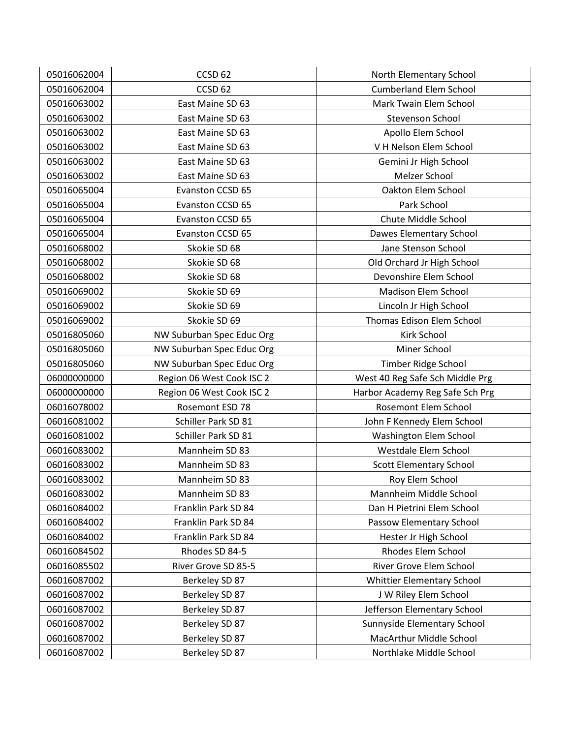| 05016062004 | CCSD <sub>62</sub>        | North Elementary School         |
|-------------|---------------------------|---------------------------------|
| 05016062004 | CCSD <sub>62</sub>        | <b>Cumberland Elem School</b>   |
| 05016063002 | East Maine SD 63          | Mark Twain Elem School          |
| 05016063002 | East Maine SD 63          | <b>Stevenson School</b>         |
| 05016063002 | East Maine SD 63          | Apollo Elem School              |
| 05016063002 | East Maine SD 63          | V H Nelson Elem School          |
| 05016063002 | East Maine SD 63          | Gemini Jr High School           |
| 05016063002 | East Maine SD 63          | Melzer School                   |
| 05016065004 | Evanston CCSD 65          | Oakton Elem School              |
| 05016065004 | Evanston CCSD 65          | Park School                     |
| 05016065004 | Evanston CCSD 65          | Chute Middle School             |
| 05016065004 | Evanston CCSD 65          | Dawes Elementary School         |
| 05016068002 | Skokie SD 68              | Jane Stenson School             |
| 05016068002 | Skokie SD 68              | Old Orchard Jr High School      |
| 05016068002 | Skokie SD 68              | Devonshire Elem School          |
| 05016069002 | Skokie SD 69              | Madison Elem School             |
| 05016069002 | Skokie SD 69              | Lincoln Jr High School          |
| 05016069002 | Skokie SD 69              | Thomas Edison Elem School       |
| 05016805060 | NW Suburban Spec Educ Org | Kirk School                     |
| 05016805060 | NW Suburban Spec Educ Org | Miner School                    |
| 05016805060 | NW Suburban Spec Educ Org | Timber Ridge School             |
| 06000000000 | Region 06 West Cook ISC 2 | West 40 Reg Safe Sch Middle Prg |
| 06000000000 | Region 06 West Cook ISC 2 | Harbor Academy Reg Safe Sch Prg |
| 06016078002 | Rosemont ESD 78           | Rosemont Elem School            |
| 06016081002 | Schiller Park SD 81       | John F Kennedy Elem School      |
| 06016081002 | Schiller Park SD 81       | Washington Elem School          |
| 06016083002 | Mannheim SD 83            | Westdale Elem School            |
| 06016083002 | Mannheim SD 83            | <b>Scott Elementary School</b>  |
| 06016083002 | Mannheim SD 83            | Roy Elem School                 |
| 06016083002 | Mannheim SD 83            | Mannheim Middle School          |
| 06016084002 | Franklin Park SD 84       | Dan H Pietrini Elem School      |
| 06016084002 | Franklin Park SD 84       | Passow Elementary School        |
| 06016084002 | Franklin Park SD 84       | Hester Jr High School           |
| 06016084502 | Rhodes SD 84-5            | <b>Rhodes Elem School</b>       |
| 06016085502 | River Grove SD 85-5       | River Grove Elem School         |
| 06016087002 | Berkeley SD 87            | Whittier Elementary School      |
| 06016087002 | Berkeley SD 87            | J W Riley Elem School           |
| 06016087002 | Berkeley SD 87            | Jefferson Elementary School     |
| 06016087002 | Berkeley SD 87            | Sunnyside Elementary School     |
| 06016087002 | Berkeley SD 87            | MacArthur Middle School         |
| 06016087002 | Berkeley SD 87            | Northlake Middle School         |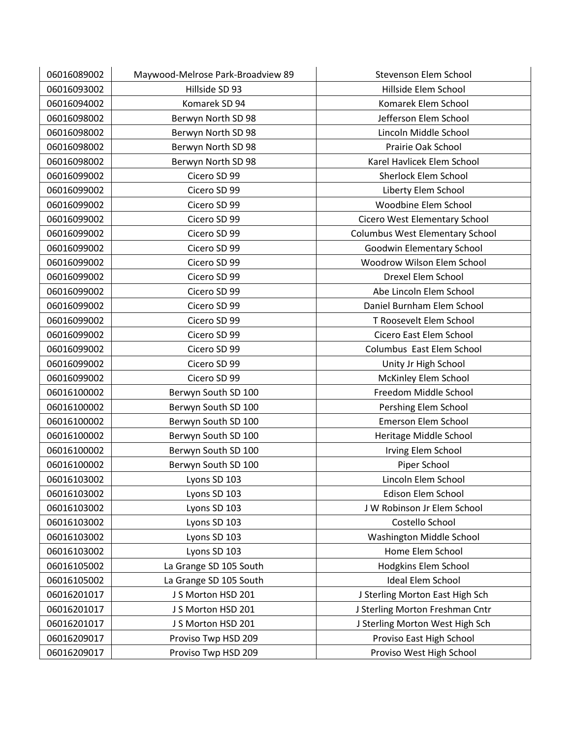| 06016089002 | Maywood-Melrose Park-Broadview 89 | Stevenson Elem School                  |
|-------------|-----------------------------------|----------------------------------------|
| 06016093002 | Hillside SD 93                    | Hillside Elem School                   |
| 06016094002 | Komarek SD 94                     | Komarek Elem School                    |
| 06016098002 | Berwyn North SD 98                | Jefferson Elem School                  |
| 06016098002 | Berwyn North SD 98                | Lincoln Middle School                  |
| 06016098002 | Berwyn North SD 98                | Prairie Oak School                     |
| 06016098002 | Berwyn North SD 98                | Karel Havlicek Elem School             |
| 06016099002 | Cicero SD 99                      | Sherlock Elem School                   |
| 06016099002 | Cicero SD 99                      | Liberty Elem School                    |
| 06016099002 | Cicero SD 99                      | Woodbine Elem School                   |
| 06016099002 | Cicero SD 99                      | Cicero West Elementary School          |
| 06016099002 | Cicero SD 99                      | <b>Columbus West Elementary School</b> |
| 06016099002 | Cicero SD 99                      | Goodwin Elementary School              |
| 06016099002 | Cicero SD 99                      | Woodrow Wilson Elem School             |
| 06016099002 | Cicero SD 99                      | Drexel Elem School                     |
| 06016099002 | Cicero SD 99                      | Abe Lincoln Elem School                |
| 06016099002 | Cicero SD 99                      | Daniel Burnham Elem School             |
| 06016099002 | Cicero SD 99                      | T Roosevelt Elem School                |
| 06016099002 | Cicero SD 99                      | Cicero East Elem School                |
| 06016099002 | Cicero SD 99                      | Columbus East Elem School              |
| 06016099002 | Cicero SD 99                      | Unity Jr High School                   |
| 06016099002 | Cicero SD 99                      | McKinley Elem School                   |
| 06016100002 | Berwyn South SD 100               | Freedom Middle School                  |
| 06016100002 | Berwyn South SD 100               | Pershing Elem School                   |
| 06016100002 | Berwyn South SD 100               | Emerson Elem School                    |
| 06016100002 | Berwyn South SD 100               | Heritage Middle School                 |
| 06016100002 | Berwyn South SD 100               | Irving Elem School                     |
| 06016100002 | Berwyn South SD 100               | Piper School                           |
| 06016103002 | Lyons SD 103                      | Lincoln Elem School                    |
| 06016103002 | Lyons SD 103                      | <b>Edison Elem School</b>              |
| 06016103002 | Lyons SD 103                      | J W Robinson Jr Elem School            |
| 06016103002 | Lyons SD 103                      | Costello School                        |
| 06016103002 | Lyons SD 103                      | Washington Middle School               |
| 06016103002 | Lyons SD 103                      | Home Elem School                       |
| 06016105002 | La Grange SD 105 South            | Hodgkins Elem School                   |
| 06016105002 | La Grange SD 105 South            | <b>Ideal Elem School</b>               |
| 06016201017 | J S Morton HSD 201                | J Sterling Morton East High Sch        |
| 06016201017 | J S Morton HSD 201                | J Sterling Morton Freshman Cntr        |
| 06016201017 | J S Morton HSD 201                | J Sterling Morton West High Sch        |
| 06016209017 | Proviso Twp HSD 209               | Proviso East High School               |
| 06016209017 | Proviso Twp HSD 209               | Proviso West High School               |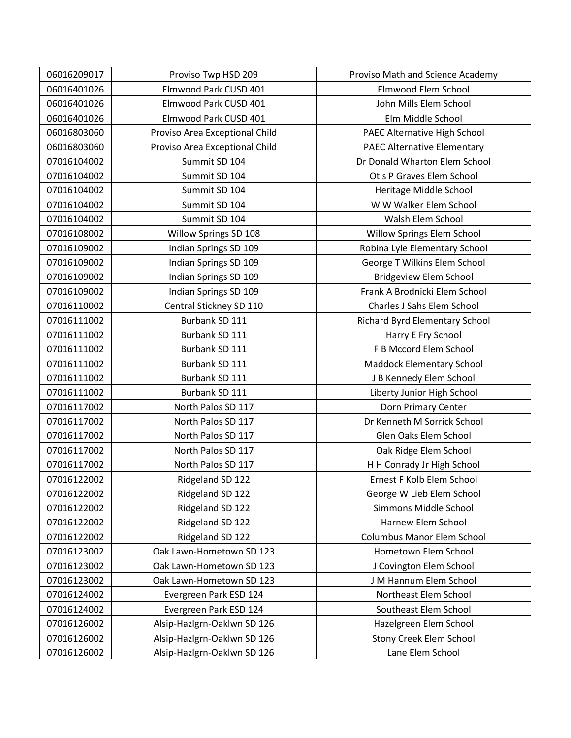| 06016209017 | Proviso Twp HSD 209            | Proviso Math and Science Academy   |
|-------------|--------------------------------|------------------------------------|
| 06016401026 | Elmwood Park CUSD 401          | Elmwood Elem School                |
| 06016401026 | Elmwood Park CUSD 401          | John Mills Elem School             |
| 06016401026 | Elmwood Park CUSD 401          | Elm Middle School                  |
| 06016803060 | Proviso Area Exceptional Child | PAEC Alternative High School       |
| 06016803060 | Proviso Area Exceptional Child | <b>PAEC Alternative Elementary</b> |
| 07016104002 | Summit SD 104                  | Dr Donald Wharton Elem School      |
| 07016104002 | Summit SD 104                  | Otis P Graves Elem School          |
| 07016104002 | Summit SD 104                  | Heritage Middle School             |
| 07016104002 | Summit SD 104                  | W W Walker Elem School             |
| 07016104002 | Summit SD 104                  | Walsh Elem School                  |
| 07016108002 | Willow Springs SD 108          | Willow Springs Elem School         |
| 07016109002 | Indian Springs SD 109          | Robina Lyle Elementary School      |
| 07016109002 | Indian Springs SD 109          | George T Wilkins Elem School       |
| 07016109002 | Indian Springs SD 109          | <b>Bridgeview Elem School</b>      |
| 07016109002 | Indian Springs SD 109          | Frank A Brodnicki Elem School      |
| 07016110002 | Central Stickney SD 110        | Charles J Sahs Elem School         |
| 07016111002 | Burbank SD 111                 | Richard Byrd Elementary School     |
| 07016111002 | Burbank SD 111                 | Harry E Fry School                 |
| 07016111002 | Burbank SD 111                 | F B Mccord Elem School             |
| 07016111002 | Burbank SD 111                 | <b>Maddock Elementary School</b>   |
| 07016111002 | Burbank SD 111                 | J B Kennedy Elem School            |
| 07016111002 | Burbank SD 111                 | Liberty Junior High School         |
| 07016117002 | North Palos SD 117             | Dorn Primary Center                |
| 07016117002 | North Palos SD 117             | Dr Kenneth M Sorrick School        |
| 07016117002 | North Palos SD 117             | Glen Oaks Elem School              |
| 07016117002 | North Palos SD 117             | Oak Ridge Elem School              |
| 07016117002 | North Palos SD 117             | H H Conrady Jr High School         |
| 07016122002 | Ridgeland SD 122               | Ernest F Kolb Elem School          |
| 07016122002 | Ridgeland SD 122               | George W Lieb Elem School          |
| 07016122002 | Ridgeland SD 122               | Simmons Middle School              |
| 07016122002 | Ridgeland SD 122               | Harnew Elem School                 |
| 07016122002 | Ridgeland SD 122               | Columbus Manor Elem School         |
| 07016123002 | Oak Lawn-Hometown SD 123       | Hometown Elem School               |
| 07016123002 | Oak Lawn-Hometown SD 123       | J Covington Elem School            |
| 07016123002 | Oak Lawn-Hometown SD 123       | J M Hannum Elem School             |
| 07016124002 | Evergreen Park ESD 124         | Northeast Elem School              |
| 07016124002 | Evergreen Park ESD 124         | Southeast Elem School              |
| 07016126002 | Alsip-Hazlgrn-Oaklwn SD 126    | Hazelgreen Elem School             |
| 07016126002 | Alsip-Hazlgrn-Oaklwn SD 126    | Stony Creek Elem School            |
| 07016126002 | Alsip-Hazlgrn-Oaklwn SD 126    | Lane Elem School                   |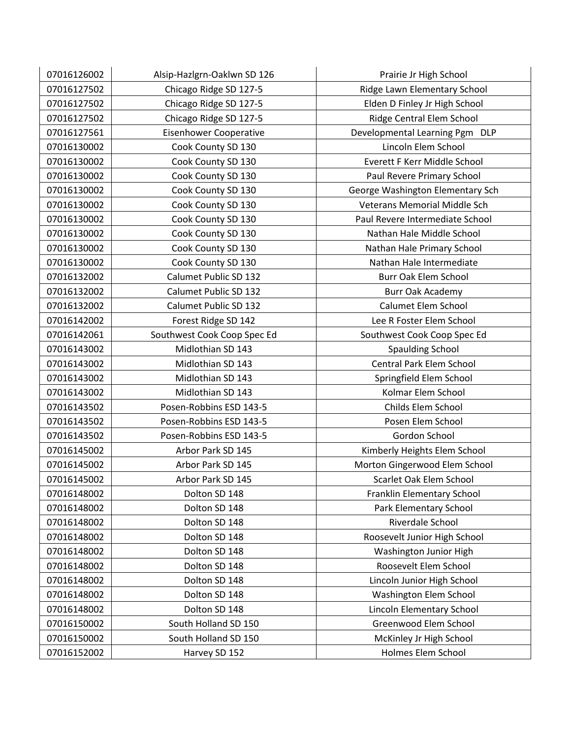| 07016126002 | Alsip-Hazlgrn-Oaklwn SD 126   | Prairie Jr High School           |
|-------------|-------------------------------|----------------------------------|
| 07016127502 | Chicago Ridge SD 127-5        | Ridge Lawn Elementary School     |
| 07016127502 | Chicago Ridge SD 127-5        | Elden D Finley Jr High School    |
| 07016127502 | Chicago Ridge SD 127-5        | Ridge Central Elem School        |
| 07016127561 | <b>Eisenhower Cooperative</b> | Developmental Learning Pgm DLP   |
| 07016130002 | Cook County SD 130            | Lincoln Elem School              |
| 07016130002 | Cook County SD 130            | Everett F Kerr Middle School     |
| 07016130002 | Cook County SD 130            | Paul Revere Primary School       |
| 07016130002 | Cook County SD 130            | George Washington Elementary Sch |
| 07016130002 | Cook County SD 130            | Veterans Memorial Middle Sch     |
| 07016130002 | Cook County SD 130            | Paul Revere Intermediate School  |
| 07016130002 | Cook County SD 130            | Nathan Hale Middle School        |
| 07016130002 | Cook County SD 130            | Nathan Hale Primary School       |
| 07016130002 | Cook County SD 130            | Nathan Hale Intermediate         |
| 07016132002 | Calumet Public SD 132         | <b>Burr Oak Elem School</b>      |
| 07016132002 | Calumet Public SD 132         | <b>Burr Oak Academy</b>          |
| 07016132002 | Calumet Public SD 132         | <b>Calumet Elem School</b>       |
| 07016142002 | Forest Ridge SD 142           | Lee R Foster Elem School         |
| 07016142061 | Southwest Cook Coop Spec Ed   | Southwest Cook Coop Spec Ed      |
| 07016143002 | Midlothian SD 143             | <b>Spaulding School</b>          |
| 07016143002 | Midlothian SD 143             | <b>Central Park Elem School</b>  |
| 07016143002 | Midlothian SD 143             | Springfield Elem School          |
| 07016143002 | Midlothian SD 143             | Kolmar Elem School               |
| 07016143502 | Posen-Robbins ESD 143-5       | Childs Elem School               |
| 07016143502 | Posen-Robbins ESD 143-5       | Posen Elem School                |
| 07016143502 | Posen-Robbins ESD 143-5       | Gordon School                    |
| 07016145002 | Arbor Park SD 145             | Kimberly Heights Elem School     |
| 07016145002 | Arbor Park SD 145             | Morton Gingerwood Elem School    |
| 07016145002 | Arbor Park SD 145             | Scarlet Oak Elem School          |
| 07016148002 | Dolton SD 148                 | Franklin Elementary School       |
| 07016148002 | Dolton SD 148                 | Park Elementary School           |
| 07016148002 | Dolton SD 148                 | Riverdale School                 |
| 07016148002 | Dolton SD 148                 | Roosevelt Junior High School     |
| 07016148002 | Dolton SD 148                 | Washington Junior High           |
| 07016148002 | Dolton SD 148                 | Roosevelt Elem School            |
| 07016148002 | Dolton SD 148                 | Lincoln Junior High School       |
| 07016148002 | Dolton SD 148                 | Washington Elem School           |
| 07016148002 | Dolton SD 148                 | Lincoln Elementary School        |
| 07016150002 | South Holland SD 150          | Greenwood Elem School            |
| 07016150002 | South Holland SD 150          | McKinley Jr High School          |
| 07016152002 | Harvey SD 152                 | Holmes Elem School               |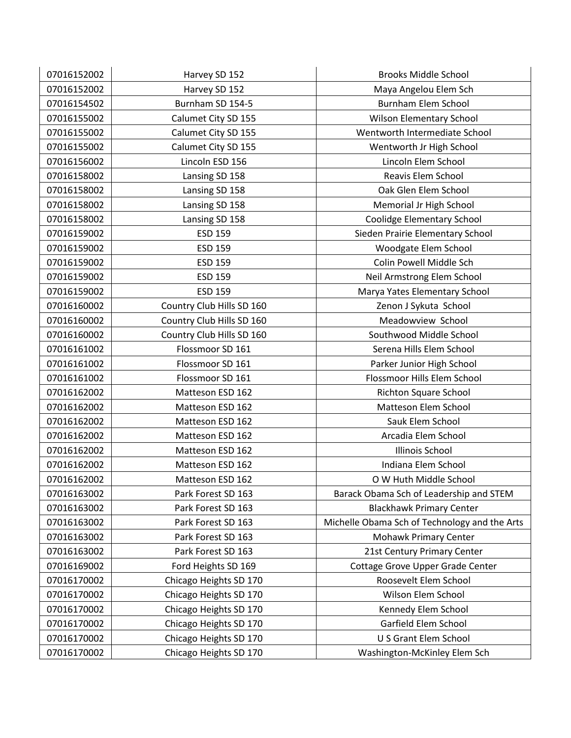| 07016152002 | Harvey SD 152             | <b>Brooks Middle School</b>                   |
|-------------|---------------------------|-----------------------------------------------|
| 07016152002 | Harvey SD 152             | Maya Angelou Elem Sch                         |
| 07016154502 | Burnham SD 154-5          | <b>Burnham Elem School</b>                    |
| 07016155002 | Calumet City SD 155       | Wilson Elementary School                      |
| 07016155002 | Calumet City SD 155       | Wentworth Intermediate School                 |
| 07016155002 | Calumet City SD 155       | Wentworth Jr High School                      |
| 07016156002 | Lincoln ESD 156           | Lincoln Elem School                           |
| 07016158002 | Lansing SD 158            | Reavis Elem School                            |
| 07016158002 | Lansing SD 158            | Oak Glen Elem School                          |
| 07016158002 | Lansing SD 158            | Memorial Jr High School                       |
| 07016158002 | Lansing SD 158            | Coolidge Elementary School                    |
| 07016159002 | <b>ESD 159</b>            | Sieden Prairie Elementary School              |
| 07016159002 | ESD 159                   | Woodgate Elem School                          |
| 07016159002 | <b>ESD 159</b>            | Colin Powell Middle Sch                       |
| 07016159002 | <b>ESD 159</b>            | Neil Armstrong Elem School                    |
| 07016159002 | <b>ESD 159</b>            | Marya Yates Elementary School                 |
| 07016160002 | Country Club Hills SD 160 | Zenon J Sykuta School                         |
| 07016160002 | Country Club Hills SD 160 | Meadowview School                             |
| 07016160002 | Country Club Hills SD 160 | Southwood Middle School                       |
| 07016161002 | Flossmoor SD 161          | Serena Hills Elem School                      |
| 07016161002 | Flossmoor SD 161          | Parker Junior High School                     |
| 07016161002 | Flossmoor SD 161          | Flossmoor Hills Elem School                   |
| 07016162002 | Matteson ESD 162          | <b>Richton Square School</b>                  |
| 07016162002 | Matteson ESD 162          | Matteson Elem School                          |
| 07016162002 | Matteson ESD 162          | Sauk Elem School                              |
| 07016162002 | Matteson ESD 162          | Arcadia Elem School                           |
| 07016162002 | Matteson ESD 162          | <b>Illinois School</b>                        |
| 07016162002 | Matteson ESD 162          | Indiana Elem School                           |
| 07016162002 | Matteson ESD 162          | O W Huth Middle School                        |
| 07016163002 | Park Forest SD 163        | Barack Obama Sch of Leadership and STEM       |
| 07016163002 | Park Forest SD 163        | <b>Blackhawk Primary Center</b>               |
| 07016163002 | Park Forest SD 163        | Michelle Obama Sch of Technology and the Arts |
| 07016163002 | Park Forest SD 163        | Mohawk Primary Center                         |
| 07016163002 | Park Forest SD 163        | 21st Century Primary Center                   |
| 07016169002 | Ford Heights SD 169       | Cottage Grove Upper Grade Center              |
| 07016170002 | Chicago Heights SD 170    | Roosevelt Elem School                         |
| 07016170002 | Chicago Heights SD 170    | Wilson Elem School                            |
| 07016170002 | Chicago Heights SD 170    | Kennedy Elem School                           |
| 07016170002 | Chicago Heights SD 170    | Garfield Elem School                          |
| 07016170002 | Chicago Heights SD 170    | U S Grant Elem School                         |
| 07016170002 | Chicago Heights SD 170    | Washington-McKinley Elem Sch                  |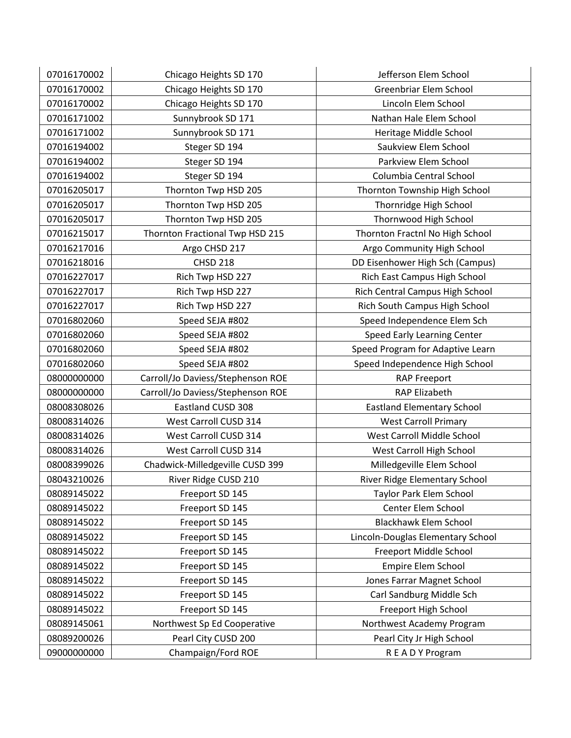| 07016170002 | Chicago Heights SD 170            | Jefferson Elem School              |
|-------------|-----------------------------------|------------------------------------|
| 07016170002 | Chicago Heights SD 170            | Greenbriar Elem School             |
| 07016170002 | Chicago Heights SD 170            | Lincoln Elem School                |
| 07016171002 | Sunnybrook SD 171                 | Nathan Hale Elem School            |
| 07016171002 | Sunnybrook SD 171                 | Heritage Middle School             |
| 07016194002 | Steger SD 194                     | Saukview Elem School               |
| 07016194002 | Steger SD 194                     | Parkview Elem School               |
| 07016194002 | Steger SD 194                     | Columbia Central School            |
| 07016205017 | Thornton Twp HSD 205              | Thornton Township High School      |
| 07016205017 | Thornton Twp HSD 205              | Thornridge High School             |
| 07016205017 | Thornton Twp HSD 205              | Thornwood High School              |
| 07016215017 | Thornton Fractional Twp HSD 215   | Thornton Fractnl No High School    |
| 07016217016 | Argo CHSD 217                     | Argo Community High School         |
| 07016218016 | <b>CHSD 218</b>                   | DD Eisenhower High Sch (Campus)    |
| 07016227017 | Rich Twp HSD 227                  | Rich East Campus High School       |
| 07016227017 | Rich Twp HSD 227                  | Rich Central Campus High School    |
| 07016227017 | Rich Twp HSD 227                  | Rich South Campus High School      |
| 07016802060 | Speed SEJA #802                   | Speed Independence Elem Sch        |
| 07016802060 | Speed SEJA #802                   | <b>Speed Early Learning Center</b> |
| 07016802060 | Speed SEJA #802                   | Speed Program for Adaptive Learn   |
| 07016802060 | Speed SEJA #802                   | Speed Independence High School     |
| 08000000000 | Carroll/Jo Daviess/Stephenson ROE | <b>RAP Freeport</b>                |
| 08000000000 | Carroll/Jo Daviess/Stephenson ROE | RAP Elizabeth                      |
| 08008308026 | Eastland CUSD 308                 | <b>Eastland Elementary School</b>  |
| 08008314026 | West Carroll CUSD 314             | <b>West Carroll Primary</b>        |
| 08008314026 | West Carroll CUSD 314             | West Carroll Middle School         |
| 08008314026 | West Carroll CUSD 314             | West Carroll High School           |
| 08008399026 | Chadwick-Milledgeville CUSD 399   | Milledgeville Elem School          |
| 08043210026 | River Ridge CUSD 210              | River Ridge Elementary School      |
| 08089145022 | Freeport SD 145                   | Taylor Park Elem School            |
| 08089145022 | Freeport SD 145                   | Center Elem School                 |
| 08089145022 | Freeport SD 145                   | <b>Blackhawk Elem School</b>       |
| 08089145022 | Freeport SD 145                   | Lincoln-Douglas Elementary School  |
| 08089145022 | Freeport SD 145                   | Freeport Middle School             |
| 08089145022 | Freeport SD 145                   | Empire Elem School                 |
| 08089145022 | Freeport SD 145                   | Jones Farrar Magnet School         |
| 08089145022 | Freeport SD 145                   | Carl Sandburg Middle Sch           |
| 08089145022 | Freeport SD 145                   | Freeport High School               |
| 08089145061 | Northwest Sp Ed Cooperative       | Northwest Academy Program          |
| 08089200026 | Pearl City CUSD 200               | Pearl City Jr High School          |
| 09000000000 | Champaign/Ford ROE                | R E A D Y Program                  |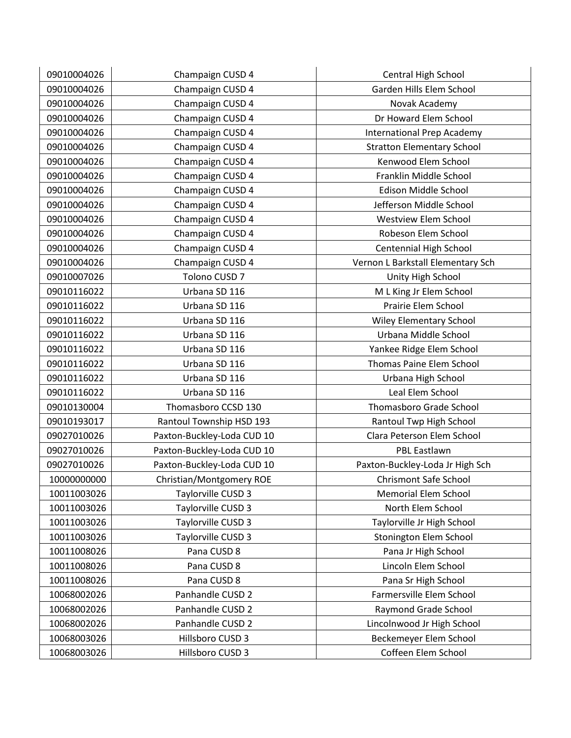| 09010004026 | Champaign CUSD 4           | Central High School               |
|-------------|----------------------------|-----------------------------------|
| 09010004026 | Champaign CUSD 4           | Garden Hills Elem School          |
| 09010004026 | Champaign CUSD 4           | Novak Academy                     |
| 09010004026 | Champaign CUSD 4           | Dr Howard Elem School             |
| 09010004026 | Champaign CUSD 4           | <b>International Prep Academy</b> |
| 09010004026 | Champaign CUSD 4           | <b>Stratton Elementary School</b> |
| 09010004026 | Champaign CUSD 4           | Kenwood Elem School               |
| 09010004026 | Champaign CUSD 4           | Franklin Middle School            |
| 09010004026 | Champaign CUSD 4           | Edison Middle School              |
| 09010004026 | Champaign CUSD 4           | Jefferson Middle School           |
| 09010004026 | Champaign CUSD 4           | Westview Elem School              |
| 09010004026 | Champaign CUSD 4           | Robeson Elem School               |
| 09010004026 | Champaign CUSD 4           | Centennial High School            |
| 09010004026 | Champaign CUSD 4           | Vernon L Barkstall Elementary Sch |
| 09010007026 | Tolono CUSD 7              | Unity High School                 |
| 09010116022 | Urbana SD 116              | M L King Jr Elem School           |
| 09010116022 | Urbana SD 116              | Prairie Elem School               |
| 09010116022 | Urbana SD 116              | Wiley Elementary School           |
| 09010116022 | Urbana SD 116              | Urbana Middle School              |
| 09010116022 | Urbana SD 116              | Yankee Ridge Elem School          |
| 09010116022 | Urbana SD 116              | Thomas Paine Elem School          |
| 09010116022 | Urbana SD 116              | Urbana High School                |
| 09010116022 | Urbana SD 116              | Leal Elem School                  |
| 09010130004 | Thomasboro CCSD 130        | Thomasboro Grade School           |
| 09010193017 | Rantoul Township HSD 193   | Rantoul Twp High School           |
| 09027010026 | Paxton-Buckley-Loda CUD 10 | Clara Peterson Elem School        |
| 09027010026 | Paxton-Buckley-Loda CUD 10 | PBL Eastlawn                      |
| 09027010026 | Paxton-Buckley-Loda CUD 10 | Paxton-Buckley-Loda Jr High Sch   |
| 10000000000 | Christian/Montgomery ROE   | <b>Chrismont Safe School</b>      |
| 10011003026 | Taylorville CUSD 3         | <b>Memorial Elem School</b>       |
| 10011003026 | Taylorville CUSD 3         | North Elem School                 |
| 10011003026 | Taylorville CUSD 3         | Taylorville Jr High School        |
| 10011003026 | Taylorville CUSD 3         | Stonington Elem School            |
| 10011008026 | Pana CUSD 8                | Pana Jr High School               |
| 10011008026 | Pana CUSD 8                | Lincoln Elem School               |
| 10011008026 | Pana CUSD 8                | Pana Sr High School               |
| 10068002026 | Panhandle CUSD 2           | Farmersville Elem School          |
| 10068002026 | Panhandle CUSD 2           | Raymond Grade School              |
| 10068002026 | Panhandle CUSD 2           | Lincolnwood Jr High School        |
| 10068003026 | Hillsboro CUSD 3           | Beckemeyer Elem School            |
| 10068003026 | Hillsboro CUSD 3           | Coffeen Elem School               |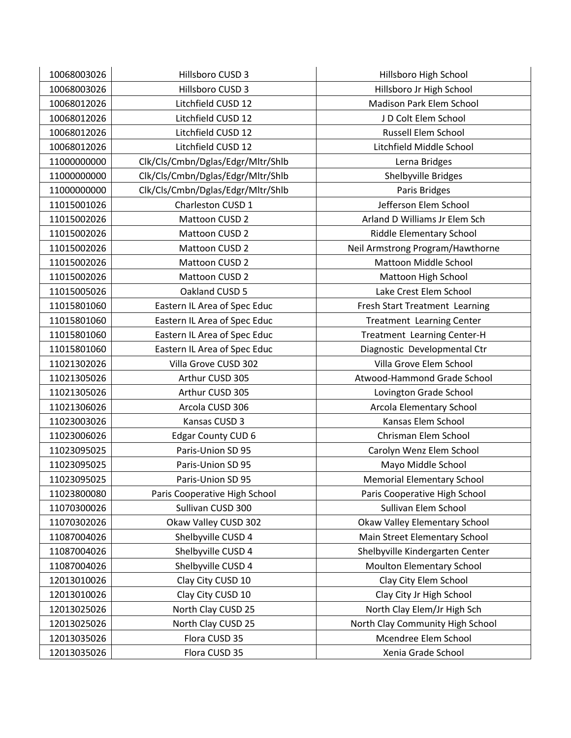| 10068003026 | Hillsboro CUSD 3                  | Hillsboro High School             |
|-------------|-----------------------------------|-----------------------------------|
| 10068003026 | Hillsboro CUSD 3                  | Hillsboro Jr High School          |
| 10068012026 | Litchfield CUSD 12                | <b>Madison Park Elem School</b>   |
| 10068012026 | Litchfield CUSD 12                | J D Colt Elem School              |
| 10068012026 | Litchfield CUSD 12                | Russell Elem School               |
| 10068012026 | Litchfield CUSD 12                | Litchfield Middle School          |
| 11000000000 | Clk/Cls/Cmbn/Dglas/Edgr/Mltr/Shlb | Lerna Bridges                     |
| 11000000000 | Clk/Cls/Cmbn/Dglas/Edgr/Mltr/Shlb | Shelbyville Bridges               |
| 11000000000 | Clk/Cls/Cmbn/Dglas/Edgr/Mltr/Shlb | Paris Bridges                     |
| 11015001026 | Charleston CUSD 1                 | Jefferson Elem School             |
| 11015002026 | Mattoon CUSD 2                    | Arland D Williams Jr Elem Sch     |
| 11015002026 | Mattoon CUSD 2                    | Riddle Elementary School          |
| 11015002026 | Mattoon CUSD 2                    | Neil Armstrong Program/Hawthorne  |
| 11015002026 | Mattoon CUSD 2                    | Mattoon Middle School             |
| 11015002026 | Mattoon CUSD 2                    | Mattoon High School               |
| 11015005026 | Oakland CUSD 5                    | Lake Crest Elem School            |
| 11015801060 | Eastern IL Area of Spec Educ      | Fresh Start Treatment Learning    |
| 11015801060 | Eastern IL Area of Spec Educ      | Treatment Learning Center         |
| 11015801060 | Eastern IL Area of Spec Educ      | Treatment Learning Center-H       |
| 11015801060 | Eastern IL Area of Spec Educ      | Diagnostic Developmental Ctr      |
| 11021302026 | Villa Grove CUSD 302              | Villa Grove Elem School           |
| 11021305026 | Arthur CUSD 305                   | Atwood-Hammond Grade School       |
| 11021305026 | Arthur CUSD 305                   | Lovington Grade School            |
| 11021306026 | Arcola CUSD 306                   | Arcola Elementary School          |
| 11023003026 | Kansas CUSD 3                     | Kansas Elem School                |
| 11023006026 | <b>Edgar County CUD 6</b>         | Chrisman Elem School              |
| 11023095025 | Paris-Union SD 95                 | Carolyn Wenz Elem School          |
| 11023095025 | Paris-Union SD 95                 | Mayo Middle School                |
| 11023095025 | Paris-Union SD 95                 | <b>Memorial Elementary School</b> |
| 11023800080 | Paris Cooperative High School     | Paris Cooperative High School     |
| 11070300026 | Sullivan CUSD 300                 | Sullivan Elem School              |
| 11070302026 | Okaw Valley CUSD 302              | Okaw Valley Elementary School     |
| 11087004026 | Shelbyville CUSD 4                | Main Street Elementary School     |
| 11087004026 | Shelbyville CUSD 4                | Shelbyville Kindergarten Center   |
| 11087004026 | Shelbyville CUSD 4                | <b>Moulton Elementary School</b>  |
| 12013010026 | Clay City CUSD 10                 | Clay City Elem School             |
| 12013010026 | Clay City CUSD 10                 | Clay City Jr High School          |
| 12013025026 | North Clay CUSD 25                | North Clay Elem/Jr High Sch       |
| 12013025026 | North Clay CUSD 25                | North Clay Community High School  |
| 12013035026 | Flora CUSD 35                     | Mcendree Elem School              |
| 12013035026 | Flora CUSD 35                     | Xenia Grade School                |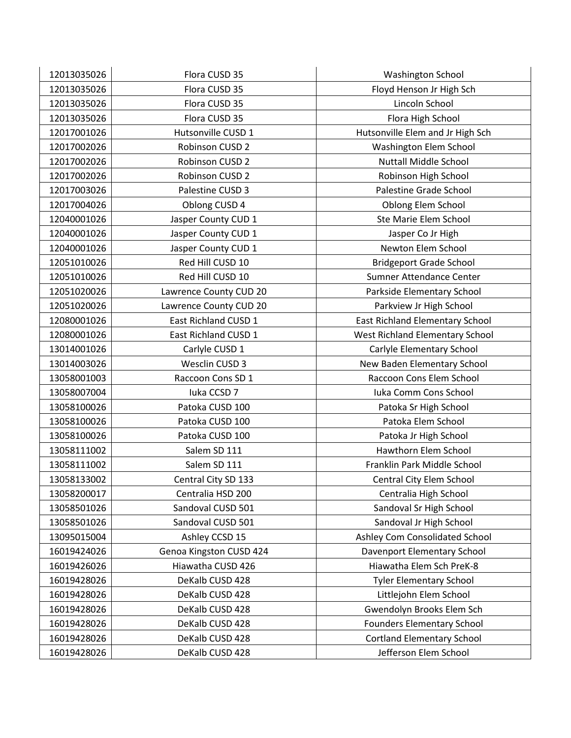| 12013035026 | Flora CUSD 35           | <b>Washington School</b>          |
|-------------|-------------------------|-----------------------------------|
| 12013035026 | Flora CUSD 35           | Floyd Henson Jr High Sch          |
| 12013035026 | Flora CUSD 35           | Lincoln School                    |
| 12013035026 | Flora CUSD 35           | Flora High School                 |
| 12017001026 | Hutsonville CUSD 1      | Hutsonville Elem and Jr High Sch  |
| 12017002026 | Robinson CUSD 2         | Washington Elem School            |
| 12017002026 | Robinson CUSD 2         | <b>Nuttall Middle School</b>      |
| 12017002026 | Robinson CUSD 2         | Robinson High School              |
| 12017003026 | Palestine CUSD 3        | Palestine Grade School            |
| 12017004026 | Oblong CUSD 4           | Oblong Elem School                |
| 12040001026 | Jasper County CUD 1     | Ste Marie Elem School             |
| 12040001026 | Jasper County CUD 1     | Jasper Co Jr High                 |
| 12040001026 | Jasper County CUD 1     | Newton Elem School                |
| 12051010026 | Red Hill CUSD 10        | <b>Bridgeport Grade School</b>    |
| 12051010026 | Red Hill CUSD 10        | Sumner Attendance Center          |
| 12051020026 | Lawrence County CUD 20  | Parkside Elementary School        |
| 12051020026 | Lawrence County CUD 20  | Parkview Jr High School           |
| 12080001026 | East Richland CUSD 1    | East Richland Elementary School   |
| 12080001026 | East Richland CUSD 1    | West Richland Elementary School   |
| 13014001026 | Carlyle CUSD 1          | Carlyle Elementary School         |
| 13014003026 | Wesclin CUSD 3          | New Baden Elementary School       |
| 13058001003 | Raccoon Cons SD 1       | Raccoon Cons Elem School          |
| 13058007004 | Iuka CCSD 7             | Iuka Comm Cons School             |
| 13058100026 | Patoka CUSD 100         | Patoka Sr High School             |
| 13058100026 | Patoka CUSD 100         | Patoka Elem School                |
| 13058100026 | Patoka CUSD 100         | Patoka Jr High School             |
| 13058111002 | Salem SD 111            | Hawthorn Elem School              |
| 13058111002 | Salem SD 111            | Franklin Park Middle School       |
| 13058133002 | Central City SD 133     | Central City Elem School          |
| 13058200017 | Centralia HSD 200       | Centralia High School             |
| 13058501026 | Sandoval CUSD 501       | Sandoval Sr High School           |
| 13058501026 | Sandoval CUSD 501       | Sandoval Jr High School           |
| 13095015004 | Ashley CCSD 15          | Ashley Com Consolidated School    |
| 16019424026 | Genoa Kingston CUSD 424 | Davenport Elementary School       |
| 16019426026 | Hiawatha CUSD 426       | Hiawatha Elem Sch PreK-8          |
| 16019428026 | DeKalb CUSD 428         | <b>Tyler Elementary School</b>    |
| 16019428026 | DeKalb CUSD 428         | Littlejohn Elem School            |
| 16019428026 | DeKalb CUSD 428         | Gwendolyn Brooks Elem Sch         |
| 16019428026 | DeKalb CUSD 428         | <b>Founders Elementary School</b> |
| 16019428026 | DeKalb CUSD 428         | <b>Cortland Elementary School</b> |
| 16019428026 | DeKalb CUSD 428         | Jefferson Elem School             |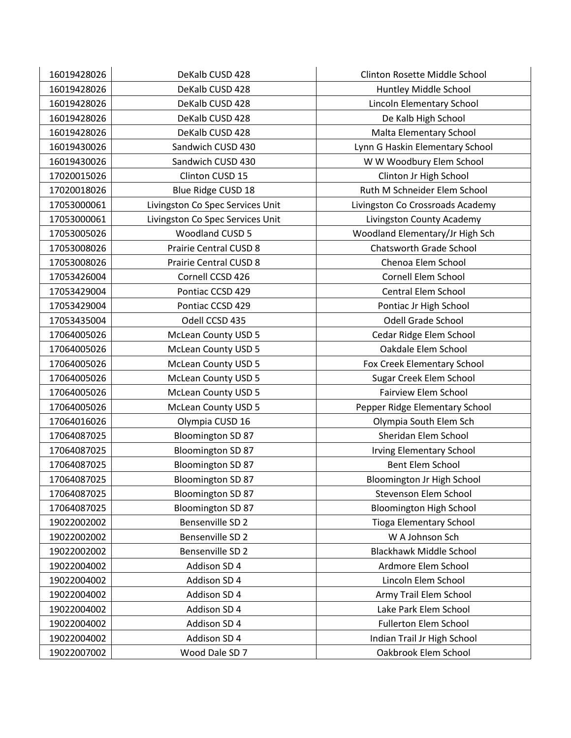| 16019428026 | DeKalb CUSD 428                  | Clinton Rosette Middle School    |
|-------------|----------------------------------|----------------------------------|
| 16019428026 | DeKalb CUSD 428                  | Huntley Middle School            |
| 16019428026 | DeKalb CUSD 428                  | Lincoln Elementary School        |
| 16019428026 | DeKalb CUSD 428                  | De Kalb High School              |
| 16019428026 | DeKalb CUSD 428                  | Malta Elementary School          |
| 16019430026 | Sandwich CUSD 430                | Lynn G Haskin Elementary School  |
| 16019430026 | Sandwich CUSD 430                | W W Woodbury Elem School         |
| 17020015026 | Clinton CUSD 15                  | Clinton Jr High School           |
| 17020018026 | Blue Ridge CUSD 18               | Ruth M Schneider Elem School     |
| 17053000061 | Livingston Co Spec Services Unit | Livingston Co Crossroads Academy |
| 17053000061 | Livingston Co Spec Services Unit | Livingston County Academy        |
| 17053005026 | Woodland CUSD 5                  | Woodland Elementary/Jr High Sch  |
| 17053008026 | <b>Prairie Central CUSD 8</b>    | <b>Chatsworth Grade School</b>   |
| 17053008026 | Prairie Central CUSD 8           | Chenoa Elem School               |
| 17053426004 | Cornell CCSD 426                 | Cornell Elem School              |
| 17053429004 | Pontiac CCSD 429                 | <b>Central Elem School</b>       |
| 17053429004 | Pontiac CCSD 429                 | Pontiac Jr High School           |
| 17053435004 | Odell CCSD 435                   | <b>Odell Grade School</b>        |
| 17064005026 | <b>McLean County USD 5</b>       | Cedar Ridge Elem School          |
| 17064005026 | <b>McLean County USD 5</b>       | Oakdale Elem School              |
| 17064005026 | <b>McLean County USD 5</b>       | Fox Creek Elementary School      |
| 17064005026 | <b>McLean County USD 5</b>       | Sugar Creek Elem School          |
| 17064005026 | <b>McLean County USD 5</b>       | <b>Fairview Elem School</b>      |
| 17064005026 | <b>McLean County USD 5</b>       | Pepper Ridge Elementary School   |
| 17064016026 | Olympia CUSD 16                  | Olympia South Elem Sch           |
| 17064087025 | <b>Bloomington SD 87</b>         | Sheridan Elem School             |
| 17064087025 | <b>Bloomington SD 87</b>         | <b>Irving Elementary School</b>  |
| 17064087025 | <b>Bloomington SD 87</b>         | <b>Bent Elem School</b>          |
| 17064087025 | <b>Bloomington SD 87</b>         | Bloomington Jr High School       |
| 17064087025 | <b>Bloomington SD 87</b>         | <b>Stevenson Elem School</b>     |
| 17064087025 | <b>Bloomington SD 87</b>         | <b>Bloomington High School</b>   |
| 19022002002 | Bensenville SD 2                 | <b>Tioga Elementary School</b>   |
| 19022002002 | Bensenville SD 2                 | W A Johnson Sch                  |
| 19022002002 | Bensenville SD 2                 | <b>Blackhawk Middle School</b>   |
| 19022004002 | Addison SD 4                     | Ardmore Elem School              |
| 19022004002 | Addison SD 4                     | Lincoln Elem School              |
| 19022004002 | Addison SD 4                     | Army Trail Elem School           |
| 19022004002 | Addison SD 4                     | Lake Park Elem School            |
| 19022004002 | Addison SD 4                     | <b>Fullerton Elem School</b>     |
| 19022004002 | Addison SD 4                     | Indian Trail Jr High School      |
| 19022007002 | Wood Dale SD 7                   | Oakbrook Elem School             |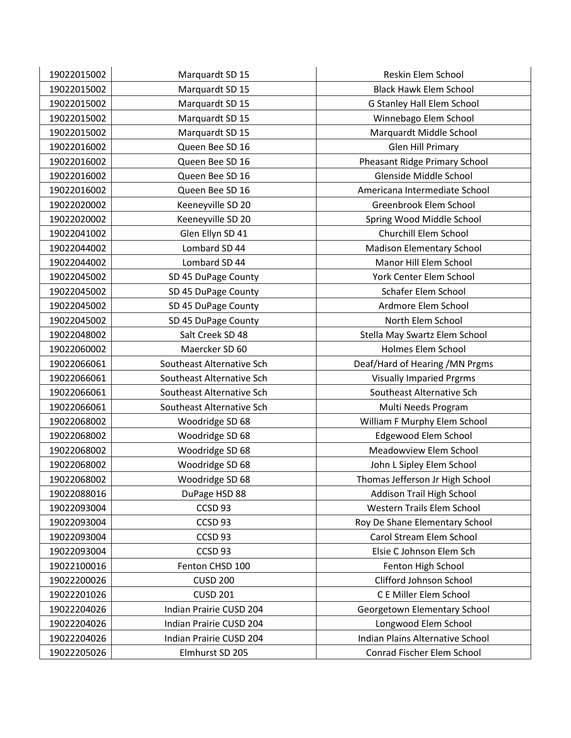| 19022015002 | Marquardt SD 15           | Reskin Elem School               |
|-------------|---------------------------|----------------------------------|
| 19022015002 | Marquardt SD 15           | <b>Black Hawk Elem School</b>    |
| 19022015002 | Marquardt SD 15           | G Stanley Hall Elem School       |
| 19022015002 | Marquardt SD 15           | Winnebago Elem School            |
| 19022015002 | Marquardt SD 15           | Marquardt Middle School          |
| 19022016002 | Queen Bee SD 16           | Glen Hill Primary                |
| 19022016002 | Queen Bee SD 16           | Pheasant Ridge Primary School    |
| 19022016002 | Queen Bee SD 16           | Glenside Middle School           |
| 19022016002 | Queen Bee SD 16           | Americana Intermediate School    |
| 19022020002 | Keeneyville SD 20         | Greenbrook Elem School           |
| 19022020002 | Keeneyville SD 20         | Spring Wood Middle School        |
| 19022041002 | Glen Ellyn SD 41          | Churchill Elem School            |
| 19022044002 | Lombard SD 44             | Madison Elementary School        |
| 19022044002 | Lombard SD 44             | Manor Hill Elem School           |
| 19022045002 | SD 45 DuPage County       | York Center Elem School          |
| 19022045002 | SD 45 DuPage County       | Schafer Elem School              |
| 19022045002 | SD 45 DuPage County       | Ardmore Elem School              |
| 19022045002 | SD 45 DuPage County       | North Elem School                |
| 19022048002 | Salt Creek SD 48          | Stella May Swartz Elem School    |
| 19022060002 | Maercker SD 60            | Holmes Elem School               |
| 19022066061 | Southeast Alternative Sch | Deaf/Hard of Hearing / MN Prgms  |
| 19022066061 | Southeast Alternative Sch | <b>Visually Imparied Prgrms</b>  |
| 19022066061 | Southeast Alternative Sch | Southeast Alternative Sch        |
| 19022066061 | Southeast Alternative Sch | Multi Needs Program              |
| 19022068002 | Woodridge SD 68           | William F Murphy Elem School     |
| 19022068002 | Woodridge SD 68           | Edgewood Elem School             |
| 19022068002 | Woodridge SD 68           | Meadowview Elem School           |
| 19022068002 | Woodridge SD 68           | John L Sipley Elem School        |
| 19022068002 | Woodridge SD 68           | Thomas Jefferson Jr High School  |
| 19022088016 | DuPage HSD 88             | Addison Trail High School        |
| 19022093004 | CCSD <sub>93</sub>        | Western Trails Elem School       |
| 19022093004 | CCSD <sub>93</sub>        | Roy De Shane Elementary School   |
| 19022093004 | CCSD <sub>93</sub>        | Carol Stream Elem School         |
| 19022093004 | CCSD <sub>93</sub>        | Elsie C Johnson Elem Sch         |
| 19022100016 | Fenton CHSD 100           | Fenton High School               |
| 19022200026 | <b>CUSD 200</b>           | Clifford Johnson School          |
| 19022201026 | <b>CUSD 201</b>           | C E Miller Elem School           |
| 19022204026 | Indian Prairie CUSD 204   | Georgetown Elementary School     |
| 19022204026 | Indian Prairie CUSD 204   | Longwood Elem School             |
| 19022204026 | Indian Prairie CUSD 204   | Indian Plains Alternative School |
| 19022205026 | Elmhurst SD 205           | Conrad Fischer Elem School       |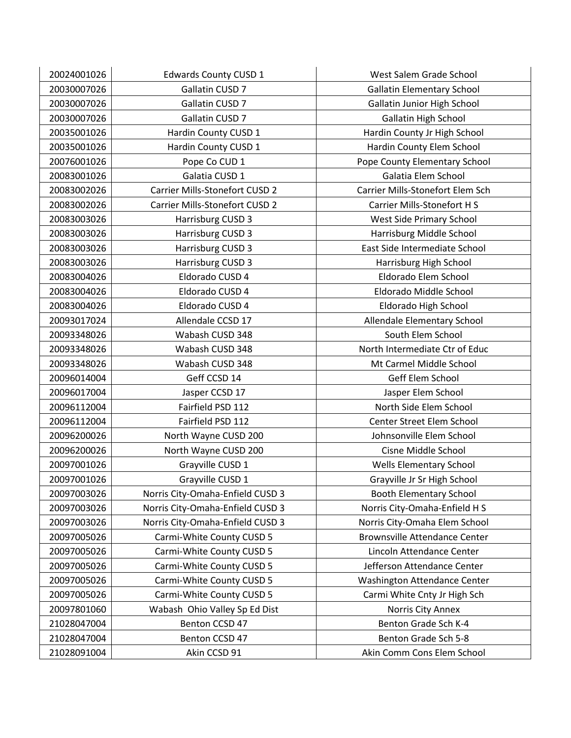| 20024001026 | <b>Edwards County CUSD 1</b>          | West Salem Grade School           |
|-------------|---------------------------------------|-----------------------------------|
| 20030007026 | Gallatin CUSD 7                       | <b>Gallatin Elementary School</b> |
| 20030007026 | Gallatin CUSD 7                       | Gallatin Junior High School       |
| 20030007026 | Gallatin CUSD 7                       | <b>Gallatin High School</b>       |
| 20035001026 | Hardin County CUSD 1                  | Hardin County Jr High School      |
| 20035001026 | Hardin County CUSD 1                  | Hardin County Elem School         |
| 20076001026 | Pope Co CUD 1                         | Pope County Elementary School     |
| 20083001026 | Galatia CUSD 1                        | Galatia Elem School               |
| 20083002026 | Carrier Mills-Stonefort CUSD 2        | Carrier Mills-Stonefort Elem Sch  |
| 20083002026 | <b>Carrier Mills-Stonefort CUSD 2</b> | <b>Carrier Mills-Stonefort HS</b> |
| 20083003026 | Harrisburg CUSD 3                     | West Side Primary School          |
| 20083003026 | Harrisburg CUSD 3                     | Harrisburg Middle School          |
| 20083003026 | Harrisburg CUSD 3                     | East Side Intermediate School     |
| 20083003026 | Harrisburg CUSD 3                     | Harrisburg High School            |
| 20083004026 | Eldorado CUSD 4                       | Eldorado Elem School              |
| 20083004026 | Eldorado CUSD 4                       | Eldorado Middle School            |
| 20083004026 | Eldorado CUSD 4                       | Eldorado High School              |
| 20093017024 | Allendale CCSD 17                     | Allendale Elementary School       |
| 20093348026 | Wabash CUSD 348                       | South Elem School                 |
| 20093348026 | Wabash CUSD 348                       | North Intermediate Ctr of Educ    |
| 20093348026 | Wabash CUSD 348                       | Mt Carmel Middle School           |
| 20096014004 | Geff CCSD 14                          | Geff Elem School                  |
| 20096017004 | Jasper CCSD 17                        | Jasper Elem School                |
| 20096112004 | Fairfield PSD 112                     | North Side Elem School            |
| 20096112004 | Fairfield PSD 112                     | Center Street Elem School         |
| 20096200026 | North Wayne CUSD 200                  | Johnsonville Elem School          |
| 20096200026 | North Wayne CUSD 200                  | Cisne Middle School               |
| 20097001026 | Grayville CUSD 1                      | <b>Wells Elementary School</b>    |
| 20097001026 | Grayville CUSD 1                      | Grayville Jr Sr High School       |
| 20097003026 | Norris City-Omaha-Enfield CUSD 3      | <b>Booth Elementary School</b>    |
| 20097003026 | Norris City-Omaha-Enfield CUSD 3      | Norris City-Omaha-Enfield H S     |
| 20097003026 | Norris City-Omaha-Enfield CUSD 3      | Norris City-Omaha Elem School     |
| 20097005026 | Carmi-White County CUSD 5             | Brownsville Attendance Center     |
| 20097005026 | Carmi-White County CUSD 5             | Lincoln Attendance Center         |
| 20097005026 | Carmi-White County CUSD 5             | Jefferson Attendance Center       |
| 20097005026 | Carmi-White County CUSD 5             | Washington Attendance Center      |
| 20097005026 | Carmi-White County CUSD 5             | Carmi White Cnty Jr High Sch      |
| 20097801060 | Wabash Ohio Valley Sp Ed Dist         | Norris City Annex                 |
| 21028047004 | Benton CCSD 47                        | Benton Grade Sch K-4              |
| 21028047004 | Benton CCSD 47                        | Benton Grade Sch 5-8              |
| 21028091004 | Akin CCSD 91                          | Akin Comm Cons Elem School        |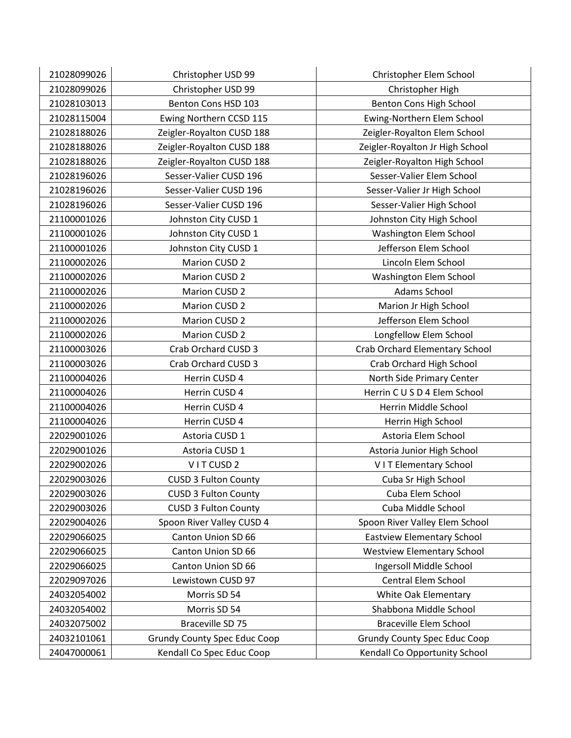| 21028099026 | Christopher USD 99                  | Christopher Elem School             |
|-------------|-------------------------------------|-------------------------------------|
| 21028099026 | Christopher USD 99                  | Christopher High                    |
| 21028103013 | <b>Benton Cons HSD 103</b>          | Benton Cons High School             |
| 21028115004 | Ewing Northern CCSD 115             | Ewing-Northern Elem School          |
| 21028188026 | Zeigler-Royalton CUSD 188           | Zeigler-Royalton Elem School        |
| 21028188026 | Zeigler-Royalton CUSD 188           | Zeigler-Royalton Jr High School     |
| 21028188026 | Zeigler-Royalton CUSD 188           | Zeigler-Royalton High School        |
| 21028196026 | Sesser-Valier CUSD 196              | Sesser-Valier Elem School           |
| 21028196026 | Sesser-Valier CUSD 196              | Sesser-Valier Jr High School        |
| 21028196026 | Sesser-Valier CUSD 196              | Sesser-Valier High School           |
| 21100001026 | Johnston City CUSD 1                | Johnston City High School           |
| 21100001026 | Johnston City CUSD 1                | Washington Elem School              |
| 21100001026 | Johnston City CUSD 1                | Jefferson Elem School               |
| 21100002026 | Marion CUSD 2                       | Lincoln Elem School                 |
| 21100002026 | Marion CUSD 2                       | Washington Elem School              |
| 21100002026 | Marion CUSD 2                       | <b>Adams School</b>                 |
| 21100002026 | Marion CUSD 2                       | Marion Jr High School               |
| 21100002026 | Marion CUSD 2                       | Jefferson Elem School               |
| 21100002026 | Marion CUSD 2                       | Longfellow Elem School              |
| 21100003026 | Crab Orchard CUSD 3                 | Crab Orchard Elementary School      |
| 21100003026 | Crab Orchard CUSD 3                 | Crab Orchard High School            |
| 21100004026 | Herrin CUSD 4                       | North Side Primary Center           |
| 21100004026 | Herrin CUSD 4                       | Herrin C U S D 4 Elem School        |
| 21100004026 | Herrin CUSD 4                       | Herrin Middle School                |
| 21100004026 | Herrin CUSD 4                       | Herrin High School                  |
| 22029001026 | Astoria CUSD 1                      | Astoria Elem School                 |
| 22029001026 | Astoria CUSD 1                      | Astoria Junior High School          |
| 22029002026 | VITCUSD <sub>2</sub>                | <b>VIT Elementary School</b>        |
| 22029003026 | <b>CUSD 3 Fulton County</b>         | Cuba Sr High School                 |
| 22029003026 | <b>CUSD 3 Fulton County</b>         | Cuba Elem School                    |
| 22029003026 | <b>CUSD 3 Fulton County</b>         | Cuba Middle School                  |
| 22029004026 | Spoon River Valley CUSD 4           | Spoon River Valley Elem School      |
| 22029066025 | Canton Union SD 66                  | <b>Eastview Elementary School</b>   |
| 22029066025 | Canton Union SD 66                  | <b>Westview Elementary School</b>   |
| 22029066025 | Canton Union SD 66                  | Ingersoll Middle School             |
| 22029097026 | Lewistown CUSD 97                   | <b>Central Elem School</b>          |
| 24032054002 | Morris SD 54                        | White Oak Elementary                |
| 24032054002 | Morris SD 54                        | Shabbona Middle School              |
| 24032075002 | Braceville SD 75                    | <b>Braceville Elem School</b>       |
| 24032101061 | <b>Grundy County Spec Educ Coop</b> | <b>Grundy County Spec Educ Coop</b> |
| 24047000061 | Kendall Co Spec Educ Coop           | Kendall Co Opportunity School       |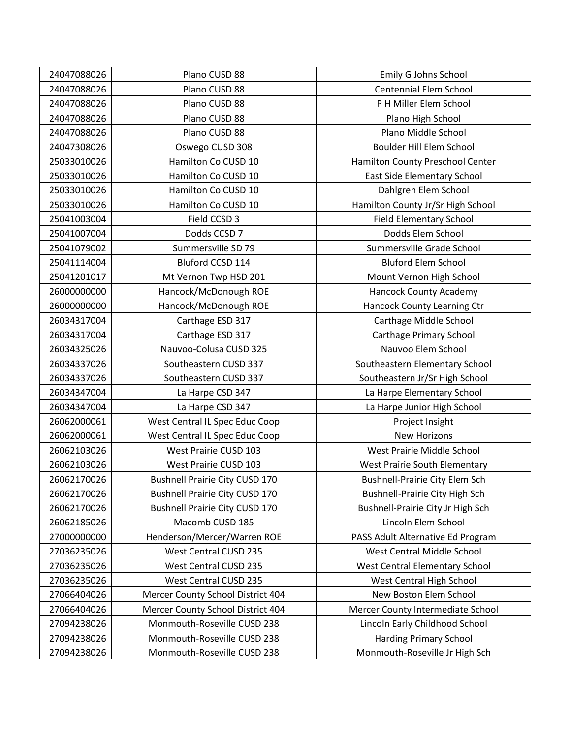| 24047088026 | Plano CUSD 88                         | Emily G Johns School                  |
|-------------|---------------------------------------|---------------------------------------|
| 24047088026 | Plano CUSD 88                         | <b>Centennial Elem School</b>         |
| 24047088026 | Plano CUSD 88                         | P H Miller Elem School                |
| 24047088026 | Plano CUSD 88                         | Plano High School                     |
| 24047088026 | Plano CUSD 88                         | Plano Middle School                   |
| 24047308026 | Oswego CUSD 308                       | Boulder Hill Elem School              |
| 25033010026 | Hamilton Co CUSD 10                   | Hamilton County Preschool Center      |
| 25033010026 | Hamilton Co CUSD 10                   | East Side Elementary School           |
| 25033010026 | Hamilton Co CUSD 10                   | Dahlgren Elem School                  |
| 25033010026 | Hamilton Co CUSD 10                   | Hamilton County Jr/Sr High School     |
| 25041003004 | Field CCSD 3                          | <b>Field Elementary School</b>        |
| 25041007004 | Dodds CCSD 7                          | Dodds Elem School                     |
| 25041079002 | Summersville SD 79                    | Summersville Grade School             |
| 25041114004 | Bluford CCSD 114                      | <b>Bluford Elem School</b>            |
| 25041201017 | Mt Vernon Twp HSD 201                 | Mount Vernon High School              |
| 26000000000 | Hancock/McDonough ROE                 | <b>Hancock County Academy</b>         |
| 26000000000 | Hancock/McDonough ROE                 | Hancock County Learning Ctr           |
| 26034317004 | Carthage ESD 317                      | Carthage Middle School                |
| 26034317004 | Carthage ESD 317                      | <b>Carthage Primary School</b>        |
| 26034325026 | Nauvoo-Colusa CUSD 325                | Nauvoo Elem School                    |
| 26034337026 | Southeastern CUSD 337                 | Southeastern Elementary School        |
| 26034337026 | Southeastern CUSD 337                 | Southeastern Jr/Sr High School        |
| 26034347004 | La Harpe CSD 347                      | La Harpe Elementary School            |
| 26034347004 | La Harpe CSD 347                      | La Harpe Junior High School           |
| 26062000061 | West Central IL Spec Educ Coop        | Project Insight                       |
| 26062000061 | West Central IL Spec Educ Coop        | <b>New Horizons</b>                   |
| 26062103026 | West Prairie CUSD 103                 | West Prairie Middle School            |
| 26062103026 | West Prairie CUSD 103                 | West Prairie South Elementary         |
| 26062170026 | <b>Bushnell Prairie City CUSD 170</b> | <b>Bushnell-Prairie City Elem Sch</b> |
| 26062170026 | <b>Bushnell Prairie City CUSD 170</b> | <b>Bushnell-Prairie City High Sch</b> |
| 26062170026 | <b>Bushnell Prairie City CUSD 170</b> | Bushnell-Prairie City Jr High Sch     |
| 26062185026 | Macomb CUSD 185                       | Lincoln Elem School                   |
| 27000000000 | Henderson/Mercer/Warren ROE           | PASS Adult Alternative Ed Program     |
| 27036235026 | West Central CUSD 235                 | West Central Middle School            |
| 27036235026 | West Central CUSD 235                 | West Central Elementary School        |
| 27036235026 | West Central CUSD 235                 | West Central High School              |
| 27066404026 | Mercer County School District 404     | New Boston Elem School                |
| 27066404026 | Mercer County School District 404     | Mercer County Intermediate School     |
| 27094238026 | Monmouth-Roseville CUSD 238           | Lincoln Early Childhood School        |
| 27094238026 | Monmouth-Roseville CUSD 238           | <b>Harding Primary School</b>         |
| 27094238026 | Monmouth-Roseville CUSD 238           | Monmouth-Roseville Jr High Sch        |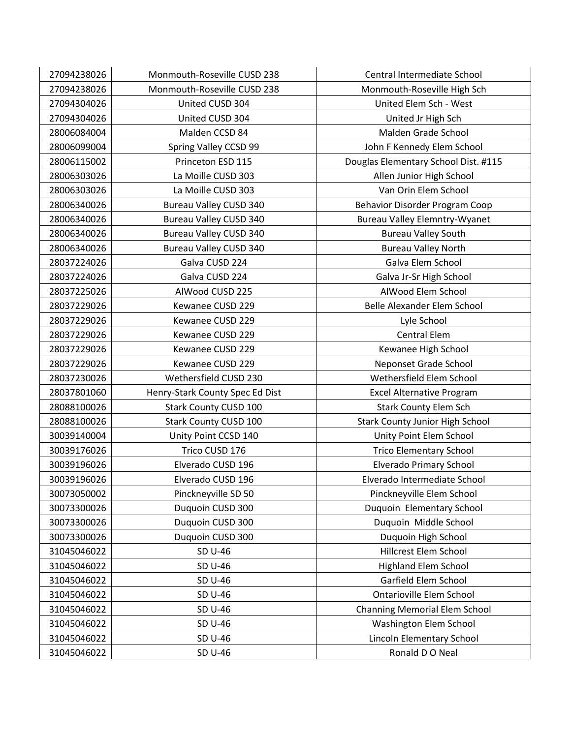| 27094238026 | Monmouth-Roseville CUSD 238     | Central Intermediate School            |
|-------------|---------------------------------|----------------------------------------|
| 27094238026 | Monmouth-Roseville CUSD 238     | Monmouth-Roseville High Sch            |
| 27094304026 | United CUSD 304                 | United Elem Sch - West                 |
| 27094304026 | United CUSD 304                 | United Jr High Sch                     |
| 28006084004 | Malden CCSD 84                  | Malden Grade School                    |
| 28006099004 | Spring Valley CCSD 99           | John F Kennedy Elem School             |
| 28006115002 | Princeton ESD 115               | Douglas Elementary School Dist. #115   |
| 28006303026 | La Moille CUSD 303              | Allen Junior High School               |
| 28006303026 | La Moille CUSD 303              | Van Orin Elem School                   |
| 28006340026 | Bureau Valley CUSD 340          | Behavior Disorder Program Coop         |
| 28006340026 | Bureau Valley CUSD 340          | <b>Bureau Valley Elemntry-Wyanet</b>   |
| 28006340026 | Bureau Valley CUSD 340          | <b>Bureau Valley South</b>             |
| 28006340026 | Bureau Valley CUSD 340          | <b>Bureau Valley North</b>             |
| 28037224026 | Galva CUSD 224                  | Galva Elem School                      |
| 28037224026 | Galva CUSD 224                  | Galva Jr-Sr High School                |
| 28037225026 | AlWood CUSD 225                 | AlWood Elem School                     |
| 28037229026 | Kewanee CUSD 229                | Belle Alexander Elem School            |
| 28037229026 | Kewanee CUSD 229                | Lyle School                            |
| 28037229026 | Kewanee CUSD 229                | <b>Central Elem</b>                    |
| 28037229026 | Kewanee CUSD 229                | Kewanee High School                    |
| 28037229026 | Kewanee CUSD 229                | Neponset Grade School                  |
| 28037230026 | Wethersfield CUSD 230           | Wethersfield Elem School               |
| 28037801060 | Henry-Stark County Spec Ed Dist | <b>Excel Alternative Program</b>       |
| 28088100026 | <b>Stark County CUSD 100</b>    | <b>Stark County Elem Sch</b>           |
| 28088100026 | <b>Stark County CUSD 100</b>    | <b>Stark County Junior High School</b> |
| 30039140004 | Unity Point CCSD 140            | Unity Point Elem School                |
| 30039176026 | Trico CUSD 176                  | <b>Trico Elementary School</b>         |
| 30039196026 | Elverado CUSD 196               | <b>Elverado Primary School</b>         |
| 30039196026 | Elverado CUSD 196               | Elverado Intermediate School           |
| 30073050002 | Pinckneyville SD 50             | Pinckneyville Elem School              |
| 30073300026 | Duquoin CUSD 300                | Duquoin Elementary School              |
| 30073300026 | Duquoin CUSD 300                | Duquoin Middle School                  |
| 30073300026 | Duquoin CUSD 300                | Duquoin High School                    |
| 31045046022 | SD U-46                         | Hillcrest Elem School                  |
| 31045046022 | SD U-46                         | <b>Highland Elem School</b>            |
| 31045046022 | SD U-46                         | Garfield Elem School                   |
| 31045046022 | SD U-46                         | <b>Ontarioville Elem School</b>        |
| 31045046022 | SD U-46                         | <b>Channing Memorial Elem School</b>   |
| 31045046022 | SD U-46                         | Washington Elem School                 |
| 31045046022 | SD U-46                         | Lincoln Elementary School              |
| 31045046022 | SD U-46                         | Ronald D O Neal                        |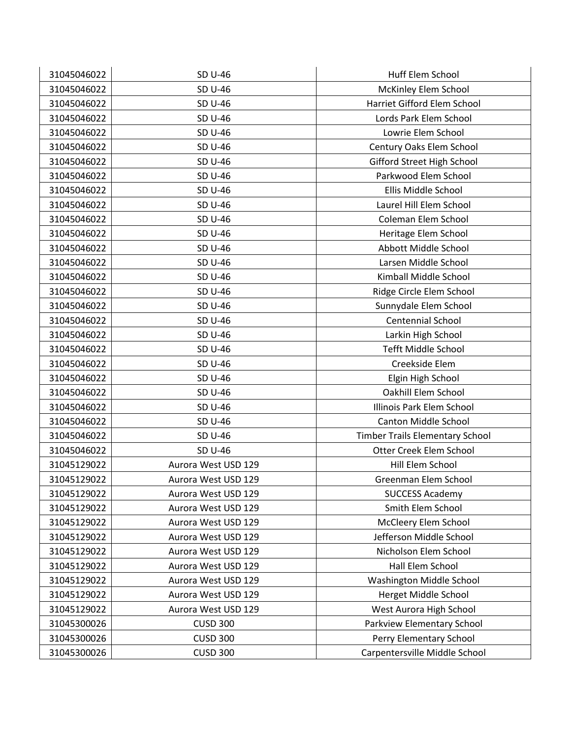| 31045046022 | SD U-46             | <b>Huff Elem School</b>                |
|-------------|---------------------|----------------------------------------|
| 31045046022 | SD U-46             | McKinley Elem School                   |
| 31045046022 | SD U-46             | Harriet Gifford Elem School            |
| 31045046022 | SD U-46             | Lords Park Elem School                 |
| 31045046022 | SD U-46             | Lowrie Elem School                     |
| 31045046022 | SD U-46             | Century Oaks Elem School               |
| 31045046022 | SD U-46             | Gifford Street High School             |
| 31045046022 | SD U-46             | Parkwood Elem School                   |
| 31045046022 | SD U-46             | Ellis Middle School                    |
| 31045046022 | SD U-46             | Laurel Hill Elem School                |
| 31045046022 | SD U-46             | Coleman Elem School                    |
| 31045046022 | SD U-46             | Heritage Elem School                   |
| 31045046022 | SD U-46             | Abbott Middle School                   |
| 31045046022 | SD U-46             | Larsen Middle School                   |
| 31045046022 | SD U-46             | Kimball Middle School                  |
| 31045046022 | SD U-46             | Ridge Circle Elem School               |
| 31045046022 | SD U-46             | Sunnydale Elem School                  |
| 31045046022 | SD U-46             | <b>Centennial School</b>               |
| 31045046022 | SD U-46             | Larkin High School                     |
| 31045046022 | SD U-46             | <b>Tefft Middle School</b>             |
| 31045046022 | SD U-46             | Creekside Elem                         |
| 31045046022 | SD U-46             | Elgin High School                      |
| 31045046022 | SD U-46             | Oakhill Elem School                    |
| 31045046022 | SD U-46             | Illinois Park Elem School              |
| 31045046022 | SD U-46             | <b>Canton Middle School</b>            |
| 31045046022 | SD U-46             | <b>Timber Trails Elementary School</b> |
| 31045046022 | SD U-46             | <b>Otter Creek Elem School</b>         |
| 31045129022 | Aurora West USD 129 | Hill Elem School                       |
| 31045129022 | Aurora West USD 129 | Greenman Elem School                   |
| 31045129022 | Aurora West USD 129 | <b>SUCCESS Academy</b>                 |
| 31045129022 | Aurora West USD 129 | Smith Elem School                      |
| 31045129022 | Aurora West USD 129 | McCleery Elem School                   |
| 31045129022 | Aurora West USD 129 | Jefferson Middle School                |
| 31045129022 | Aurora West USD 129 | Nicholson Elem School                  |
| 31045129022 | Aurora West USD 129 | Hall Elem School                       |
| 31045129022 | Aurora West USD 129 | Washington Middle School               |
| 31045129022 | Aurora West USD 129 | Herget Middle School                   |
| 31045129022 | Aurora West USD 129 | West Aurora High School                |
| 31045300026 | <b>CUSD 300</b>     | Parkview Elementary School             |
| 31045300026 | <b>CUSD 300</b>     | Perry Elementary School                |
| 31045300026 | <b>CUSD 300</b>     | Carpentersville Middle School          |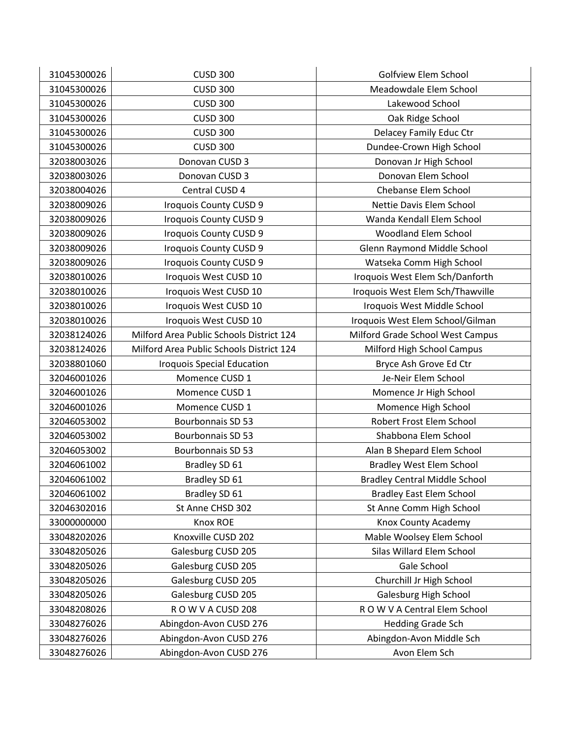| 31045300026 | <b>CUSD 300</b>                          | Golfview Elem School                 |
|-------------|------------------------------------------|--------------------------------------|
| 31045300026 | <b>CUSD 300</b>                          | Meadowdale Elem School               |
| 31045300026 | <b>CUSD 300</b>                          | Lakewood School                      |
| 31045300026 | <b>CUSD 300</b>                          | Oak Ridge School                     |
| 31045300026 | <b>CUSD 300</b>                          | Delacey Family Educ Ctr              |
| 31045300026 | <b>CUSD 300</b>                          | Dundee-Crown High School             |
| 32038003026 | Donovan CUSD 3                           | Donovan Jr High School               |
| 32038003026 | Donovan CUSD 3                           | Donovan Elem School                  |
| 32038004026 | Central CUSD 4                           | Chebanse Elem School                 |
| 32038009026 | Iroquois County CUSD 9                   | Nettie Davis Elem School             |
| 32038009026 | Iroquois County CUSD 9                   | Wanda Kendall Elem School            |
| 32038009026 | Iroquois County CUSD 9                   | <b>Woodland Elem School</b>          |
| 32038009026 | Iroquois County CUSD 9                   | Glenn Raymond Middle School          |
| 32038009026 | Iroquois County CUSD 9                   | Watseka Comm High School             |
| 32038010026 | Iroquois West CUSD 10                    | Iroquois West Elem Sch/Danforth      |
| 32038010026 | Iroquois West CUSD 10                    | Iroquois West Elem Sch/Thawville     |
| 32038010026 | Iroquois West CUSD 10                    | Iroquois West Middle School          |
| 32038010026 | Iroquois West CUSD 10                    | Iroquois West Elem School/Gilman     |
| 32038124026 | Milford Area Public Schools District 124 | Milford Grade School West Campus     |
| 32038124026 | Milford Area Public Schools District 124 | Milford High School Campus           |
| 32038801060 | Iroquois Special Education               | Bryce Ash Grove Ed Ctr               |
| 32046001026 | Momence CUSD 1                           | Je-Neir Elem School                  |
| 32046001026 | Momence CUSD 1                           | Momence Jr High School               |
| 32046001026 | Momence CUSD 1                           | Momence High School                  |
| 32046053002 | Bourbonnais SD 53                        | Robert Frost Elem School             |
| 32046053002 | <b>Bourbonnais SD 53</b>                 | Shabbona Elem School                 |
| 32046053002 | Bourbonnais SD 53                        | Alan B Shepard Elem School           |
| 32046061002 | Bradley SD 61                            | <b>Bradley West Elem School</b>      |
| 32046061002 | Bradley SD 61                            | <b>Bradley Central Middle School</b> |
| 32046061002 | Bradley SD 61                            | <b>Bradley East Elem School</b>      |
| 32046302016 | St Anne CHSD 302                         | St Anne Comm High School             |
| 33000000000 | Knox ROE                                 | Knox County Academy                  |
| 33048202026 | Knoxville CUSD 202                       | Mable Woolsey Elem School            |
| 33048205026 | Galesburg CUSD 205                       | Silas Willard Elem School            |
| 33048205026 | Galesburg CUSD 205                       | Gale School                          |
| 33048205026 | Galesburg CUSD 205                       | Churchill Jr High School             |
| 33048205026 | Galesburg CUSD 205                       | Galesburg High School                |
| 33048208026 | ROW VACUSD 208                           | ROW V A Central Elem School          |
| 33048276026 | Abingdon-Avon CUSD 276                   | <b>Hedding Grade Sch</b>             |
| 33048276026 | Abingdon-Avon CUSD 276                   | Abingdon-Avon Middle Sch             |
| 33048276026 | Abingdon-Avon CUSD 276                   | Avon Elem Sch                        |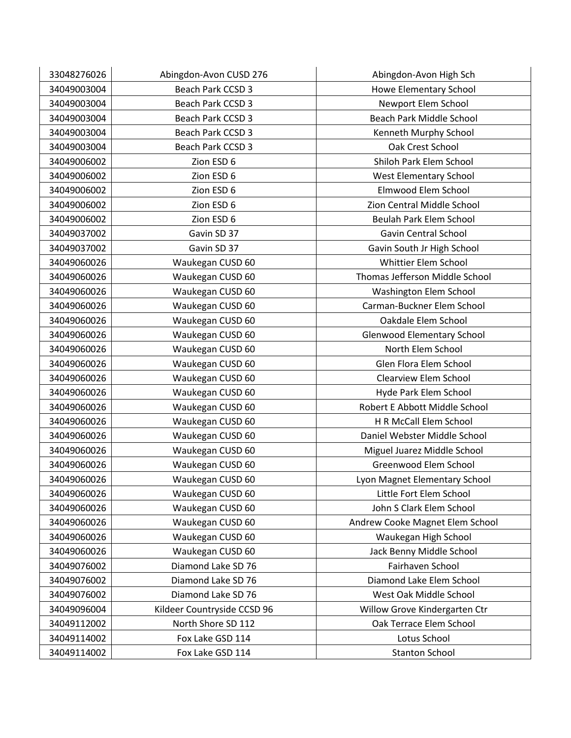| 33048276026 | Abingdon-Avon CUSD 276      | Abingdon-Avon High Sch            |
|-------------|-----------------------------|-----------------------------------|
| 34049003004 | Beach Park CCSD 3           | Howe Elementary School            |
| 34049003004 | <b>Beach Park CCSD 3</b>    | Newport Elem School               |
| 34049003004 | Beach Park CCSD 3           | Beach Park Middle School          |
| 34049003004 | <b>Beach Park CCSD 3</b>    | Kenneth Murphy School             |
| 34049003004 | Beach Park CCSD 3           | Oak Crest School                  |
| 34049006002 | Zion ESD 6                  | Shiloh Park Elem School           |
| 34049006002 | Zion ESD 6                  | <b>West Elementary School</b>     |
| 34049006002 | Zion ESD 6                  | Elmwood Elem School               |
| 34049006002 | Zion ESD 6                  | Zion Central Middle School        |
| 34049006002 | Zion ESD 6                  | Beulah Park Elem School           |
| 34049037002 | Gavin SD 37                 | <b>Gavin Central School</b>       |
| 34049037002 | Gavin SD 37                 | Gavin South Jr High School        |
| 34049060026 | Waukegan CUSD 60            | Whittier Elem School              |
| 34049060026 | Waukegan CUSD 60            | Thomas Jefferson Middle School    |
| 34049060026 | Waukegan CUSD 60            | Washington Elem School            |
| 34049060026 | Waukegan CUSD 60            | Carman-Buckner Elem School        |
| 34049060026 | Waukegan CUSD 60            | Oakdale Elem School               |
| 34049060026 | Waukegan CUSD 60            | <b>Glenwood Elementary School</b> |
| 34049060026 | Waukegan CUSD 60            | North Elem School                 |
| 34049060026 | Waukegan CUSD 60            | Glen Flora Elem School            |
| 34049060026 | Waukegan CUSD 60            | <b>Clearview Elem School</b>      |
| 34049060026 | Waukegan CUSD 60            | Hyde Park Elem School             |
| 34049060026 | Waukegan CUSD 60            | Robert E Abbott Middle School     |
| 34049060026 | Waukegan CUSD 60            | H R McCall Elem School            |
| 34049060026 | Waukegan CUSD 60            | Daniel Webster Middle School      |
| 34049060026 | Waukegan CUSD 60            | Miguel Juarez Middle School       |
| 34049060026 | Waukegan CUSD 60            | Greenwood Elem School             |
| 34049060026 | Waukegan CUSD 60            | Lyon Magnet Elementary School     |
| 34049060026 | Waukegan CUSD 60            | Little Fort Elem School           |
| 34049060026 | Waukegan CUSD 60            | John S Clark Elem School          |
| 34049060026 | Waukegan CUSD 60            | Andrew Cooke Magnet Elem School   |
| 34049060026 | Waukegan CUSD 60            | Waukegan High School              |
| 34049060026 | Waukegan CUSD 60            | Jack Benny Middle School          |
| 34049076002 | Diamond Lake SD 76          | Fairhaven School                  |
| 34049076002 | Diamond Lake SD 76          | Diamond Lake Elem School          |
| 34049076002 | Diamond Lake SD 76          | West Oak Middle School            |
| 34049096004 | Kildeer Countryside CCSD 96 | Willow Grove Kindergarten Ctr     |
| 34049112002 | North Shore SD 112          | Oak Terrace Elem School           |
| 34049114002 | Fox Lake GSD 114            | Lotus School                      |
| 34049114002 | Fox Lake GSD 114            | <b>Stanton School</b>             |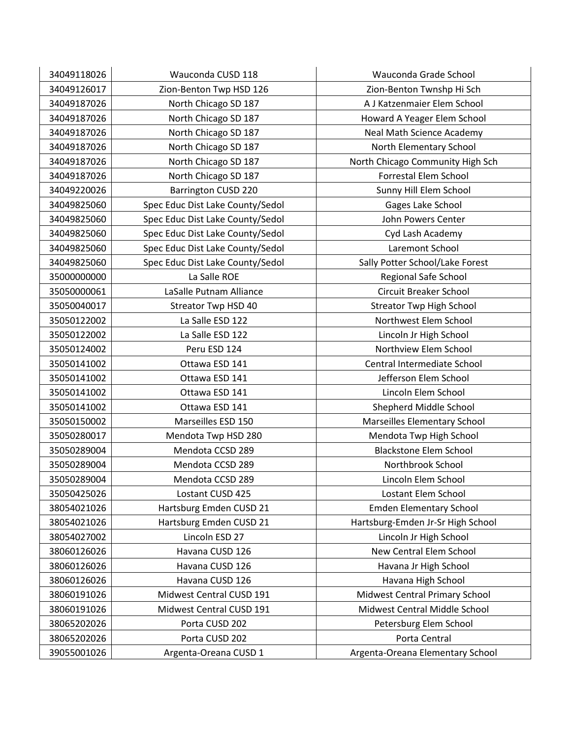| 34049118026 | Wauconda CUSD 118                | Wauconda Grade School             |
|-------------|----------------------------------|-----------------------------------|
| 34049126017 | Zion-Benton Twp HSD 126          | Zion-Benton Twnshp Hi Sch         |
| 34049187026 | North Chicago SD 187             | A J Katzenmaier Elem School       |
| 34049187026 | North Chicago SD 187             | Howard A Yeager Elem School       |
| 34049187026 | North Chicago SD 187             | Neal Math Science Academy         |
| 34049187026 | North Chicago SD 187             | North Elementary School           |
| 34049187026 | North Chicago SD 187             | North Chicago Community High Sch  |
| 34049187026 | North Chicago SD 187             | <b>Forrestal Elem School</b>      |
| 34049220026 | <b>Barrington CUSD 220</b>       | Sunny Hill Elem School            |
| 34049825060 | Spec Educ Dist Lake County/Sedol | Gages Lake School                 |
| 34049825060 | Spec Educ Dist Lake County/Sedol | John Powers Center                |
| 34049825060 | Spec Educ Dist Lake County/Sedol | Cyd Lash Academy                  |
| 34049825060 | Spec Educ Dist Lake County/Sedol | Laremont School                   |
| 34049825060 | Spec Educ Dist Lake County/Sedol | Sally Potter School/Lake Forest   |
| 35000000000 | La Salle ROE                     | Regional Safe School              |
| 35050000061 | LaSalle Putnam Alliance          | <b>Circuit Breaker School</b>     |
| 35050040017 | Streator Twp HSD 40              | <b>Streator Twp High School</b>   |
| 35050122002 | La Salle ESD 122                 | Northwest Elem School             |
| 35050122002 | La Salle ESD 122                 | Lincoln Jr High School            |
| 35050124002 | Peru ESD 124                     | Northview Elem School             |
| 35050141002 | Ottawa ESD 141                   | Central Intermediate School       |
| 35050141002 | Ottawa ESD 141                   | Jefferson Elem School             |
| 35050141002 | Ottawa ESD 141                   | Lincoln Elem School               |
| 35050141002 | Ottawa ESD 141                   | Shepherd Middle School            |
| 35050150002 | Marseilles ESD 150               | Marseilles Elementary School      |
| 35050280017 | Mendota Twp HSD 280              | Mendota Twp High School           |
| 35050289004 | Mendota CCSD 289                 | <b>Blackstone Elem School</b>     |
| 35050289004 | Mendota CCSD 289                 | Northbrook School                 |
| 35050289004 | Mendota CCSD 289                 | Lincoln Elem School               |
| 35050425026 | Lostant CUSD 425                 | Lostant Elem School               |
| 38054021026 | Hartsburg Emden CUSD 21          | <b>Emden Elementary School</b>    |
| 38054021026 | Hartsburg Emden CUSD 21          | Hartsburg-Emden Jr-Sr High School |
| 38054027002 | Lincoln ESD 27                   | Lincoln Jr High School            |
| 38060126026 | Havana CUSD 126                  | New Central Elem School           |
| 38060126026 | Havana CUSD 126                  | Havana Jr High School             |
| 38060126026 | Havana CUSD 126                  | Havana High School                |
| 38060191026 | Midwest Central CUSD 191         | Midwest Central Primary School    |
| 38060191026 | Midwest Central CUSD 191         | Midwest Central Middle School     |
| 38065202026 | Porta CUSD 202                   | Petersburg Elem School            |
| 38065202026 | Porta CUSD 202                   | Porta Central                     |
| 39055001026 | Argenta-Oreana CUSD 1            | Argenta-Oreana Elementary School  |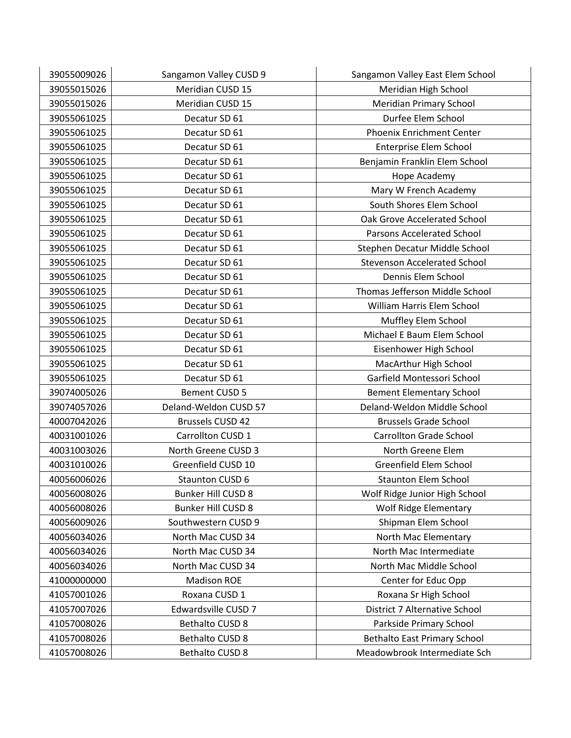| 39055009026 | Sangamon Valley CUSD 9    | Sangamon Valley East Elem School    |
|-------------|---------------------------|-------------------------------------|
| 39055015026 | Meridian CUSD 15          | Meridian High School                |
| 39055015026 | Meridian CUSD 15          | Meridian Primary School             |
| 39055061025 | Decatur SD 61             | Durfee Elem School                  |
| 39055061025 | Decatur SD 61             | <b>Phoenix Enrichment Center</b>    |
| 39055061025 | Decatur SD 61             | Enterprise Elem School              |
| 39055061025 | Decatur SD 61             | Benjamin Franklin Elem School       |
| 39055061025 | Decatur SD 61             | Hope Academy                        |
| 39055061025 | Decatur SD 61             | Mary W French Academy               |
| 39055061025 | Decatur SD 61             | South Shores Elem School            |
| 39055061025 | Decatur SD 61             | Oak Grove Accelerated School        |
| 39055061025 | Decatur SD 61             | Parsons Accelerated School          |
| 39055061025 | Decatur SD 61             | Stephen Decatur Middle School       |
| 39055061025 | Decatur SD 61             | <b>Stevenson Accelerated School</b> |
| 39055061025 | Decatur SD 61             | Dennis Elem School                  |
| 39055061025 | Decatur SD 61             | Thomas Jefferson Middle School      |
| 39055061025 | Decatur SD 61             | William Harris Elem School          |
| 39055061025 | Decatur SD 61             | Muffley Elem School                 |
| 39055061025 | Decatur SD 61             | Michael E Baum Elem School          |
| 39055061025 | Decatur SD 61             | Eisenhower High School              |
| 39055061025 | Decatur SD 61             | MacArthur High School               |
| 39055061025 | Decatur SD 61             | Garfield Montessori School          |
| 39074005026 | <b>Bement CUSD 5</b>      | <b>Bement Elementary School</b>     |
| 39074057026 | Deland-Weldon CUSD 57     | Deland-Weldon Middle School         |
| 40007042026 | <b>Brussels CUSD 42</b>   | <b>Brussels Grade School</b>        |
| 40031001026 | Carrollton CUSD 1         | <b>Carrollton Grade School</b>      |
| 40031003026 | North Greene CUSD 3       | North Greene Elem                   |
| 40031010026 | Greenfield CUSD 10        | Greenfield Elem School              |
| 40056006026 | Staunton CUSD 6           | <b>Staunton Elem School</b>         |
| 40056008026 | <b>Bunker Hill CUSD 8</b> | Wolf Ridge Junior High School       |
| 40056008026 | Bunker Hill CUSD 8        | <b>Wolf Ridge Elementary</b>        |
| 40056009026 | Southwestern CUSD 9       | Shipman Elem School                 |
| 40056034026 | North Mac CUSD 34         | North Mac Elementary                |
| 40056034026 | North Mac CUSD 34         | North Mac Intermediate              |
| 40056034026 | North Mac CUSD 34         | North Mac Middle School             |
| 41000000000 | <b>Madison ROE</b>        | Center for Educ Opp                 |
| 41057001026 | Roxana CUSD 1             | Roxana Sr High School               |
| 41057007026 | Edwardsville CUSD 7       | District 7 Alternative School       |
| 41057008026 | <b>Bethalto CUSD 8</b>    | Parkside Primary School             |
| 41057008026 | Bethalto CUSD 8           | <b>Bethalto East Primary School</b> |
| 41057008026 | Bethalto CUSD 8           | Meadowbrook Intermediate Sch        |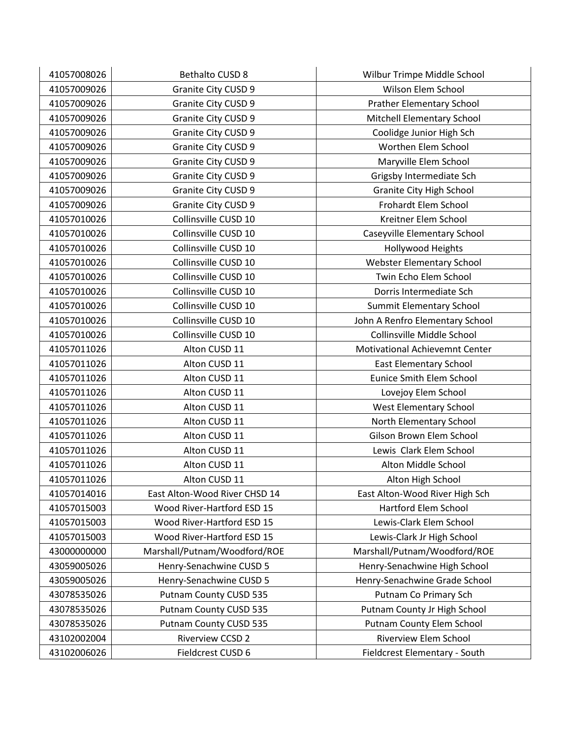| 41057008026 | <b>Bethalto CUSD 8</b>        | Wilbur Trimpe Middle School      |
|-------------|-------------------------------|----------------------------------|
| 41057009026 | Granite City CUSD 9           | Wilson Elem School               |
| 41057009026 | Granite City CUSD 9           | <b>Prather Elementary School</b> |
| 41057009026 | Granite City CUSD 9           | Mitchell Elementary School       |
| 41057009026 | Granite City CUSD 9           | Coolidge Junior High Sch         |
| 41057009026 | Granite City CUSD 9           | Worthen Elem School              |
| 41057009026 | Granite City CUSD 9           | Maryville Elem School            |
| 41057009026 | Granite City CUSD 9           | Grigsby Intermediate Sch         |
| 41057009026 | Granite City CUSD 9           | <b>Granite City High School</b>  |
| 41057009026 | Granite City CUSD 9           | Frohardt Elem School             |
| 41057010026 | Collinsville CUSD 10          | Kreitner Elem School             |
| 41057010026 | Collinsville CUSD 10          | Caseyville Elementary School     |
| 41057010026 | Collinsville CUSD 10          | Hollywood Heights                |
| 41057010026 | Collinsville CUSD 10          | Webster Elementary School        |
| 41057010026 | Collinsville CUSD 10          | Twin Echo Elem School            |
| 41057010026 | Collinsville CUSD 10          | Dorris Intermediate Sch          |
| 41057010026 | Collinsville CUSD 10          | Summit Elementary School         |
| 41057010026 | Collinsville CUSD 10          | John A Renfro Elementary School  |
| 41057010026 | Collinsville CUSD 10          | Collinsville Middle School       |
| 41057011026 | Alton CUSD 11                 | Motivational Achievemnt Center   |
| 41057011026 | Alton CUSD 11                 | <b>East Elementary School</b>    |
| 41057011026 | Alton CUSD 11                 | <b>Eunice Smith Elem School</b>  |
| 41057011026 | Alton CUSD 11                 | Lovejoy Elem School              |
| 41057011026 | Alton CUSD 11                 | <b>West Elementary School</b>    |
| 41057011026 | Alton CUSD 11                 | North Elementary School          |
| 41057011026 | Alton CUSD 11                 | Gilson Brown Elem School         |
| 41057011026 | Alton CUSD 11                 | Lewis Clark Elem School          |
| 41057011026 | Alton CUSD 11                 | Alton Middle School              |
| 41057011026 | Alton CUSD 11                 | Alton High School                |
| 41057014016 | East Alton-Wood River CHSD 14 | East Alton-Wood River High Sch   |
| 41057015003 | Wood River-Hartford ESD 15    | Hartford Elem School             |
| 41057015003 | Wood River-Hartford ESD 15    | Lewis-Clark Elem School          |
| 41057015003 | Wood River-Hartford ESD 15    | Lewis-Clark Jr High School       |
| 43000000000 | Marshall/Putnam/Woodford/ROE  | Marshall/Putnam/Woodford/ROE     |
| 43059005026 | Henry-Senachwine CUSD 5       | Henry-Senachwine High School     |
| 43059005026 | Henry-Senachwine CUSD 5       | Henry-Senachwine Grade School    |
| 43078535026 | Putnam County CUSD 535        | Putnam Co Primary Sch            |
| 43078535026 | Putnam County CUSD 535        | Putnam County Jr High School     |
| 43078535026 | Putnam County CUSD 535        | Putnam County Elem School        |
| 43102002004 | <b>Riverview CCSD 2</b>       | Riverview Elem School            |
| 43102006026 | Fieldcrest CUSD 6             | Fieldcrest Elementary - South    |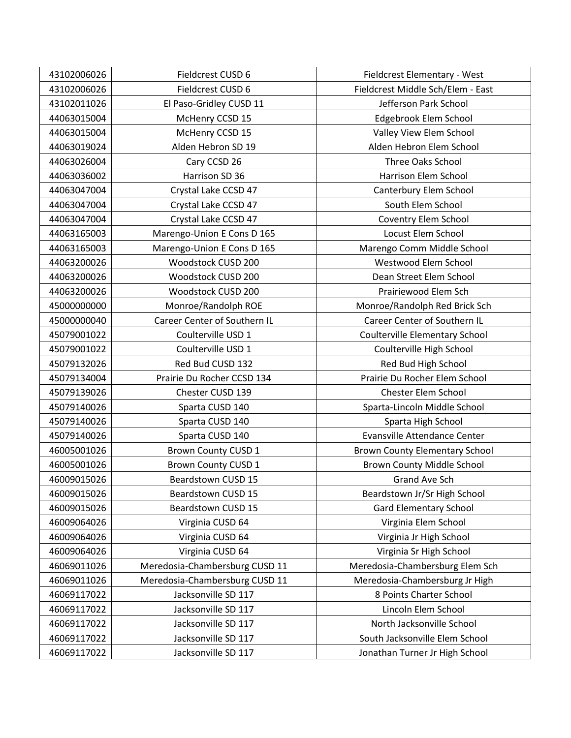| 43102006026 | Fieldcrest CUSD 6              | Fieldcrest Elementary - West          |
|-------------|--------------------------------|---------------------------------------|
| 43102006026 | Fieldcrest CUSD 6              | Fieldcrest Middle Sch/Elem - East     |
| 43102011026 | El Paso-Gridley CUSD 11        | Jefferson Park School                 |
| 44063015004 | McHenry CCSD 15                | Edgebrook Elem School                 |
| 44063015004 | McHenry CCSD 15                | Valley View Elem School               |
| 44063019024 | Alden Hebron SD 19             | Alden Hebron Elem School              |
| 44063026004 | Cary CCSD 26                   | Three Oaks School                     |
| 44063036002 | Harrison SD 36                 | Harrison Elem School                  |
| 44063047004 | Crystal Lake CCSD 47           | Canterbury Elem School                |
| 44063047004 | Crystal Lake CCSD 47           | South Elem School                     |
| 44063047004 | Crystal Lake CCSD 47           | Coventry Elem School                  |
| 44063165003 | Marengo-Union E Cons D 165     | Locust Elem School                    |
| 44063165003 | Marengo-Union E Cons D 165     | Marengo Comm Middle School            |
| 44063200026 | Woodstock CUSD 200             | Westwood Elem School                  |
| 44063200026 | Woodstock CUSD 200             | Dean Street Elem School               |
| 44063200026 | Woodstock CUSD 200             | Prairiewood Elem Sch                  |
| 45000000000 | Monroe/Randolph ROE            | Monroe/Randolph Red Brick Sch         |
| 45000000040 | Career Center of Southern IL   | Career Center of Southern IL          |
| 45079001022 | Coulterville USD 1             | Coulterville Elementary School        |
| 45079001022 | Coulterville USD 1             | Coulterville High School              |
| 45079132026 | Red Bud CUSD 132               | Red Bud High School                   |
| 45079134004 | Prairie Du Rocher CCSD 134     | Prairie Du Rocher Elem School         |
| 45079139026 | Chester CUSD 139               | Chester Elem School                   |
| 45079140026 | Sparta CUSD 140                | Sparta-Lincoln Middle School          |
| 45079140026 | Sparta CUSD 140                | Sparta High School                    |
| 45079140026 | Sparta CUSD 140                | Evansville Attendance Center          |
| 46005001026 | <b>Brown County CUSD 1</b>     | <b>Brown County Elementary School</b> |
| 46005001026 | Brown County CUSD 1            | <b>Brown County Middle School</b>     |
| 46009015026 | Beardstown CUSD 15             | <b>Grand Ave Sch</b>                  |
| 46009015026 | Beardstown CUSD 15             | Beardstown Jr/Sr High School          |
| 46009015026 | <b>Beardstown CUSD 15</b>      | <b>Gard Elementary School</b>         |
| 46009064026 | Virginia CUSD 64               | Virginia Elem School                  |
| 46009064026 | Virginia CUSD 64               | Virginia Jr High School               |
| 46009064026 | Virginia CUSD 64               | Virginia Sr High School               |
| 46069011026 | Meredosia-Chambersburg CUSD 11 | Meredosia-Chambersburg Elem Sch       |
| 46069011026 | Meredosia-Chambersburg CUSD 11 | Meredosia-Chambersburg Jr High        |
| 46069117022 | Jacksonville SD 117            | 8 Points Charter School               |
| 46069117022 | Jacksonville SD 117            | Lincoln Elem School                   |
| 46069117022 | Jacksonville SD 117            | North Jacksonville School             |
| 46069117022 | Jacksonville SD 117            | South Jacksonville Elem School        |
| 46069117022 | Jacksonville SD 117            | Jonathan Turner Jr High School        |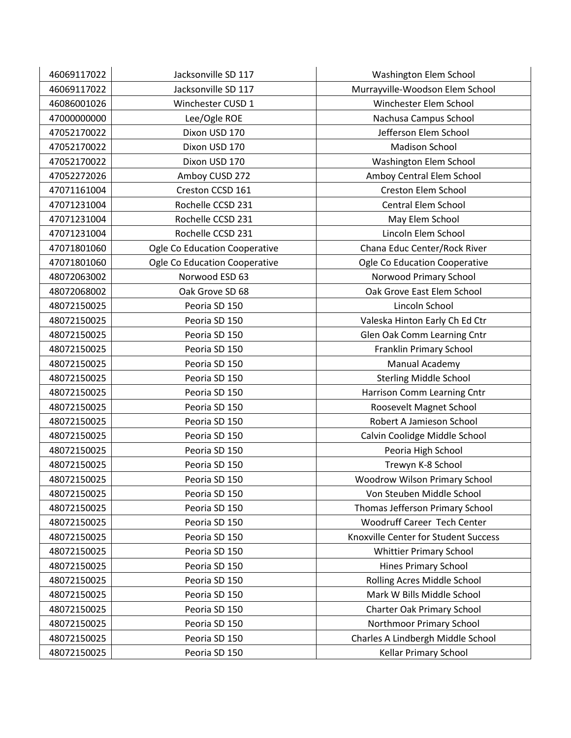| 46069117022 | Jacksonville SD 117           | Washington Elem School               |
|-------------|-------------------------------|--------------------------------------|
| 46069117022 | Jacksonville SD 117           | Murrayville-Woodson Elem School      |
| 46086001026 | Winchester CUSD 1             | Winchester Elem School               |
| 47000000000 | Lee/Ogle ROE                  | Nachusa Campus School                |
| 47052170022 | Dixon USD 170                 | Jefferson Elem School                |
| 47052170022 | Dixon USD 170                 | <b>Madison School</b>                |
| 47052170022 | Dixon USD 170                 | Washington Elem School               |
| 47052272026 | Amboy CUSD 272                | Amboy Central Elem School            |
| 47071161004 | Creston CCSD 161              | <b>Creston Elem School</b>           |
| 47071231004 | Rochelle CCSD 231             | <b>Central Elem School</b>           |
| 47071231004 | Rochelle CCSD 231             | May Elem School                      |
| 47071231004 | Rochelle CCSD 231             | Lincoln Elem School                  |
| 47071801060 | Ogle Co Education Cooperative | Chana Educ Center/Rock River         |
| 47071801060 | Ogle Co Education Cooperative | Ogle Co Education Cooperative        |
| 48072063002 | Norwood ESD 63                | Norwood Primary School               |
| 48072068002 | Oak Grove SD 68               | Oak Grove East Elem School           |
| 48072150025 | Peoria SD 150                 | Lincoln School                       |
| 48072150025 | Peoria SD 150                 | Valeska Hinton Early Ch Ed Ctr       |
| 48072150025 | Peoria SD 150                 | Glen Oak Comm Learning Cntr          |
| 48072150025 | Peoria SD 150                 | Franklin Primary School              |
| 48072150025 | Peoria SD 150                 | Manual Academy                       |
| 48072150025 | Peoria SD 150                 | <b>Sterling Middle School</b>        |
| 48072150025 | Peoria SD 150                 | Harrison Comm Learning Cntr          |
| 48072150025 | Peoria SD 150                 | Roosevelt Magnet School              |
| 48072150025 | Peoria SD 150                 | Robert A Jamieson School             |
| 48072150025 | Peoria SD 150                 | Calvin Coolidge Middle School        |
| 48072150025 | Peoria SD 150                 | Peoria High School                   |
| 48072150025 | Peoria SD 150                 | Trewyn K-8 School                    |
| 48072150025 | Peoria SD 150                 | Woodrow Wilson Primary School        |
| 48072150025 | Peoria SD 150                 | Von Steuben Middle School            |
| 48072150025 | Peoria SD 150                 | Thomas Jefferson Primary School      |
| 48072150025 | Peoria SD 150                 | Woodruff Career Tech Center          |
| 48072150025 | Peoria SD 150                 | Knoxville Center for Student Success |
| 48072150025 | Peoria SD 150                 | <b>Whittier Primary School</b>       |
| 48072150025 | Peoria SD 150                 | <b>Hines Primary School</b>          |
| 48072150025 | Peoria SD 150                 | Rolling Acres Middle School          |
| 48072150025 | Peoria SD 150                 | Mark W Bills Middle School           |
| 48072150025 | Peoria SD 150                 | <b>Charter Oak Primary School</b>    |
| 48072150025 | Peoria SD 150                 | Northmoor Primary School             |
| 48072150025 | Peoria SD 150                 | Charles A Lindbergh Middle School    |
| 48072150025 | Peoria SD 150                 | Kellar Primary School                |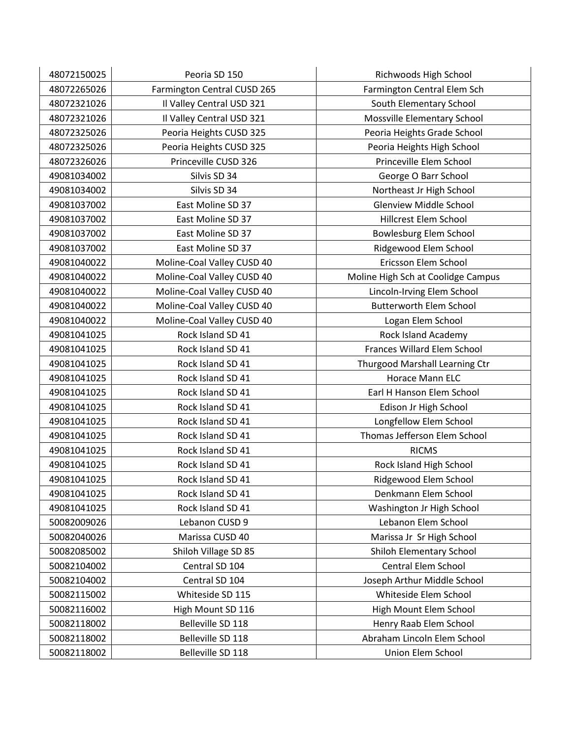| 48072150025 | Peoria SD 150               | Richwoods High School              |
|-------------|-----------------------------|------------------------------------|
| 48072265026 | Farmington Central CUSD 265 | Farmington Central Elem Sch        |
| 48072321026 | Il Valley Central USD 321   | South Elementary School            |
| 48072321026 | Il Valley Central USD 321   | Mossville Elementary School        |
| 48072325026 | Peoria Heights CUSD 325     | Peoria Heights Grade School        |
| 48072325026 | Peoria Heights CUSD 325     | Peoria Heights High School         |
| 48072326026 | Princeville CUSD 326        | Princeville Elem School            |
| 49081034002 | Silvis SD 34                | George O Barr School               |
| 49081034002 | Silvis SD 34                | Northeast Jr High School           |
| 49081037002 | East Moline SD 37           | <b>Glenview Middle School</b>      |
| 49081037002 | East Moline SD 37           | <b>Hillcrest Elem School</b>       |
| 49081037002 | East Moline SD 37           | Bowlesburg Elem School             |
| 49081037002 | East Moline SD 37           | Ridgewood Elem School              |
| 49081040022 | Moline-Coal Valley CUSD 40  | Ericsson Elem School               |
| 49081040022 | Moline-Coal Valley CUSD 40  | Moline High Sch at Coolidge Campus |
| 49081040022 | Moline-Coal Valley CUSD 40  | Lincoln-Irving Elem School         |
| 49081040022 | Moline-Coal Valley CUSD 40  | <b>Butterworth Elem School</b>     |
| 49081040022 | Moline-Coal Valley CUSD 40  | Logan Elem School                  |
| 49081041025 | Rock Island SD 41           | <b>Rock Island Academy</b>         |
| 49081041025 | Rock Island SD 41           | Frances Willard Elem School        |
| 49081041025 | Rock Island SD 41           | Thurgood Marshall Learning Ctr     |
| 49081041025 | Rock Island SD 41           | Horace Mann ELC                    |
| 49081041025 | Rock Island SD 41           | Earl H Hanson Elem School          |
| 49081041025 | Rock Island SD 41           | Edison Jr High School              |
| 49081041025 | Rock Island SD 41           | Longfellow Elem School             |
| 49081041025 | Rock Island SD 41           | Thomas Jefferson Elem School       |
| 49081041025 | Rock Island SD 41           | <b>RICMS</b>                       |
| 49081041025 | Rock Island SD 41           | Rock Island High School            |
| 49081041025 | Rock Island SD 41           | Ridgewood Elem School              |
| 49081041025 | Rock Island SD 41           | Denkmann Elem School               |
| 49081041025 | Rock Island SD 41           | Washington Jr High School          |
| 50082009026 | Lebanon CUSD 9              | Lebanon Elem School                |
| 50082040026 | Marissa CUSD 40             | Marissa Jr Sr High School          |
| 50082085002 | Shiloh Village SD 85        | <b>Shiloh Elementary School</b>    |
| 50082104002 | Central SD 104              | <b>Central Elem School</b>         |
| 50082104002 | Central SD 104              | Joseph Arthur Middle School        |
| 50082115002 | Whiteside SD 115            | Whiteside Elem School              |
| 50082116002 | High Mount SD 116           | High Mount Elem School             |
| 50082118002 | Belleville SD 118           | Henry Raab Elem School             |
| 50082118002 | Belleville SD 118           | Abraham Lincoln Elem School        |
| 50082118002 | Belleville SD 118           | Union Elem School                  |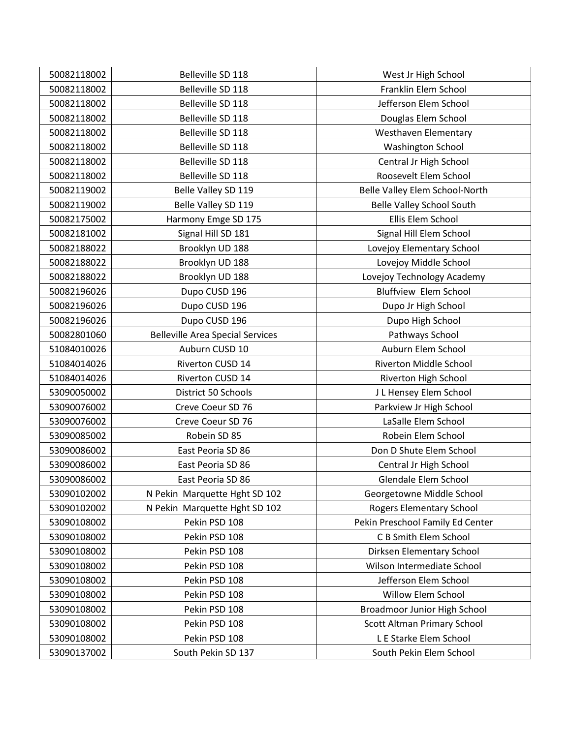| 50082118002 | Belleville SD 118                       | West Jr High School              |
|-------------|-----------------------------------------|----------------------------------|
| 50082118002 | Belleville SD 118                       | Franklin Elem School             |
| 50082118002 | Belleville SD 118                       | Jefferson Elem School            |
| 50082118002 | Belleville SD 118                       | Douglas Elem School              |
| 50082118002 | Belleville SD 118                       | Westhaven Elementary             |
| 50082118002 | Belleville SD 118                       | <b>Washington School</b>         |
| 50082118002 | Belleville SD 118                       | Central Jr High School           |
| 50082118002 | Belleville SD 118                       | Roosevelt Elem School            |
| 50082119002 | Belle Valley SD 119                     | Belle Valley Elem School-North   |
| 50082119002 | Belle Valley SD 119                     | <b>Belle Valley School South</b> |
| 50082175002 | Harmony Emge SD 175                     | Ellis Elem School                |
| 50082181002 | Signal Hill SD 181                      | Signal Hill Elem School          |
| 50082188022 | Brooklyn UD 188                         | Lovejoy Elementary School        |
| 50082188022 | Brooklyn UD 188                         | Lovejoy Middle School            |
| 50082188022 | Brooklyn UD 188                         | Lovejoy Technology Academy       |
| 50082196026 | Dupo CUSD 196                           | <b>Bluffview Elem School</b>     |
| 50082196026 | Dupo CUSD 196                           | Dupo Jr High School              |
| 50082196026 | Dupo CUSD 196                           | Dupo High School                 |
| 50082801060 | <b>Belleville Area Special Services</b> | Pathways School                  |
| 51084010026 | Auburn CUSD 10                          | Auburn Elem School               |
| 51084014026 | Riverton CUSD 14                        | <b>Riverton Middle School</b>    |
| 51084014026 | Riverton CUSD 14                        | Riverton High School             |
| 53090050002 | District 50 Schools                     | J L Hensey Elem School           |
| 53090076002 | Creve Coeur SD 76                       | Parkview Jr High School          |
| 53090076002 | Creve Coeur SD 76                       | LaSalle Elem School              |
| 53090085002 | Robein SD 85                            | Robein Elem School               |
| 53090086002 | East Peoria SD 86                       | Don D Shute Elem School          |
| 53090086002 | East Peoria SD 86                       | Central Jr High School           |
| 53090086002 | East Peoria SD 86                       | Glendale Elem School             |
| 53090102002 | N Pekin Marquette Hght SD 102           | Georgetowne Middle School        |
| 53090102002 | N Pekin Marquette Hght SD 102           | <b>Rogers Elementary School</b>  |
| 53090108002 | Pekin PSD 108                           | Pekin Preschool Family Ed Center |
| 53090108002 | Pekin PSD 108                           | C B Smith Elem School            |
| 53090108002 | Pekin PSD 108                           | Dirksen Elementary School        |
| 53090108002 | Pekin PSD 108                           | Wilson Intermediate School       |
| 53090108002 | Pekin PSD 108                           | Jefferson Elem School            |
| 53090108002 | Pekin PSD 108                           | Willow Elem School               |
| 53090108002 | Pekin PSD 108                           | Broadmoor Junior High School     |
| 53090108002 | Pekin PSD 108                           | Scott Altman Primary School      |
| 53090108002 | Pekin PSD 108                           | L E Starke Elem School           |
| 53090137002 | South Pekin SD 137                      | South Pekin Elem School          |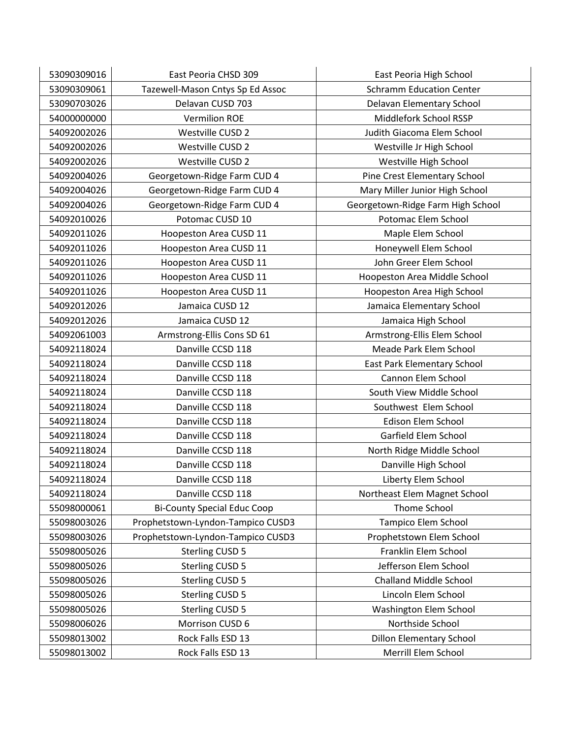| 53090309016 | East Peoria CHSD 309               | East Peoria High School           |
|-------------|------------------------------------|-----------------------------------|
| 53090309061 | Tazewell-Mason Cntys Sp Ed Assoc   | <b>Schramm Education Center</b>   |
| 53090703026 | Delavan CUSD 703                   | Delavan Elementary School         |
| 54000000000 | <b>Vermilion ROE</b>               | Middlefork School RSSP            |
| 54092002026 | Westville CUSD 2                   | Judith Giacoma Elem School        |
| 54092002026 | Westville CUSD 2                   | Westville Jr High School          |
| 54092002026 | Westville CUSD 2                   | Westville High School             |
| 54092004026 | Georgetown-Ridge Farm CUD 4        | Pine Crest Elementary School      |
| 54092004026 | Georgetown-Ridge Farm CUD 4        | Mary Miller Junior High School    |
| 54092004026 | Georgetown-Ridge Farm CUD 4        | Georgetown-Ridge Farm High School |
| 54092010026 | Potomac CUSD 10                    | Potomac Elem School               |
| 54092011026 | Hoopeston Area CUSD 11             | Maple Elem School                 |
| 54092011026 | Hoopeston Area CUSD 11             | Honeywell Elem School             |
| 54092011026 | Hoopeston Area CUSD 11             | John Greer Elem School            |
| 54092011026 | Hoopeston Area CUSD 11             | Hoopeston Area Middle School      |
| 54092011026 | Hoopeston Area CUSD 11             | Hoopeston Area High School        |
| 54092012026 | Jamaica CUSD 12                    | Jamaica Elementary School         |
| 54092012026 | Jamaica CUSD 12                    | Jamaica High School               |
| 54092061003 | Armstrong-Ellis Cons SD 61         | Armstrong-Ellis Elem School       |
| 54092118024 | Danville CCSD 118                  | Meade Park Elem School            |
| 54092118024 | Danville CCSD 118                  | East Park Elementary School       |
| 54092118024 | Danville CCSD 118                  | Cannon Elem School                |
| 54092118024 | Danville CCSD 118                  | South View Middle School          |
| 54092118024 | Danville CCSD 118                  | Southwest Elem School             |
| 54092118024 | Danville CCSD 118                  | <b>Edison Elem School</b>         |
| 54092118024 | Danville CCSD 118                  | Garfield Elem School              |
| 54092118024 | Danville CCSD 118                  | North Ridge Middle School         |
| 54092118024 | Danville CCSD 118                  | Danville High School              |
| 54092118024 | Danville CCSD 118                  | Liberty Elem School               |
| 54092118024 | Danville CCSD 118                  | Northeast Elem Magnet School      |
| 55098000061 | <b>Bi-County Special Educ Coop</b> | Thome School                      |
| 55098003026 | Prophetstown-Lyndon-Tampico CUSD3  | Tampico Elem School               |
| 55098003026 | Prophetstown-Lyndon-Tampico CUSD3  | Prophetstown Elem School          |
| 55098005026 | <b>Sterling CUSD 5</b>             | Franklin Elem School              |
| 55098005026 | <b>Sterling CUSD 5</b>             | Jefferson Elem School             |
| 55098005026 | <b>Sterling CUSD 5</b>             | <b>Challand Middle School</b>     |
| 55098005026 | <b>Sterling CUSD 5</b>             | Lincoln Elem School               |
| 55098005026 | <b>Sterling CUSD 5</b>             | Washington Elem School            |
| 55098006026 | Morrison CUSD 6                    | Northside School                  |
| 55098013002 | Rock Falls ESD 13                  | <b>Dillon Elementary School</b>   |
| 55098013002 | Rock Falls ESD 13                  | Merrill Elem School               |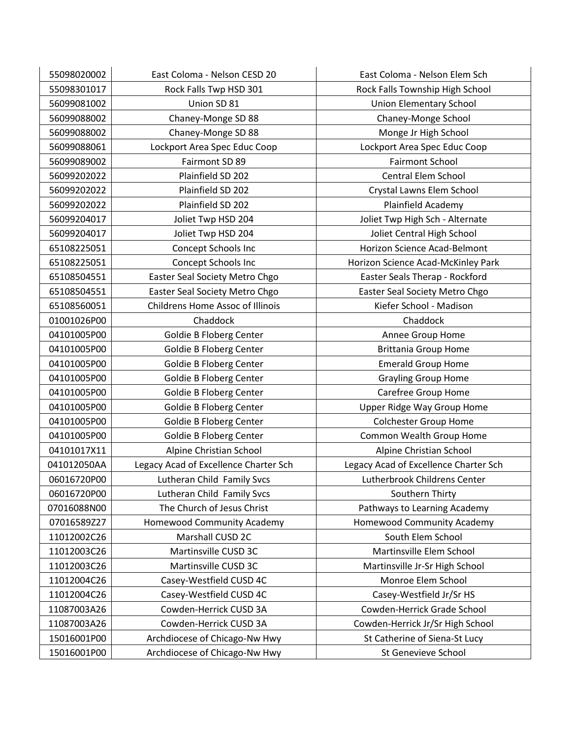| 55098020002 | East Coloma - Nelson CESD 20          | East Coloma - Nelson Elem Sch         |
|-------------|---------------------------------------|---------------------------------------|
| 55098301017 | Rock Falls Twp HSD 301                | Rock Falls Township High School       |
| 56099081002 | Union SD 81                           | <b>Union Elementary School</b>        |
| 56099088002 | Chaney-Monge SD 88                    | Chaney-Monge School                   |
| 56099088002 | Chaney-Monge SD 88                    | Monge Jr High School                  |
| 56099088061 | Lockport Area Spec Educ Coop          | Lockport Area Spec Educ Coop          |
| 56099089002 | Fairmont SD 89                        | <b>Fairmont School</b>                |
| 56099202022 | Plainfield SD 202                     | <b>Central Elem School</b>            |
| 56099202022 | Plainfield SD 202                     | Crystal Lawns Elem School             |
| 56099202022 | Plainfield SD 202                     | Plainfield Academy                    |
| 56099204017 | Joliet Twp HSD 204                    | Joliet Twp High Sch - Alternate       |
| 56099204017 | Joliet Twp HSD 204                    | Joliet Central High School            |
| 65108225051 | Concept Schools Inc                   | Horizon Science Acad-Belmont          |
| 65108225051 | Concept Schools Inc                   | Horizon Science Acad-McKinley Park    |
| 65108504551 | Easter Seal Society Metro Chgo        | Easter Seals Therap - Rockford        |
| 65108504551 | Easter Seal Society Metro Chgo        | Easter Seal Society Metro Chgo        |
| 65108560051 | Childrens Home Assoc of Illinois      | Kiefer School - Madison               |
| 01001026P00 | Chaddock                              | Chaddock                              |
| 04101005P00 | <b>Goldie B Floberg Center</b>        | Annee Group Home                      |
| 04101005P00 | <b>Goldie B Floberg Center</b>        | <b>Brittania Group Home</b>           |
| 04101005P00 | <b>Goldie B Floberg Center</b>        | <b>Emerald Group Home</b>             |
| 04101005P00 | <b>Goldie B Floberg Center</b>        | <b>Grayling Group Home</b>            |
| 04101005P00 | <b>Goldie B Floberg Center</b>        | Carefree Group Home                   |
| 04101005P00 | <b>Goldie B Floberg Center</b>        | Upper Ridge Way Group Home            |
| 04101005P00 | <b>Goldie B Floberg Center</b>        | <b>Colchester Group Home</b>          |
| 04101005P00 | <b>Goldie B Floberg Center</b>        | Common Wealth Group Home              |
| 04101017X11 | Alpine Christian School               | Alpine Christian School               |
| 041012050AA | Legacy Acad of Excellence Charter Sch | Legacy Acad of Excellence Charter Sch |
| 06016720P00 | Lutheran Child Family Svcs            | Lutherbrook Childrens Center          |
| 06016720P00 | Lutheran Child Family Svcs            | Southern Thirty                       |
| 07016088N00 | The Church of Jesus Christ            | Pathways to Learning Academy          |
| 07016589Z27 | <b>Homewood Community Academy</b>     | <b>Homewood Community Academy</b>     |
| 11012002C26 | Marshall CUSD 2C                      | South Elem School                     |
| 11012003C26 | Martinsville CUSD 3C                  | Martinsville Elem School              |
| 11012003C26 | Martinsville CUSD 3C                  | Martinsville Jr-Sr High School        |
| 11012004C26 | Casey-Westfield CUSD 4C               | Monroe Elem School                    |
| 11012004C26 | Casey-Westfield CUSD 4C               | Casey-Westfield Jr/Sr HS              |
| 11087003A26 | Cowden-Herrick CUSD 3A                | Cowden-Herrick Grade School           |
| 11087003A26 | Cowden-Herrick CUSD 3A                | Cowden-Herrick Jr/Sr High School      |
| 15016001P00 | Archdiocese of Chicago-Nw Hwy         | St Catherine of Siena-St Lucy         |
| 15016001P00 | Archdiocese of Chicago-Nw Hwy         | St Genevieve School                   |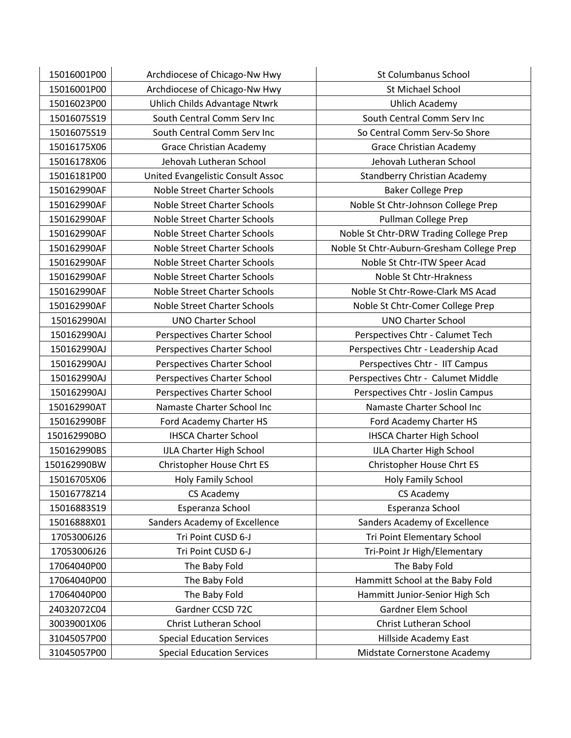| 15016001P00 | Archdiocese of Chicago-Nw Hwy       | St Columbanus School                      |
|-------------|-------------------------------------|-------------------------------------------|
| 15016001P00 | Archdiocese of Chicago-Nw Hwy       | St Michael School                         |
| 15016023P00 | Uhlich Childs Advantage Ntwrk       | <b>Uhlich Academy</b>                     |
| 15016075S19 | South Central Comm Serv Inc         | South Central Comm Serv Inc               |
| 15016075S19 | South Central Comm Serv Inc         | So Central Comm Serv-So Shore             |
| 15016175X06 | <b>Grace Christian Academy</b>      | <b>Grace Christian Academy</b>            |
| 15016178X06 | Jehovah Lutheran School             | Jehovah Lutheran School                   |
| 15016181P00 | United Evangelistic Consult Assoc   | <b>Standberry Christian Academy</b>       |
| 150162990AF | Noble Street Charter Schools        | <b>Baker College Prep</b>                 |
| 150162990AF | Noble Street Charter Schools        | Noble St Chtr-Johnson College Prep        |
| 150162990AF | <b>Noble Street Charter Schools</b> | Pullman College Prep                      |
| 150162990AF | Noble Street Charter Schools        | Noble St Chtr-DRW Trading College Prep    |
| 150162990AF | <b>Noble Street Charter Schools</b> | Noble St Chtr-Auburn-Gresham College Prep |
| 150162990AF | Noble Street Charter Schools        | Noble St Chtr-ITW Speer Acad              |
| 150162990AF | Noble Street Charter Schools        | Noble St Chtr-Hrakness                    |
| 150162990AF | <b>Noble Street Charter Schools</b> | Noble St Chtr-Rowe-Clark MS Acad          |
| 150162990AF | <b>Noble Street Charter Schools</b> | Noble St Chtr-Comer College Prep          |
| 150162990AI | <b>UNO Charter School</b>           | <b>UNO Charter School</b>                 |
| 150162990AJ | Perspectives Charter School         | Perspectives Chtr - Calumet Tech          |
| 150162990AJ | Perspectives Charter School         | Perspectives Chtr - Leadership Acad       |
| 150162990AJ | Perspectives Charter School         | Perspectives Chtr - IIT Campus            |
| 150162990AJ | Perspectives Charter School         | Perspectives Chtr - Calumet Middle        |
| 150162990AJ | Perspectives Charter School         | Perspectives Chtr - Joslin Campus         |
| 150162990AT | Namaste Charter School Inc          | Namaste Charter School Inc                |
| 150162990BF | Ford Academy Charter HS             | Ford Academy Charter HS                   |
| 150162990BO | <b>IHSCA Charter School</b>         | <b>IHSCA Charter High School</b>          |
| 150162990BS | <b>IJLA Charter High School</b>     | <b>IJLA Charter High School</b>           |
| 150162990BW | Christopher House Chrt ES           | Christopher House Chrt ES                 |
| 15016705X06 | <b>Holy Family School</b>           | <b>Holy Family School</b>                 |
| 15016778Z14 | CS Academy                          | CS Academy                                |
| 15016883S19 | Esperanza School                    | Esperanza School                          |
| 15016888X01 | Sanders Academy of Excellence       | Sanders Academy of Excellence             |
| 17053006J26 | Tri Point CUSD 6-J                  | Tri Point Elementary School               |
| 17053006J26 | Tri Point CUSD 6-J                  | Tri-Point Jr High/Elementary              |
| 17064040P00 | The Baby Fold                       | The Baby Fold                             |
| 17064040P00 | The Baby Fold                       | Hammitt School at the Baby Fold           |
| 17064040P00 | The Baby Fold                       | Hammitt Junior-Senior High Sch            |
| 24032072C04 | Gardner CCSD 72C                    | Gardner Elem School                       |
| 30039001X06 | Christ Lutheran School              | Christ Lutheran School                    |
| 31045057P00 | <b>Special Education Services</b>   | Hillside Academy East                     |
| 31045057P00 | <b>Special Education Services</b>   | Midstate Cornerstone Academy              |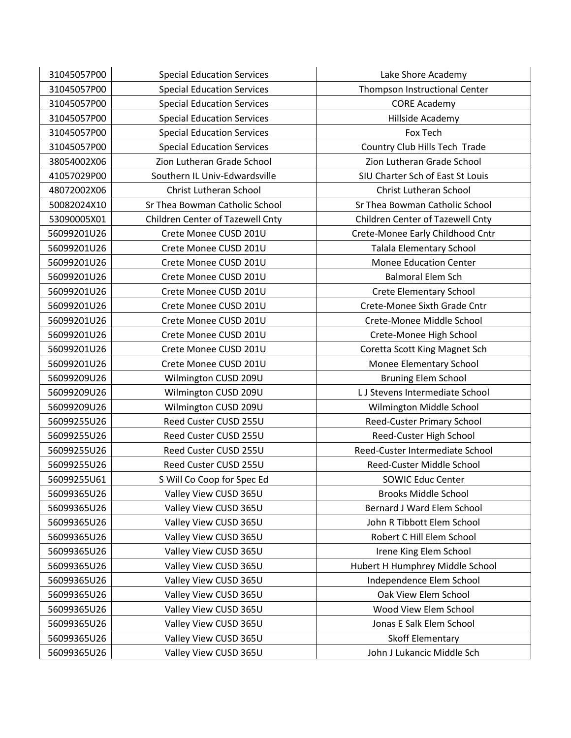| 31045057P00 | <b>Special Education Services</b> | Lake Shore Academy               |
|-------------|-----------------------------------|----------------------------------|
| 31045057P00 | <b>Special Education Services</b> | Thompson Instructional Center    |
| 31045057P00 | <b>Special Education Services</b> | <b>CORE Academy</b>              |
| 31045057P00 | <b>Special Education Services</b> | Hillside Academy                 |
| 31045057P00 | <b>Special Education Services</b> | Fox Tech                         |
| 31045057P00 | <b>Special Education Services</b> | Country Club Hills Tech Trade    |
| 38054002X06 | Zion Lutheran Grade School        | Zion Lutheran Grade School       |
| 41057029P00 | Southern IL Univ-Edwardsville     | SIU Charter Sch of East St Louis |
| 48072002X06 | Christ Lutheran School            | Christ Lutheran School           |
| 50082024X10 | Sr Thea Bowman Catholic School    | Sr Thea Bowman Catholic School   |
| 53090005X01 | Children Center of Tazewell Cnty  | Children Center of Tazewell Cnty |
| 56099201U26 | Crete Monee CUSD 201U             | Crete-Monee Early Childhood Cntr |
| 56099201U26 | Crete Monee CUSD 201U             | <b>Talala Elementary School</b>  |
| 56099201U26 | Crete Monee CUSD 201U             | <b>Monee Education Center</b>    |
| 56099201U26 | Crete Monee CUSD 201U             | <b>Balmoral Elem Sch</b>         |
| 56099201U26 | Crete Monee CUSD 201U             | <b>Crete Elementary School</b>   |
| 56099201U26 | Crete Monee CUSD 201U             | Crete-Monee Sixth Grade Cntr     |
| 56099201U26 | Crete Monee CUSD 201U             | Crete-Monee Middle School        |
| 56099201U26 | Crete Monee CUSD 201U             | Crete-Monee High School          |
| 56099201U26 | Crete Monee CUSD 201U             | Coretta Scott King Magnet Sch    |
| 56099201U26 | Crete Monee CUSD 201U             | Monee Elementary School          |
| 56099209U26 | Wilmington CUSD 209U              | <b>Bruning Elem School</b>       |
| 56099209U26 | Wilmington CUSD 209U              | L J Stevens Intermediate School  |
| 56099209U26 | Wilmington CUSD 209U              | Wilmington Middle School         |
| 56099255U26 | Reed Custer CUSD 255U             | Reed-Custer Primary School       |
| 56099255U26 | Reed Custer CUSD 255U             | Reed-Custer High School          |
| 56099255U26 | Reed Custer CUSD 255U             | Reed-Custer Intermediate School  |
| 56099255U26 | Reed Custer CUSD 255U             | Reed-Custer Middle School        |
| 56099255U61 | S Will Co Coop for Spec Ed        | <b>SOWIC Educ Center</b>         |
| 56099365U26 | Valley View CUSD 365U             | <b>Brooks Middle School</b>      |
| 56099365U26 | Valley View CUSD 365U             | Bernard J Ward Elem School       |
| 56099365U26 | Valley View CUSD 365U             | John R Tibbott Elem School       |
| 56099365U26 | Valley View CUSD 365U             | Robert C Hill Elem School        |
| 56099365U26 | Valley View CUSD 365U             | Irene King Elem School           |
| 56099365U26 | Valley View CUSD 365U             | Hubert H Humphrey Middle School  |
| 56099365U26 | Valley View CUSD 365U             | Independence Elem School         |
| 56099365U26 | Valley View CUSD 365U             | Oak View Elem School             |
| 56099365U26 | Valley View CUSD 365U             | Wood View Elem School            |
| 56099365U26 | Valley View CUSD 365U             | Jonas E Salk Elem School         |
| 56099365U26 | Valley View CUSD 365U             | Skoff Elementary                 |
| 56099365U26 | Valley View CUSD 365U             | John J Lukancic Middle Sch       |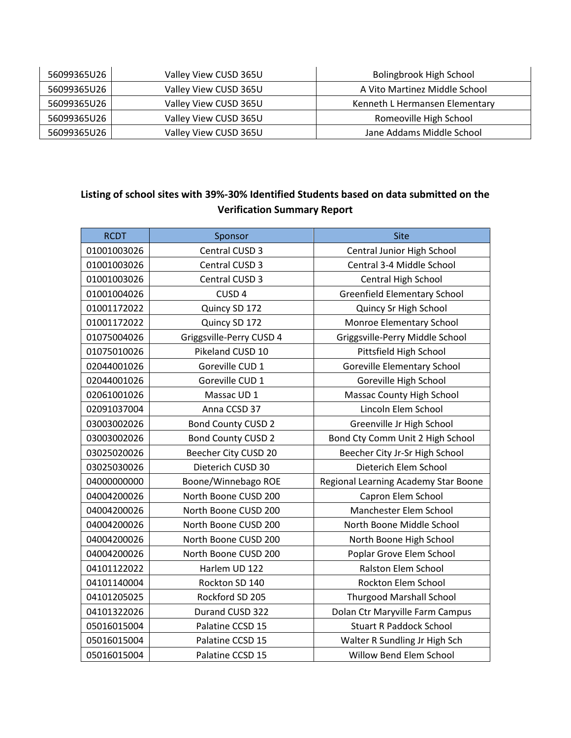| 56099365U26 | Valley View CUSD 365U | Bolingbrook High School        |
|-------------|-----------------------|--------------------------------|
| 56099365U26 | Valley View CUSD 365U | A Vito Martinez Middle School  |
| 56099365U26 | Valley View CUSD 365U | Kenneth L Hermansen Elementary |
| 56099365U26 | Valley View CUSD 365U | Romeoville High School         |
| 56099365U26 | Valley View CUSD 365U | Jane Addams Middle School      |

#### **Listing of school sites with 39%-30% Identified Students based on data submitted on the Verification Summary Report**

| <b>RCDT</b> | Sponsor                   | <b>Site</b>                          |
|-------------|---------------------------|--------------------------------------|
| 01001003026 | Central CUSD 3            | Central Junior High School           |
| 01001003026 | Central CUSD 3            | Central 3-4 Middle School            |
| 01001003026 | Central CUSD 3            | Central High School                  |
| 01001004026 | CUSD <sub>4</sub>         | <b>Greenfield Elementary School</b>  |
| 01001172022 | Quincy SD 172             | Quincy Sr High School                |
| 01001172022 | Quincy SD 172             | Monroe Elementary School             |
| 01075004026 | Griggsville-Perry CUSD 4  | Griggsville-Perry Middle School      |
| 01075010026 | Pikeland CUSD 10          | Pittsfield High School               |
| 02044001026 | Goreville CUD 1           | <b>Goreville Elementary School</b>   |
| 02044001026 | Goreville CUD 1           | Goreville High School                |
| 02061001026 | Massac UD 1               | Massac County High School            |
| 02091037004 | Anna CCSD 37              | Lincoln Elem School                  |
| 03003002026 | <b>Bond County CUSD 2</b> | Greenville Jr High School            |
| 03003002026 | <b>Bond County CUSD 2</b> | Bond Cty Comm Unit 2 High School     |
| 03025020026 | Beecher City CUSD 20      | Beecher City Jr-Sr High School       |
| 03025030026 | Dieterich CUSD 30         | Dieterich Elem School                |
| 04000000000 | Boone/Winnebago ROE       | Regional Learning Academy Star Boone |
| 04004200026 | North Boone CUSD 200      | Capron Elem School                   |
| 04004200026 | North Boone CUSD 200      | Manchester Elem School               |
| 04004200026 | North Boone CUSD 200      | North Boone Middle School            |
| 04004200026 | North Boone CUSD 200      | North Boone High School              |
| 04004200026 | North Boone CUSD 200      | Poplar Grove Elem School             |
| 04101122022 | Harlem UD 122             | Ralston Elem School                  |
| 04101140004 | Rockton SD 140            | Rockton Elem School                  |
| 04101205025 | Rockford SD 205           | <b>Thurgood Marshall School</b>      |
| 04101322026 | Durand CUSD 322           | Dolan Ctr Maryville Farm Campus      |
| 05016015004 | Palatine CCSD 15          | <b>Stuart R Paddock School</b>       |
| 05016015004 | Palatine CCSD 15          | Walter R Sundling Jr High Sch        |
| 05016015004 | Palatine CCSD 15          | Willow Bend Elem School              |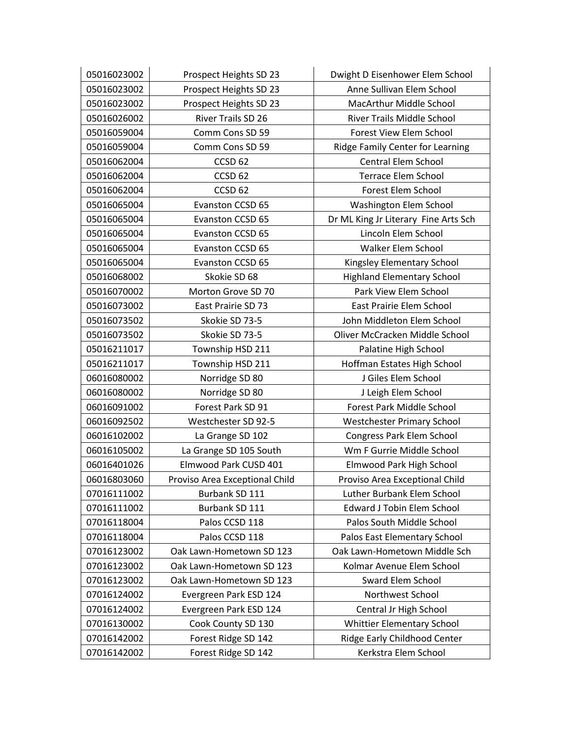| 05016023002 | Prospect Heights SD 23         | Dwight D Eisenhower Elem School      |
|-------------|--------------------------------|--------------------------------------|
| 05016023002 | Prospect Heights SD 23         | Anne Sullivan Elem School            |
| 05016023002 | Prospect Heights SD 23         | MacArthur Middle School              |
| 05016026002 | <b>River Trails SD 26</b>      | <b>River Trails Middle School</b>    |
| 05016059004 | Comm Cons SD 59                | <b>Forest View Elem School</b>       |
| 05016059004 | Comm Cons SD 59                | Ridge Family Center for Learning     |
| 05016062004 | CCSD <sub>62</sub>             | <b>Central Elem School</b>           |
| 05016062004 | CCSD <sub>62</sub>             | <b>Terrace Elem School</b>           |
| 05016062004 | CCSD <sub>62</sub>             | Forest Elem School                   |
| 05016065004 | Evanston CCSD 65               | Washington Elem School               |
| 05016065004 | Evanston CCSD 65               | Dr ML King Jr Literary Fine Arts Sch |
| 05016065004 | Evanston CCSD 65               | Lincoln Elem School                  |
| 05016065004 | Evanston CCSD 65               | <b>Walker Elem School</b>            |
| 05016065004 | Evanston CCSD 65               | Kingsley Elementary School           |
| 05016068002 | Skokie SD 68                   | <b>Highland Elementary School</b>    |
| 05016070002 | Morton Grove SD 70             | Park View Elem School                |
| 05016073002 | East Prairie SD 73             | East Prairie Elem School             |
| 05016073502 | Skokie SD 73-5                 | John Middleton Elem School           |
| 05016073502 | Skokie SD 73-5                 | Oliver McCracken Middle School       |
| 05016211017 | Township HSD 211               | Palatine High School                 |
| 05016211017 | Township HSD 211               | Hoffman Estates High School          |
| 06016080002 | Norridge SD 80                 | J Giles Elem School                  |
| 06016080002 | Norridge SD 80                 | J Leigh Elem School                  |
| 06016091002 | Forest Park SD 91              | Forest Park Middle School            |
| 06016092502 | Westchester SD 92-5            | <b>Westchester Primary School</b>    |
| 06016102002 | La Grange SD 102               | Congress Park Elem School            |
| 06016105002 | La Grange SD 105 South         | Wm F Gurrie Middle School            |
| 06016401026 | Elmwood Park CUSD 401          | Elmwood Park High School             |
| 06016803060 | Proviso Area Exceptional Child | Proviso Area Exceptional Child       |
| 07016111002 | Burbank SD 111                 | Luther Burbank Elem School           |
| 07016111002 | Burbank SD 111                 | <b>Edward J Tobin Elem School</b>    |
| 07016118004 | Palos CCSD 118                 | Palos South Middle School            |
| 07016118004 | Palos CCSD 118                 | Palos East Elementary School         |
| 07016123002 | Oak Lawn-Hometown SD 123       | Oak Lawn-Hometown Middle Sch         |
| 07016123002 | Oak Lawn-Hometown SD 123       | Kolmar Avenue Elem School            |
| 07016123002 | Oak Lawn-Hometown SD 123       | Sward Elem School                    |
| 07016124002 | Evergreen Park ESD 124         | Northwest School                     |
| 07016124002 | Evergreen Park ESD 124         | Central Jr High School               |
| 07016130002 | Cook County SD 130             | Whittier Elementary School           |
| 07016142002 | Forest Ridge SD 142            | Ridge Early Childhood Center         |
| 07016142002 | Forest Ridge SD 142            | Kerkstra Elem School                 |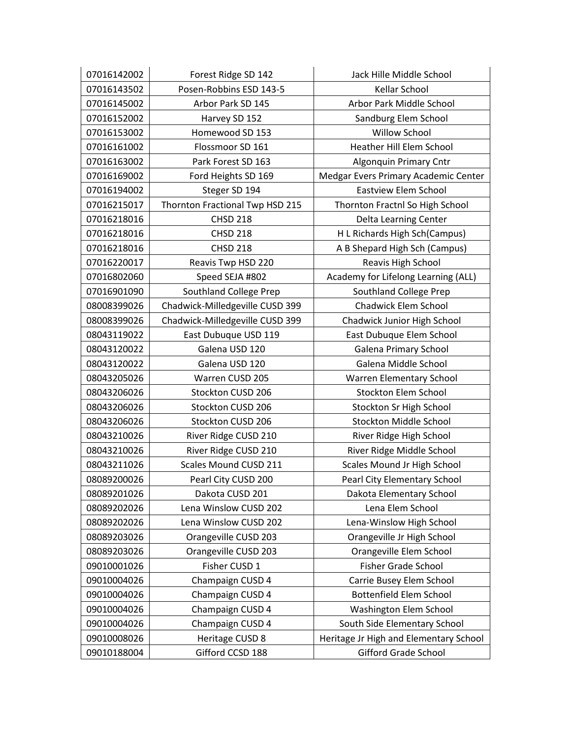| 07016142002 | Forest Ridge SD 142             | Jack Hille Middle School               |
|-------------|---------------------------------|----------------------------------------|
| 07016143502 | Posen-Robbins ESD 143-5         | Kellar School                          |
| 07016145002 | Arbor Park SD 145               | Arbor Park Middle School               |
| 07016152002 | Harvey SD 152                   | Sandburg Elem School                   |
| 07016153002 | Homewood SD 153                 | Willow School                          |
| 07016161002 | Flossmoor SD 161                | Heather Hill Elem School               |
| 07016163002 | Park Forest SD 163              | <b>Algonquin Primary Cntr</b>          |
| 07016169002 | Ford Heights SD 169             | Medgar Evers Primary Academic Center   |
| 07016194002 | Steger SD 194                   | <b>Eastview Elem School</b>            |
| 07016215017 | Thornton Fractional Twp HSD 215 | Thornton Fractnl So High School        |
| 07016218016 | <b>CHSD 218</b>                 | Delta Learning Center                  |
| 07016218016 | <b>CHSD 218</b>                 | H L Richards High Sch(Campus)          |
| 07016218016 | <b>CHSD 218</b>                 | A B Shepard High Sch (Campus)          |
| 07016220017 | Reavis Twp HSD 220              | Reavis High School                     |
| 07016802060 | Speed SEJA #802                 | Academy for Lifelong Learning (ALL)    |
| 07016901090 | <b>Southland College Prep</b>   | <b>Southland College Prep</b>          |
| 08008399026 | Chadwick-Milledgeville CUSD 399 | Chadwick Elem School                   |
| 08008399026 | Chadwick-Milledgeville CUSD 399 | Chadwick Junior High School            |
| 08043119022 | East Dubuque USD 119            | East Dubuque Elem School               |
| 08043120022 | Galena USD 120                  | <b>Galena Primary School</b>           |
| 08043120022 | Galena USD 120                  | Galena Middle School                   |
| 08043205026 | Warren CUSD 205                 | <b>Warren Elementary School</b>        |
| 08043206026 | Stockton CUSD 206               | <b>Stockton Elem School</b>            |
| 08043206026 | Stockton CUSD 206               | Stockton Sr High School                |
| 08043206026 | Stockton CUSD 206               | Stockton Middle School                 |
| 08043210026 | River Ridge CUSD 210            | River Ridge High School                |
| 08043210026 | River Ridge CUSD 210            | River Ridge Middle School              |
| 08043211026 | Scales Mound CUSD 211           | Scales Mound Jr High School            |
| 08089200026 | Pearl City CUSD 200             | Pearl City Elementary School           |
| 08089201026 | Dakota CUSD 201                 | Dakota Elementary School               |
| 08089202026 | Lena Winslow CUSD 202           | Lena Elem School                       |
| 08089202026 | Lena Winslow CUSD 202           | Lena-Winslow High School               |
| 08089203026 | Orangeville CUSD 203            | Orangeville Jr High School             |
| 08089203026 | Orangeville CUSD 203            | Orangeville Elem School                |
| 09010001026 | Fisher CUSD 1                   | Fisher Grade School                    |
| 09010004026 | Champaign CUSD 4                | Carrie Busey Elem School               |
| 09010004026 | Champaign CUSD 4                | Bottenfield Elem School                |
| 09010004026 | Champaign CUSD 4                | <b>Washington Elem School</b>          |
| 09010004026 | Champaign CUSD 4                | South Side Elementary School           |
| 09010008026 | Heritage CUSD 8                 | Heritage Jr High and Elementary School |
| 09010188004 | Gifford CCSD 188                | <b>Gifford Grade School</b>            |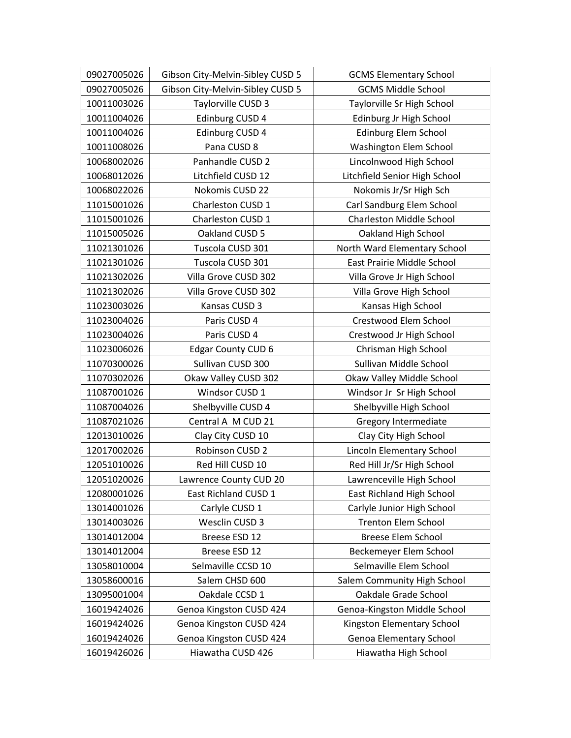| 09027005026 | Gibson City-Melvin-Sibley CUSD 5 | <b>GCMS Elementary School</b>    |
|-------------|----------------------------------|----------------------------------|
| 09027005026 | Gibson City-Melvin-Sibley CUSD 5 | <b>GCMS Middle School</b>        |
| 10011003026 | Taylorville CUSD 3               | Taylorville Sr High School       |
| 10011004026 | Edinburg CUSD 4                  | Edinburg Jr High School          |
| 10011004026 | Edinburg CUSD 4                  | Edinburg Elem School             |
| 10011008026 | Pana CUSD 8                      | Washington Elem School           |
| 10068002026 | Panhandle CUSD 2                 | Lincolnwood High School          |
| 10068012026 | Litchfield CUSD 12               | Litchfield Senior High School    |
| 10068022026 | Nokomis CUSD 22                  | Nokomis Jr/Sr High Sch           |
| 11015001026 | Charleston CUSD 1                | Carl Sandburg Elem School        |
| 11015001026 | Charleston CUSD 1                | Charleston Middle School         |
| 11015005026 | Oakland CUSD 5                   | Oakland High School              |
| 11021301026 | Tuscola CUSD 301                 | North Ward Elementary School     |
| 11021301026 | Tuscola CUSD 301                 | East Prairie Middle School       |
| 11021302026 | Villa Grove CUSD 302             | Villa Grove Jr High School       |
| 11021302026 | Villa Grove CUSD 302             | Villa Grove High School          |
| 11023003026 | Kansas CUSD 3                    | Kansas High School               |
| 11023004026 | Paris CUSD 4                     | Crestwood Elem School            |
| 11023004026 | Paris CUSD 4                     | Crestwood Jr High School         |
| 11023006026 | <b>Edgar County CUD 6</b>        | Chrisman High School             |
| 11070300026 | Sullivan CUSD 300                | Sullivan Middle School           |
| 11070302026 | Okaw Valley CUSD 302             | Okaw Valley Middle School        |
| 11087001026 | Windsor CUSD 1                   | Windsor Jr Sr High School        |
| 11087004026 | Shelbyville CUSD 4               | Shelbyville High School          |
| 11087021026 | Central A M CUD 21               | Gregory Intermediate             |
| 12013010026 | Clay City CUSD 10                | Clay City High School            |
| 12017002026 | Robinson CUSD 2                  | Lincoln Elementary School        |
| 12051010026 | Red Hill CUSD 10                 | Red Hill Jr/Sr High School       |
| 12051020026 | Lawrence County CUD 20           | Lawrenceville High School        |
| 12080001026 | East Richland CUSD 1             | <b>East Richland High School</b> |
| 13014001026 | Carlyle CUSD 1                   | Carlyle Junior High School       |
| 13014003026 | Wesclin CUSD 3                   | <b>Trenton Elem School</b>       |
| 13014012004 | Breese ESD 12                    | Breese Elem School               |
| 13014012004 | Breese ESD 12                    | Beckemeyer Elem School           |
| 13058010004 | Selmaville CCSD 10               | Selmaville Elem School           |
| 13058600016 | Salem CHSD 600                   | Salem Community High School      |
| 13095001004 | Oakdale CCSD 1                   | Oakdale Grade School             |
| 16019424026 | Genoa Kingston CUSD 424          | Genoa-Kingston Middle School     |
| 16019424026 | Genoa Kingston CUSD 424          | Kingston Elementary School       |
| 16019424026 | Genoa Kingston CUSD 424          | <b>Genoa Elementary School</b>   |
| 16019426026 | Hiawatha CUSD 426                | Hiawatha High School             |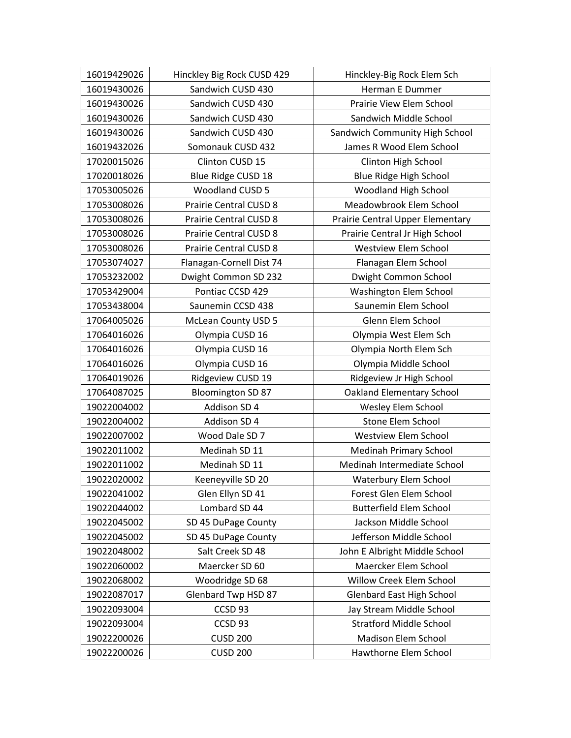| 16019429026 | Hinckley Big Rock CUSD 429    | Hinckley-Big Rock Elem Sch       |
|-------------|-------------------------------|----------------------------------|
| 16019430026 | Sandwich CUSD 430             | <b>Herman E Dummer</b>           |
| 16019430026 | Sandwich CUSD 430             | Prairie View Elem School         |
| 16019430026 | Sandwich CUSD 430             | Sandwich Middle School           |
| 16019430026 | Sandwich CUSD 430             | Sandwich Community High School   |
| 16019432026 | Somonauk CUSD 432             | James R Wood Elem School         |
| 17020015026 | Clinton CUSD 15               | Clinton High School              |
| 17020018026 | Blue Ridge CUSD 18            | <b>Blue Ridge High School</b>    |
| 17053005026 | Woodland CUSD 5               | Woodland High School             |
| 17053008026 | <b>Prairie Central CUSD 8</b> | Meadowbrook Elem School          |
| 17053008026 | Prairie Central CUSD 8        | Prairie Central Upper Elementary |
| 17053008026 | Prairie Central CUSD 8        | Prairie Central Jr High School   |
| 17053008026 | <b>Prairie Central CUSD 8</b> | <b>Westview Elem School</b>      |
| 17053074027 | Flanagan-Cornell Dist 74      | Flanagan Elem School             |
| 17053232002 | Dwight Common SD 232          | Dwight Common School             |
| 17053429004 | Pontiac CCSD 429              | <b>Washington Elem School</b>    |
| 17053438004 | Saunemin CCSD 438             | Saunemin Elem School             |
| 17064005026 | <b>McLean County USD 5</b>    | Glenn Elem School                |
| 17064016026 | Olympia CUSD 16               | Olympia West Elem Sch            |
| 17064016026 | Olympia CUSD 16               | Olympia North Elem Sch           |
| 17064016026 | Olympia CUSD 16               | Olympia Middle School            |
| 17064019026 | Ridgeview CUSD 19             | Ridgeview Jr High School         |
| 17064087025 | <b>Bloomington SD 87</b>      | <b>Oakland Elementary School</b> |
| 19022004002 | Addison SD 4                  | Wesley Elem School               |
| 19022004002 | Addison SD 4                  | <b>Stone Elem School</b>         |
| 19022007002 | Wood Dale SD 7                | <b>Westview Elem School</b>      |
| 19022011002 | Medinah SD 11                 | Medinah Primary School           |
| 19022011002 | Medinah SD 11                 | Medinah Intermediate School      |
| 19022020002 | Keeneyville SD 20             | Waterbury Elem School            |
| 19022041002 | Glen Ellyn SD 41              | Forest Glen Elem School          |
| 19022044002 | Lombard SD 44                 | <b>Butterfield Elem School</b>   |
| 19022045002 | SD 45 DuPage County           | Jackson Middle School            |
| 19022045002 | SD 45 DuPage County           | Jefferson Middle School          |
| 19022048002 | Salt Creek SD 48              | John E Albright Middle School    |
| 19022060002 | Maercker SD 60                | Maercker Elem School             |
| 19022068002 | Woodridge SD 68               | Willow Creek Elem School         |
| 19022087017 | <b>Glenbard Twp HSD 87</b>    | <b>Glenbard East High School</b> |
| 19022093004 | CCSD 93                       | Jay Stream Middle School         |
| 19022093004 | CCSD <sub>93</sub>            | <b>Stratford Middle School</b>   |
| 19022200026 | <b>CUSD 200</b>               | Madison Elem School              |
| 19022200026 | <b>CUSD 200</b>               | Hawthorne Elem School            |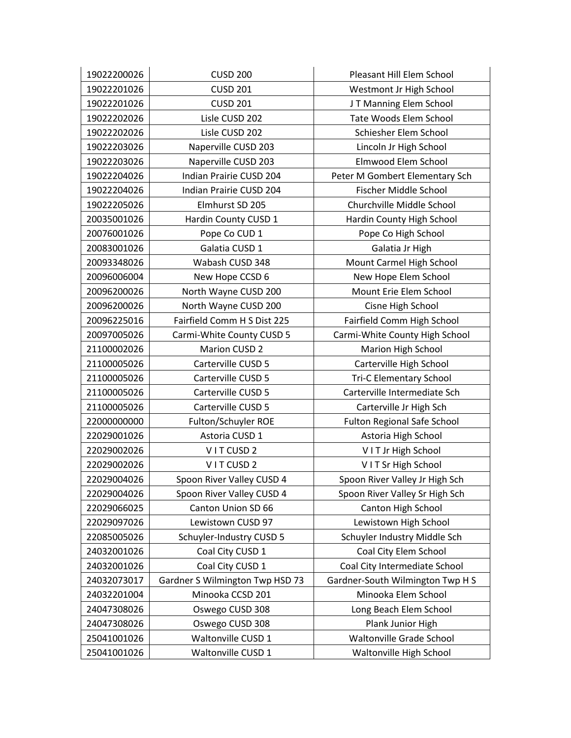| 19022200026 | <b>CUSD 200</b>                 | Pleasant Hill Elem School          |
|-------------|---------------------------------|------------------------------------|
| 19022201026 | <b>CUSD 201</b>                 | Westmont Jr High School            |
| 19022201026 | <b>CUSD 201</b>                 | JT Manning Elem School             |
| 19022202026 | Lisle CUSD 202                  | <b>Tate Woods Elem School</b>      |
| 19022202026 | Lisle CUSD 202                  | Schiesher Elem School              |
| 19022203026 | Naperville CUSD 203             | Lincoln Jr High School             |
| 19022203026 | Naperville CUSD 203             | Elmwood Elem School                |
| 19022204026 | Indian Prairie CUSD 204         | Peter M Gombert Elementary Sch     |
| 19022204026 | Indian Prairie CUSD 204         | Fischer Middle School              |
| 19022205026 | Elmhurst SD 205                 | Churchville Middle School          |
| 20035001026 | Hardin County CUSD 1            | Hardin County High School          |
| 20076001026 | Pope Co CUD 1                   | Pope Co High School                |
| 20083001026 | Galatia CUSD 1                  | Galatia Jr High                    |
| 20093348026 | Wabash CUSD 348                 | Mount Carmel High School           |
| 20096006004 | New Hope CCSD 6                 | New Hope Elem School               |
| 20096200026 | North Wayne CUSD 200            | Mount Erie Elem School             |
| 20096200026 | North Wayne CUSD 200            | Cisne High School                  |
| 20096225016 | Fairfield Comm H S Dist 225     | Fairfield Comm High School         |
| 20097005026 | Carmi-White County CUSD 5       | Carmi-White County High School     |
| 21100002026 | Marion CUSD 2                   | Marion High School                 |
| 21100005026 | Carterville CUSD 5              | Carterville High School            |
| 21100005026 | Carterville CUSD 5              | <b>Tri-C Elementary School</b>     |
| 21100005026 | Carterville CUSD 5              | Carterville Intermediate Sch       |
| 21100005026 | Carterville CUSD 5              | Carterville Jr High Sch            |
| 22000000000 | Fulton/Schuyler ROE             | <b>Fulton Regional Safe School</b> |
| 22029001026 | Astoria CUSD 1                  | Astoria High School                |
| 22029002026 | VITCUSD <sub>2</sub>            | VIT Jr High School                 |
| 22029002026 | VITCUSD <sub>2</sub>            | VIT Sr High School                 |
| 22029004026 | Spoon River Valley CUSD 4       | Spoon River Valley Jr High Sch     |
| 22029004026 | Spoon River Valley CUSD 4       | Spoon River Valley Sr High Sch     |
| 22029066025 | Canton Union SD 66              | Canton High School                 |
| 22029097026 | Lewistown CUSD 97               | Lewistown High School              |
| 22085005026 | Schuyler-Industry CUSD 5        | Schuyler Industry Middle Sch       |
| 24032001026 | Coal City CUSD 1                | Coal City Elem School              |
| 24032001026 | Coal City CUSD 1                | Coal City Intermediate School      |
| 24032073017 | Gardner S Wilmington Twp HSD 73 | Gardner-South Wilmington Twp H S   |
| 24032201004 | Minooka CCSD 201                | Minooka Elem School                |
| 24047308026 | Oswego CUSD 308                 | Long Beach Elem School             |
| 24047308026 | Oswego CUSD 308                 | Plank Junior High                  |
| 25041001026 | Waltonville CUSD 1              | Waltonville Grade School           |
| 25041001026 | Waltonville CUSD 1              | Waltonville High School            |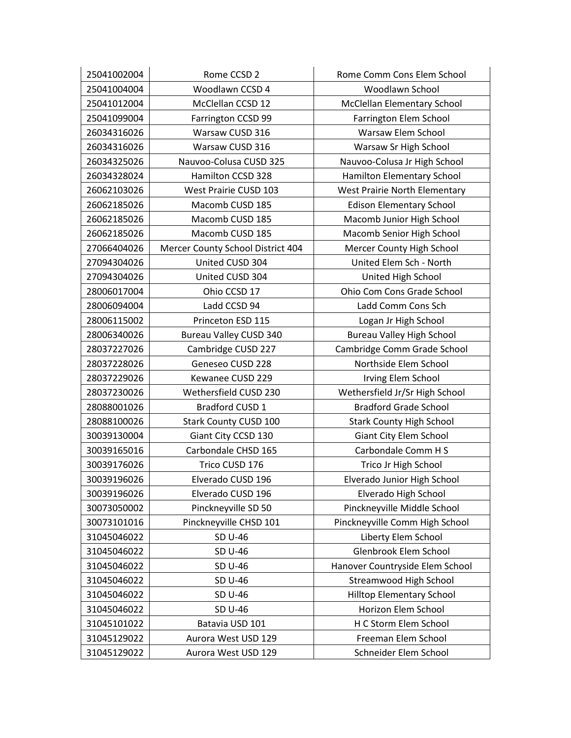| 25041002004 | Rome CCSD 2                       | Rome Comm Cons Elem School       |
|-------------|-----------------------------------|----------------------------------|
| 25041004004 | Woodlawn CCSD 4                   | Woodlawn School                  |
| 25041012004 | McClellan CCSD 12                 | McClellan Elementary School      |
| 25041099004 | Farrington CCSD 99                | Farrington Elem School           |
| 26034316026 | Warsaw CUSD 316                   | Warsaw Elem School               |
| 26034316026 | Warsaw CUSD 316                   | Warsaw Sr High School            |
| 26034325026 | Nauvoo-Colusa CUSD 325            | Nauvoo-Colusa Jr High School     |
| 26034328024 | Hamilton CCSD 328                 | Hamilton Elementary School       |
| 26062103026 | West Prairie CUSD 103             | West Prairie North Elementary    |
| 26062185026 | Macomb CUSD 185                   | <b>Edison Elementary School</b>  |
| 26062185026 | Macomb CUSD 185                   | Macomb Junior High School        |
| 26062185026 | Macomb CUSD 185                   | Macomb Senior High School        |
| 27066404026 | Mercer County School District 404 | Mercer County High School        |
| 27094304026 | United CUSD 304                   | United Elem Sch - North          |
| 27094304026 | United CUSD 304                   | United High School               |
| 28006017004 | Ohio CCSD 17                      | Ohio Com Cons Grade School       |
| 28006094004 | Ladd CCSD 94                      | Ladd Comm Cons Sch               |
| 28006115002 | Princeton ESD 115                 | Logan Jr High School             |
| 28006340026 | <b>Bureau Valley CUSD 340</b>     | <b>Bureau Valley High School</b> |
| 28037227026 | Cambridge CUSD 227                | Cambridge Comm Grade School      |
| 28037228026 | Geneseo CUSD 228                  | Northside Elem School            |
| 28037229026 | Kewanee CUSD 229                  | Irving Elem School               |
| 28037230026 | Wethersfield CUSD 230             | Wethersfield Jr/Sr High School   |
| 28088001026 | Bradford CUSD 1                   | <b>Bradford Grade School</b>     |
| 28088100026 | <b>Stark County CUSD 100</b>      | <b>Stark County High School</b>  |
| 30039130004 | Giant City CCSD 130               | Giant City Elem School           |
| 30039165016 | Carbondale CHSD 165               | Carbondale Comm H S              |
| 30039176026 | Trico CUSD 176                    | Trico Jr High School             |
| 30039196026 | Elverado CUSD 196                 | Elverado Junior High School      |
| 30039196026 | Elverado CUSD 196                 | Elverado High School             |
| 30073050002 | Pinckneyville SD 50               | Pinckneyville Middle School      |
| 30073101016 | Pinckneyville CHSD 101            | Pinckneyville Comm High School   |
| 31045046022 | SD U-46                           | Liberty Elem School              |
| 31045046022 | SD U-46                           | Glenbrook Elem School            |
| 31045046022 | SD U-46                           | Hanover Countryside Elem School  |
| 31045046022 | SD U-46                           | <b>Streamwood High School</b>    |
| 31045046022 | SD U-46                           | Hilltop Elementary School        |
| 31045046022 | SD U-46                           | Horizon Elem School              |
| 31045101022 | Batavia USD 101                   | H C Storm Elem School            |
| 31045129022 | Aurora West USD 129               | Freeman Elem School              |
| 31045129022 | Aurora West USD 129               | Schneider Elem School            |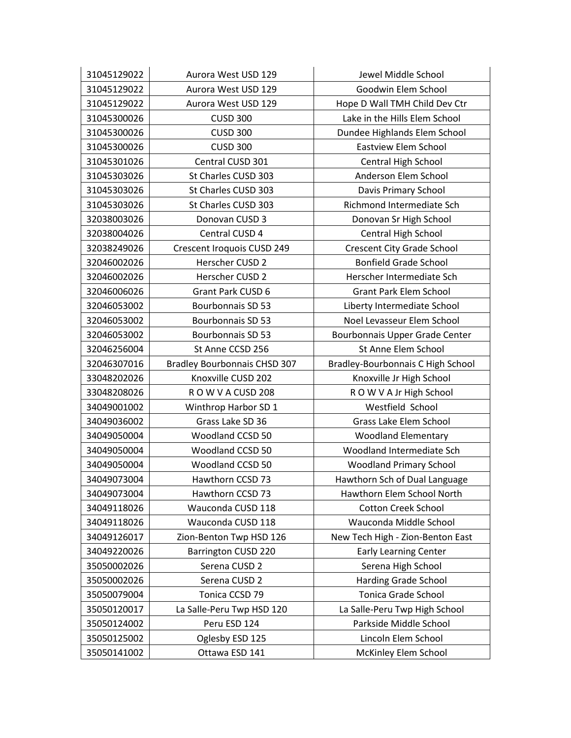| 31045129022 | Aurora West USD 129                 | Jewel Middle School               |
|-------------|-------------------------------------|-----------------------------------|
| 31045129022 | Aurora West USD 129                 | Goodwin Elem School               |
| 31045129022 | Aurora West USD 129                 | Hope D Wall TMH Child Dev Ctr     |
| 31045300026 | <b>CUSD 300</b>                     | Lake in the Hills Elem School     |
| 31045300026 | <b>CUSD 300</b>                     | Dundee Highlands Elem School      |
| 31045300026 | <b>CUSD 300</b>                     | <b>Eastview Elem School</b>       |
| 31045301026 | Central CUSD 301                    | Central High School               |
| 31045303026 | St Charles CUSD 303                 | Anderson Elem School              |
| 31045303026 | St Charles CUSD 303                 | Davis Primary School              |
| 31045303026 | St Charles CUSD 303                 | Richmond Intermediate Sch         |
| 32038003026 | Donovan CUSD 3                      | Donovan Sr High School            |
| 32038004026 | Central CUSD 4                      | Central High School               |
| 32038249026 | Crescent Iroquois CUSD 249          | <b>Crescent City Grade School</b> |
| 32046002026 | Herscher CUSD 2                     | <b>Bonfield Grade School</b>      |
| 32046002026 | Herscher CUSD 2                     | Herscher Intermediate Sch         |
| 32046006026 | Grant Park CUSD 6                   | <b>Grant Park Elem School</b>     |
| 32046053002 | Bourbonnais SD 53                   | Liberty Intermediate School       |
| 32046053002 | Bourbonnais SD 53                   | Noel Levasseur Elem School        |
| 32046053002 | <b>Bourbonnais SD 53</b>            | Bourbonnais Upper Grade Center    |
| 32046256004 | St Anne CCSD 256                    | St Anne Elem School               |
| 32046307016 | <b>Bradley Bourbonnais CHSD 307</b> | Bradley-Bourbonnais C High School |
| 33048202026 | Knoxville CUSD 202                  | Knoxville Jr High School          |
| 33048208026 | ROW VACUSD 208                      | ROW VAJr High School              |
| 34049001002 | Winthrop Harbor SD 1                | Westfield School                  |
| 34049036002 | Grass Lake SD 36                    | <b>Grass Lake Elem School</b>     |
| 34049050004 | Woodland CCSD 50                    | <b>Woodland Elementary</b>        |
| 34049050004 | Woodland CCSD 50                    | Woodland Intermediate Sch         |
| 34049050004 | Woodland CCSD 50                    | <b>Woodland Primary School</b>    |
| 34049073004 | Hawthorn CCSD 73                    | Hawthorn Sch of Dual Language     |
| 34049073004 | Hawthorn CCSD 73                    | Hawthorn Elem School North        |
| 34049118026 | Wauconda CUSD 118                   | <b>Cotton Creek School</b>        |
| 34049118026 | Wauconda CUSD 118                   | Wauconda Middle School            |
| 34049126017 | Zion-Benton Twp HSD 126             | New Tech High - Zion-Benton East  |
| 34049220026 | <b>Barrington CUSD 220</b>          | <b>Early Learning Center</b>      |
| 35050002026 | Serena CUSD 2                       | Serena High School                |
| 35050002026 | Serena CUSD 2                       | Harding Grade School              |
| 35050079004 | Tonica CCSD 79                      | <b>Tonica Grade School</b>        |
| 35050120017 | La Salle-Peru Twp HSD 120           | La Salle-Peru Twp High School     |
| 35050124002 | Peru ESD 124                        | Parkside Middle School            |
| 35050125002 | Oglesby ESD 125                     | Lincoln Elem School               |
| 35050141002 | Ottawa ESD 141                      | McKinley Elem School              |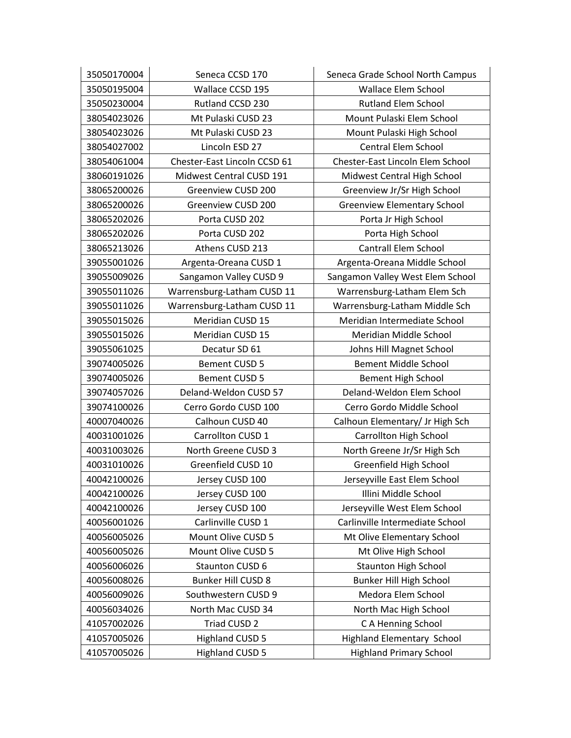| 35050170004 | Seneca CCSD 170              | Seneca Grade School North Campus   |
|-------------|------------------------------|------------------------------------|
| 35050195004 | Wallace CCSD 195             | <b>Wallace Elem School</b>         |
| 35050230004 | Rutland CCSD 230             | <b>Rutland Elem School</b>         |
| 38054023026 | Mt Pulaski CUSD 23           | Mount Pulaski Elem School          |
| 38054023026 | Mt Pulaski CUSD 23           | Mount Pulaski High School          |
| 38054027002 | Lincoln ESD 27               | <b>Central Elem School</b>         |
| 38054061004 | Chester-East Lincoln CCSD 61 | Chester-East Lincoln Elem School   |
| 38060191026 | Midwest Central CUSD 191     | Midwest Central High School        |
| 38065200026 | Greenview CUSD 200           | Greenview Jr/Sr High School        |
| 38065200026 | Greenview CUSD 200           | <b>Greenview Elementary School</b> |
| 38065202026 | Porta CUSD 202               | Porta Jr High School               |
| 38065202026 | Porta CUSD 202               | Porta High School                  |
| 38065213026 | Athens CUSD 213              | <b>Cantrall Elem School</b>        |
| 39055001026 | Argenta-Oreana CUSD 1        | Argenta-Oreana Middle School       |
| 39055009026 | Sangamon Valley CUSD 9       | Sangamon Valley West Elem School   |
| 39055011026 | Warrensburg-Latham CUSD 11   | Warrensburg-Latham Elem Sch        |
| 39055011026 | Warrensburg-Latham CUSD 11   | Warrensburg-Latham Middle Sch      |
| 39055015026 | Meridian CUSD 15             | Meridian Intermediate School       |
| 39055015026 | Meridian CUSD 15             | Meridian Middle School             |
| 39055061025 | Decatur SD 61                | Johns Hill Magnet School           |
| 39074005026 | <b>Bement CUSD 5</b>         | <b>Bement Middle School</b>        |
| 39074005026 | <b>Bement CUSD 5</b>         | <b>Bement High School</b>          |
| 39074057026 | Deland-Weldon CUSD 57        | Deland-Weldon Elem School          |
| 39074100026 | Cerro Gordo CUSD 100         | Cerro Gordo Middle School          |
| 40007040026 | Calhoun CUSD 40              | Calhoun Elementary/ Jr High Sch    |
| 40031001026 | Carrollton CUSD 1            | Carrollton High School             |
| 40031003026 | North Greene CUSD 3          | North Greene Jr/Sr High Sch        |
| 40031010026 | Greenfield CUSD 10           | Greenfield High School             |
| 40042100026 | Jersey CUSD 100              | Jerseyville East Elem School       |
| 40042100026 | Jersey CUSD 100              | Illini Middle School               |
| 40042100026 | Jersey CUSD 100              | Jerseyville West Elem School       |
| 40056001026 | Carlinville CUSD 1           | Carlinville Intermediate School    |
| 40056005026 | Mount Olive CUSD 5           | Mt Olive Elementary School         |
| 40056005026 | Mount Olive CUSD 5           | Mt Olive High School               |
| 40056006026 | Staunton CUSD 6              | <b>Staunton High School</b>        |
| 40056008026 | <b>Bunker Hill CUSD 8</b>    | <b>Bunker Hill High School</b>     |
| 40056009026 | Southwestern CUSD 9          | Medora Elem School                 |
| 40056034026 | North Mac CUSD 34            | North Mac High School              |
| 41057002026 | Triad CUSD 2                 | C A Henning School                 |
| 41057005026 | <b>Highland CUSD 5</b>       | <b>Highland Elementary School</b>  |
| 41057005026 | <b>Highland CUSD 5</b>       | <b>Highland Primary School</b>     |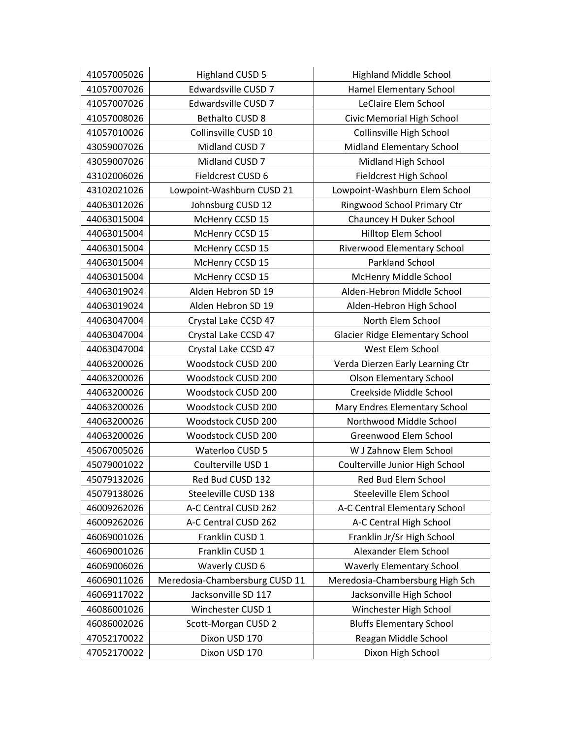| 41057005026 | <b>Highland CUSD 5</b>         | <b>Highland Middle School</b>          |
|-------------|--------------------------------|----------------------------------------|
| 41057007026 | Edwardsville CUSD 7            | Hamel Elementary School                |
| 41057007026 | Edwardsville CUSD 7            | LeClaire Elem School                   |
| 41057008026 | <b>Bethalto CUSD 8</b>         | Civic Memorial High School             |
| 41057010026 | Collinsville CUSD 10           | Collinsville High School               |
| 43059007026 | Midland CUSD 7                 | Midland Elementary School              |
| 43059007026 | Midland CUSD 7                 | Midland High School                    |
| 43102006026 | Fieldcrest CUSD 6              | Fieldcrest High School                 |
| 43102021026 | Lowpoint-Washburn CUSD 21      | Lowpoint-Washburn Elem School          |
| 44063012026 | Johnsburg CUSD 12              | Ringwood School Primary Ctr            |
| 44063015004 | McHenry CCSD 15                | Chauncey H Duker School                |
| 44063015004 | McHenry CCSD 15                | Hilltop Elem School                    |
| 44063015004 | McHenry CCSD 15                | Riverwood Elementary School            |
| 44063015004 | McHenry CCSD 15                | Parkland School                        |
| 44063015004 | McHenry CCSD 15                | McHenry Middle School                  |
| 44063019024 | Alden Hebron SD 19             | Alden-Hebron Middle School             |
| 44063019024 | Alden Hebron SD 19             | Alden-Hebron High School               |
| 44063047004 | Crystal Lake CCSD 47           | North Elem School                      |
| 44063047004 | Crystal Lake CCSD 47           | <b>Glacier Ridge Elementary School</b> |
| 44063047004 | Crystal Lake CCSD 47           | West Elem School                       |
| 44063200026 | Woodstock CUSD 200             | Verda Dierzen Early Learning Ctr       |
| 44063200026 | Woodstock CUSD 200             | <b>Olson Elementary School</b>         |
| 44063200026 | Woodstock CUSD 200             | Creekside Middle School                |
| 44063200026 | Woodstock CUSD 200             | Mary Endres Elementary School          |
| 44063200026 | Woodstock CUSD 200             | Northwood Middle School                |
| 44063200026 | Woodstock CUSD 200             | Greenwood Elem School                  |
| 45067005026 | Waterloo CUSD 5                | W J Zahnow Elem School                 |
| 45079001022 | Coulterville USD 1             | Coulterville Junior High School        |
| 45079132026 | Red Bud CUSD 132               | Red Bud Elem School                    |
| 45079138026 | Steeleville CUSD 138           | Steeleville Elem School                |
| 46009262026 | A-C Central CUSD 262           | A-C Central Elementary School          |
| 46009262026 | A-C Central CUSD 262           | A-C Central High School                |
| 46069001026 | Franklin CUSD 1                | Franklin Jr/Sr High School             |
| 46069001026 | Franklin CUSD 1                | Alexander Elem School                  |
| 46069006026 | Waverly CUSD 6                 | <b>Waverly Elementary School</b>       |
| 46069011026 | Meredosia-Chambersburg CUSD 11 | Meredosia-Chambersburg High Sch        |
| 46069117022 | Jacksonville SD 117            | Jacksonville High School               |
| 46086001026 | Winchester CUSD 1              | Winchester High School                 |
| 46086002026 | Scott-Morgan CUSD 2            | <b>Bluffs Elementary School</b>        |
| 47052170022 | Dixon USD 170                  | Reagan Middle School                   |
| 47052170022 | Dixon USD 170                  | Dixon High School                      |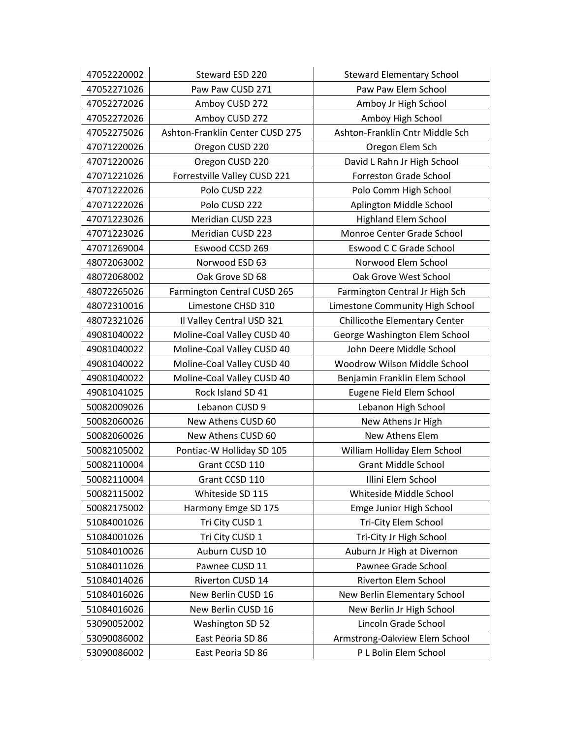| 47052220002 | Steward ESD 220                 | <b>Steward Elementary School</b>     |
|-------------|---------------------------------|--------------------------------------|
| 47052271026 | Paw Paw CUSD 271                | Paw Paw Elem School                  |
| 47052272026 | Amboy CUSD 272                  | Amboy Jr High School                 |
| 47052272026 | Amboy CUSD 272                  | Amboy High School                    |
| 47052275026 | Ashton-Franklin Center CUSD 275 | Ashton-Franklin Cntr Middle Sch      |
| 47071220026 | Oregon CUSD 220                 | Oregon Elem Sch                      |
| 47071220026 | Oregon CUSD 220                 | David L Rahn Jr High School          |
| 47071221026 | Forrestville Valley CUSD 221    | Forreston Grade School               |
| 47071222026 | Polo CUSD 222                   | Polo Comm High School                |
| 47071222026 | Polo CUSD 222                   | Aplington Middle School              |
| 47071223026 | Meridian CUSD 223               | <b>Highland Elem School</b>          |
| 47071223026 | Meridian CUSD 223               | Monroe Center Grade School           |
| 47071269004 | Eswood CCSD 269                 | <b>Eswood C C Grade School</b>       |
| 48072063002 | Norwood ESD 63                  | Norwood Elem School                  |
| 48072068002 | Oak Grove SD 68                 | Oak Grove West School                |
| 48072265026 | Farmington Central CUSD 265     | Farmington Central Jr High Sch       |
| 48072310016 | Limestone CHSD 310              | Limestone Community High School      |
| 48072321026 | Il Valley Central USD 321       | <b>Chillicothe Elementary Center</b> |
| 49081040022 | Moline-Coal Valley CUSD 40      | George Washington Elem School        |
| 49081040022 | Moline-Coal Valley CUSD 40      | John Deere Middle School             |
| 49081040022 | Moline-Coal Valley CUSD 40      | Woodrow Wilson Middle School         |
| 49081040022 | Moline-Coal Valley CUSD 40      | Benjamin Franklin Elem School        |
| 49081041025 | Rock Island SD 41               | Eugene Field Elem School             |
| 50082009026 | Lebanon CUSD 9                  | Lebanon High School                  |
| 50082060026 | New Athens CUSD 60              | New Athens Jr High                   |
| 50082060026 | New Athens CUSD 60              | New Athens Elem                      |
| 50082105002 | Pontiac-W Holliday SD 105       | William Holliday Elem School         |
| 50082110004 | Grant CCSD 110                  | <b>Grant Middle School</b>           |
| 50082110004 | Grant CCSD 110                  | Illini Elem School                   |
| 50082115002 | Whiteside SD 115                | Whiteside Middle School              |
| 50082175002 | Harmony Emge SD 175             | Emge Junior High School              |
| 51084001026 | Tri City CUSD 1                 | Tri-City Elem School                 |
| 51084001026 | Tri City CUSD 1                 | Tri-City Jr High School              |
| 51084010026 | Auburn CUSD 10                  | Auburn Jr High at Divernon           |
| 51084011026 | Pawnee CUSD 11                  | Pawnee Grade School                  |
| 51084014026 | Riverton CUSD 14                | Riverton Elem School                 |
| 51084016026 | New Berlin CUSD 16              | New Berlin Elementary School         |
| 51084016026 | New Berlin CUSD 16              | New Berlin Jr High School            |
| 53090052002 | <b>Washington SD 52</b>         | Lincoln Grade School                 |
| 53090086002 | East Peoria SD 86               | Armstrong-Oakview Elem School        |
| 53090086002 | East Peoria SD 86               | P L Bolin Elem School                |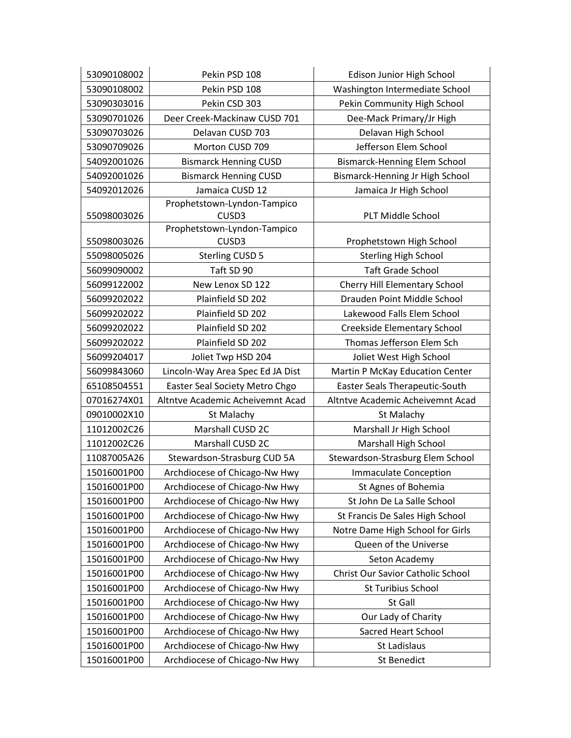| 53090108002 | Pekin PSD 108                        | Edison Junior High School           |
|-------------|--------------------------------------|-------------------------------------|
| 53090108002 | Pekin PSD 108                        | Washington Intermediate School      |
| 53090303016 | Pekin CSD 303                        | Pekin Community High School         |
| 53090701026 | Deer Creek-Mackinaw CUSD 701         | Dee-Mack Primary/Jr High            |
| 53090703026 | Delavan CUSD 703                     | Delavan High School                 |
| 53090709026 | Morton CUSD 709                      | Jefferson Elem School               |
| 54092001026 | <b>Bismarck Henning CUSD</b>         | <b>Bismarck-Henning Elem School</b> |
| 54092001026 | <b>Bismarck Henning CUSD</b>         | Bismarck-Henning Jr High School     |
| 54092012026 | Jamaica CUSD 12                      | Jamaica Jr High School              |
| 55098003026 | Prophetstown-Lyndon-Tampico<br>CUSD3 | PLT Middle School                   |
| 55098003026 | Prophetstown-Lyndon-Tampico<br>CUSD3 | Prophetstown High School            |
| 55098005026 | <b>Sterling CUSD 5</b>               | <b>Sterling High School</b>         |
| 56099090002 | Taft SD 90                           | <b>Taft Grade School</b>            |
| 56099122002 | New Lenox SD 122                     | Cherry Hill Elementary School       |
| 56099202022 | Plainfield SD 202                    | Drauden Point Middle School         |
| 56099202022 | Plainfield SD 202                    | Lakewood Falls Elem School          |
| 56099202022 | Plainfield SD 202                    | Creekside Elementary School         |
| 56099202022 | Plainfield SD 202                    | Thomas Jefferson Elem Sch           |
| 56099204017 | Joliet Twp HSD 204                   | Joliet West High School             |
| 56099843060 | Lincoln-Way Area Spec Ed JA Dist     | Martin P McKay Education Center     |
| 65108504551 | Easter Seal Society Metro Chgo       | Easter Seals Therapeutic-South      |
| 07016274X01 | Altntve Academic Acheivemnt Acad     | Altntve Academic Acheivemnt Acad    |
| 09010002X10 | St Malachy                           | St Malachy                          |
| 11012002C26 | Marshall CUSD 2C                     | Marshall Jr High School             |
| 11012002C26 | Marshall CUSD 2C                     | <b>Marshall High School</b>         |
| 11087005A26 | Stewardson-Strasburg CUD 5A          | Stewardson-Strasburg Elem School    |
| 15016001P00 | Archdiocese of Chicago-Nw Hwy        | Immaculate Conception               |
| 15016001P00 | Archdiocese of Chicago-Nw Hwy        | St Agnes of Bohemia                 |
| 15016001P00 | Archdiocese of Chicago-Nw Hwy        | St John De La Salle School          |
| 15016001P00 | Archdiocese of Chicago-Nw Hwy        | St Francis De Sales High School     |
| 15016001P00 | Archdiocese of Chicago-Nw Hwy        | Notre Dame High School for Girls    |
| 15016001P00 | Archdiocese of Chicago-Nw Hwy        | Queen of the Universe               |
| 15016001P00 | Archdiocese of Chicago-Nw Hwy        | Seton Academy                       |
| 15016001P00 | Archdiocese of Chicago-Nw Hwy        | Christ Our Savior Catholic School   |
| 15016001P00 | Archdiocese of Chicago-Nw Hwy        | St Turibius School                  |
| 15016001P00 | Archdiocese of Chicago-Nw Hwy        | St Gall                             |
| 15016001P00 | Archdiocese of Chicago-Nw Hwy        | Our Lady of Charity                 |
| 15016001P00 | Archdiocese of Chicago-Nw Hwy        | Sacred Heart School                 |
| 15016001P00 | Archdiocese of Chicago-Nw Hwy        | St Ladislaus                        |
| 15016001P00 | Archdiocese of Chicago-Nw Hwy        | St Benedict                         |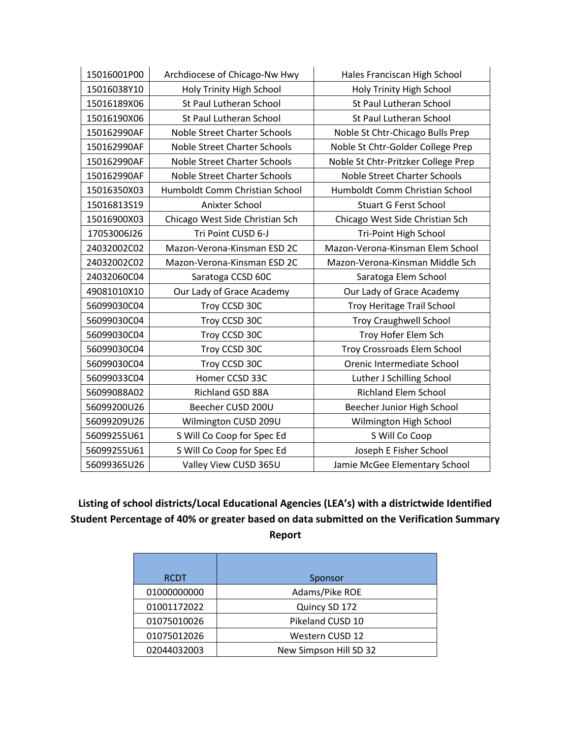| 15016001P00 | Archdiocese of Chicago-Nw Hwy       | Hales Franciscan High School        |
|-------------|-------------------------------------|-------------------------------------|
| 15016038Y10 | Holy Trinity High School            | Holy Trinity High School            |
| 15016189X06 | St Paul Lutheran School             | St Paul Lutheran School             |
| 15016190X06 | St Paul Lutheran School             | St Paul Lutheran School             |
| 150162990AF | Noble Street Charter Schools        | Noble St Chtr-Chicago Bulls Prep    |
| 150162990AF | Noble Street Charter Schools        | Noble St Chtr-Golder College Prep   |
| 150162990AF | <b>Noble Street Charter Schools</b> | Noble St Chtr-Pritzker College Prep |
| 150162990AF | Noble Street Charter Schools        | <b>Noble Street Charter Schools</b> |
| 15016350X03 | Humboldt Comm Christian School      | Humboldt Comm Christian School      |
| 15016813S19 | Anixter School                      | <b>Stuart G Ferst School</b>        |
| 15016900X03 | Chicago West Side Christian Sch     | Chicago West Side Christian Sch     |
| 17053006J26 | Tri Point CUSD 6-J                  | Tri-Point High School               |
| 24032002C02 | Mazon-Verona-Kinsman ESD 2C         | Mazon-Verona-Kinsman Elem School    |
| 24032002C02 | Mazon-Verona-Kinsman ESD 2C         | Mazon-Verona-Kinsman Middle Sch     |
| 24032060C04 | Saratoga CCSD 60C                   | Saratoga Elem School                |
| 49081010X10 | Our Lady of Grace Academy           | Our Lady of Grace Academy           |
| 56099030C04 | Troy CCSD 30C                       | Troy Heritage Trail School          |
| 56099030C04 | Troy CCSD 30C                       | <b>Troy Craughwell School</b>       |
| 56099030C04 | Troy CCSD 30C                       | Troy Hofer Elem Sch                 |
| 56099030C04 | Troy CCSD 30C                       | Troy Crossroads Elem School         |
| 56099030C04 | Troy CCSD 30C                       | Orenic Intermediate School          |
| 56099033C04 | Homer CCSD 33C                      | Luther J Schilling School           |
| 56099088A02 | Richland GSD 88A                    | <b>Richland Elem School</b>         |
| 56099200U26 | Beecher CUSD 200U                   | Beecher Junior High School          |
| 56099209U26 | Wilmington CUSD 209U                | Wilmington High School              |
| 56099255U61 | S Will Co Coop for Spec Ed          | S Will Co Coop                      |
| 56099255U61 | S Will Co Coop for Spec Ed          | Joseph E Fisher School              |
| 56099365U26 | Valley View CUSD 365U               | Jamie McGee Elementary School       |

### **Listing of school districts/Local Educational Agencies (LEA's) with a districtwide Identified Student Percentage of 40% or greater based on data submitted on the Verification Summary Report**

| <b>RCDT</b> | Sponsor                |
|-------------|------------------------|
| 01000000000 | Adams/Pike ROE         |
| 01001172022 | Quincy SD 172          |
| 01075010026 | Pikeland CUSD 10       |
| 01075012026 | Western CUSD 12        |
| 02044032003 | New Simpson Hill SD 32 |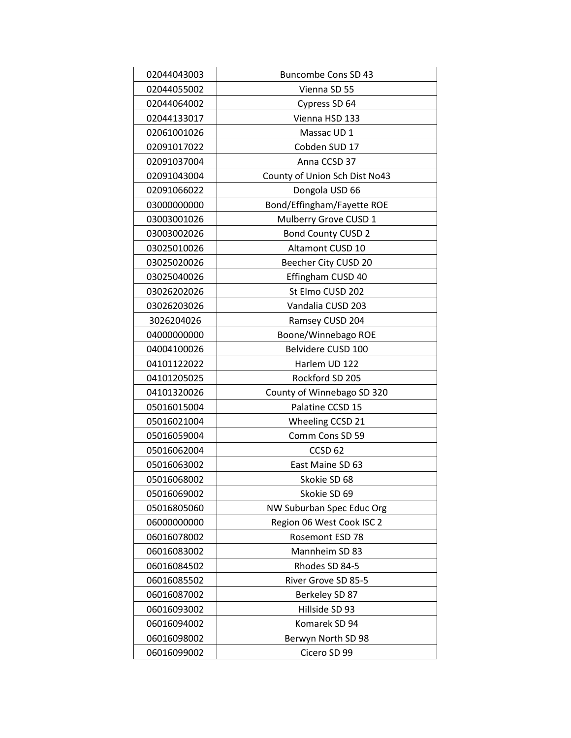| 02044043003 | <b>Buncombe Cons SD 43</b>    |
|-------------|-------------------------------|
| 02044055002 | Vienna SD 55                  |
| 02044064002 | Cypress SD 64                 |
| 02044133017 | Vienna HSD 133                |
| 02061001026 | Massac UD 1                   |
| 02091017022 | Cobden SUD 17                 |
| 02091037004 | Anna CCSD 37                  |
| 02091043004 | County of Union Sch Dist No43 |
| 02091066022 | Dongola USD 66                |
| 03000000000 | Bond/Effingham/Fayette ROE    |
| 03003001026 | Mulberry Grove CUSD 1         |
| 03003002026 | <b>Bond County CUSD 2</b>     |
| 03025010026 | Altamont CUSD 10              |
| 03025020026 | Beecher City CUSD 20          |
| 03025040026 | Effingham CUSD 40             |
| 03026202026 | St Elmo CUSD 202              |
| 03026203026 | Vandalia CUSD 203             |
| 3026204026  | Ramsey CUSD 204               |
| 04000000000 | Boone/Winnebago ROE           |
| 04004100026 | Belvidere CUSD 100            |
| 04101122022 | Harlem UD 122                 |
| 04101205025 | Rockford SD 205               |
| 04101320026 | County of Winnebago SD 320    |
| 05016015004 | Palatine CCSD 15              |
| 05016021004 | Wheeling CCSD 21              |
| 05016059004 | Comm Cons SD 59               |
| 05016062004 | CCSD <sub>62</sub>            |
| 05016063002 | East Maine SD 63              |
| 05016068002 | Skokie SD 68                  |
| 05016069002 | Skokie SD 69                  |
| 05016805060 | NW Suburban Spec Educ Org     |
| 06000000000 | Region 06 West Cook ISC 2     |
| 06016078002 | Rosemont ESD 78               |
| 06016083002 | Mannheim SD 83                |
| 06016084502 | Rhodes SD 84-5                |
| 06016085502 | River Grove SD 85-5           |
| 06016087002 | Berkeley SD 87                |
| 06016093002 | Hillside SD 93                |
| 06016094002 | Komarek SD 94                 |
| 06016098002 | Berwyn North SD 98            |
| 06016099002 | Cicero SD 99                  |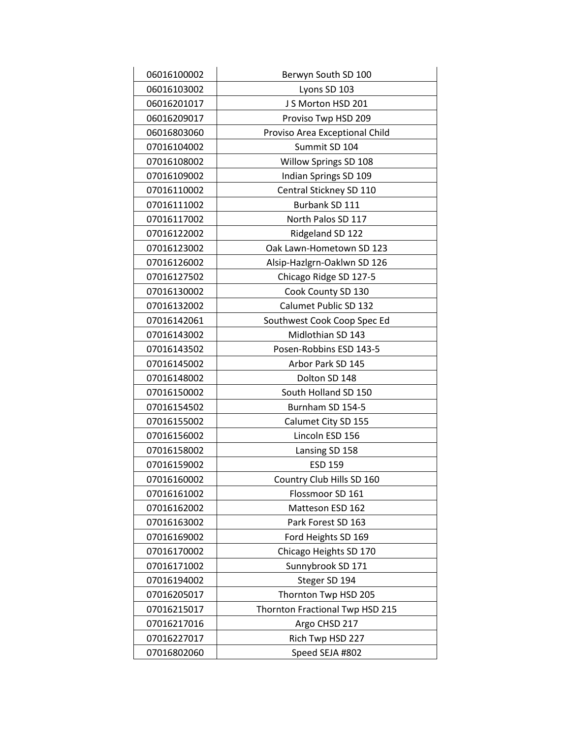| 06016100002 | Berwyn South SD 100             |
|-------------|---------------------------------|
| 06016103002 | Lyons SD 103                    |
| 06016201017 | J S Morton HSD 201              |
| 06016209017 | Proviso Twp HSD 209             |
| 06016803060 | Proviso Area Exceptional Child  |
| 07016104002 | Summit SD 104                   |
| 07016108002 | Willow Springs SD 108           |
| 07016109002 | Indian Springs SD 109           |
| 07016110002 | Central Stickney SD 110         |
| 07016111002 | Burbank SD 111                  |
| 07016117002 | North Palos SD 117              |
| 07016122002 | Ridgeland SD 122                |
| 07016123002 | Oak Lawn-Hometown SD 123        |
| 07016126002 | Alsip-Hazlgrn-Oaklwn SD 126     |
| 07016127502 | Chicago Ridge SD 127-5          |
| 07016130002 | Cook County SD 130              |
| 07016132002 | Calumet Public SD 132           |
| 07016142061 | Southwest Cook Coop Spec Ed     |
| 07016143002 | Midlothian SD 143               |
| 07016143502 | Posen-Robbins ESD 143-5         |
| 07016145002 | Arbor Park SD 145               |
| 07016148002 | Dolton SD 148                   |
| 07016150002 | South Holland SD 150            |
| 07016154502 | Burnham SD 154-5                |
| 07016155002 | Calumet City SD 155             |
| 07016156002 | Lincoln ESD 156                 |
| 07016158002 | Lansing SD 158                  |
| 07016159002 | <b>ESD 159</b>                  |
| 07016160002 | Country Club Hills SD 160       |
| 07016161002 | Flossmoor SD 161                |
| 07016162002 | Matteson ESD 162                |
| 07016163002 | Park Forest SD 163              |
| 07016169002 | Ford Heights SD 169             |
| 07016170002 | Chicago Heights SD 170          |
| 07016171002 | Sunnybrook SD 171               |
| 07016194002 | Steger SD 194                   |
| 07016205017 | Thornton Twp HSD 205            |
| 07016215017 | Thornton Fractional Twp HSD 215 |
| 07016217016 | Argo CHSD 217                   |
| 07016227017 | Rich Twp HSD 227                |
| 07016802060 | Speed SEJA #802                 |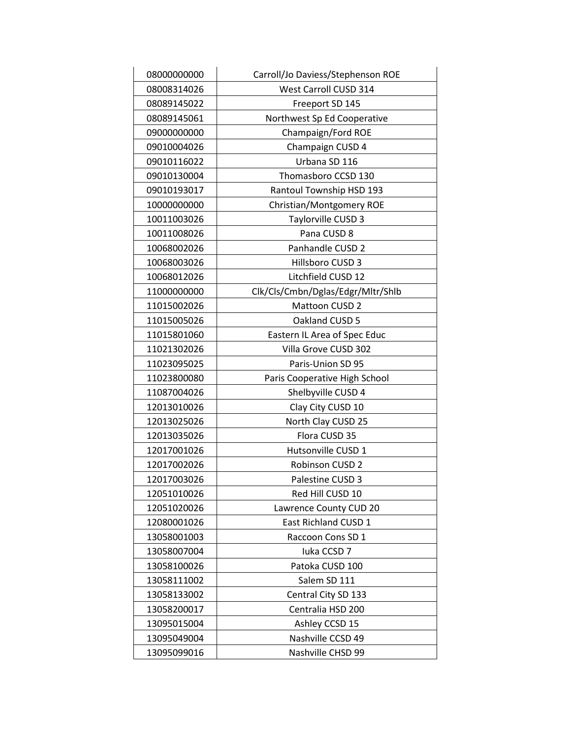| 08000000000 | Carroll/Jo Daviess/Stephenson ROE |
|-------------|-----------------------------------|
| 08008314026 | West Carroll CUSD 314             |
| 08089145022 | Freeport SD 145                   |
| 08089145061 | Northwest Sp Ed Cooperative       |
| 09000000000 | Champaign/Ford ROE                |
| 09010004026 | Champaign CUSD 4                  |
| 09010116022 | Urbana SD 116                     |
| 09010130004 | Thomasboro CCSD 130               |
| 09010193017 | Rantoul Township HSD 193          |
| 10000000000 | Christian/Montgomery ROE          |
| 10011003026 | Taylorville CUSD 3                |
| 10011008026 | Pana CUSD 8                       |
| 10068002026 | Panhandle CUSD 2                  |
| 10068003026 | Hillsboro CUSD 3                  |
| 10068012026 | Litchfield CUSD 12                |
| 11000000000 | Clk/Cls/Cmbn/Dglas/Edgr/Mltr/Shlb |
| 11015002026 | Mattoon CUSD 2                    |
| 11015005026 | Oakland CUSD 5                    |
| 11015801060 | Eastern IL Area of Spec Educ      |
| 11021302026 | Villa Grove CUSD 302              |
| 11023095025 | Paris-Union SD 95                 |
| 11023800080 | Paris Cooperative High School     |
| 11087004026 | Shelbyville CUSD 4                |
| 12013010026 | Clay City CUSD 10                 |
| 12013025026 | North Clay CUSD 25                |
| 12013035026 | Flora CUSD 35                     |
| 12017001026 | Hutsonville CUSD 1                |
| 12017002026 | Robinson CUSD 2                   |
| 12017003026 | Palestine CUSD 3                  |
| 12051010026 | Red Hill CUSD 10                  |
| 12051020026 | Lawrence County CUD 20            |
| 12080001026 | East Richland CUSD 1              |
| 13058001003 | Raccoon Cons SD 1                 |
| 13058007004 | Iuka CCSD 7                       |
| 13058100026 | Patoka CUSD 100                   |
| 13058111002 | Salem SD 111                      |
| 13058133002 | Central City SD 133               |
| 13058200017 | Centralia HSD 200                 |
| 13095015004 | Ashley CCSD 15                    |
| 13095049004 | Nashville CCSD 49                 |
| 13095099016 | Nashville CHSD 99                 |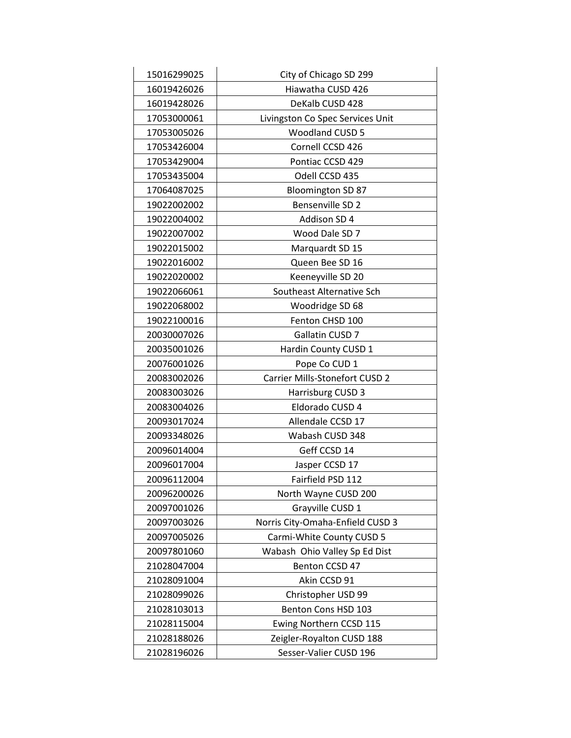| 15016299025 | City of Chicago SD 299                |
|-------------|---------------------------------------|
| 16019426026 | Hiawatha CUSD 426                     |
| 16019428026 | DeKalb CUSD 428                       |
| 17053000061 | Livingston Co Spec Services Unit      |
| 17053005026 | Woodland CUSD 5                       |
| 17053426004 | Cornell CCSD 426                      |
| 17053429004 | Pontiac CCSD 429                      |
| 17053435004 | Odell CCSD 435                        |
| 17064087025 | <b>Bloomington SD 87</b>              |
| 19022002002 | Bensenville SD 2                      |
| 19022004002 | Addison SD 4                          |
| 19022007002 | Wood Dale SD 7                        |
| 19022015002 | Marquardt SD 15                       |
| 19022016002 | Queen Bee SD 16                       |
| 19022020002 | Keeneyville SD 20                     |
| 19022066061 | Southeast Alternative Sch             |
| 19022068002 | Woodridge SD 68                       |
| 19022100016 | Fenton CHSD 100                       |
| 20030007026 | Gallatin CUSD 7                       |
| 20035001026 | Hardin County CUSD 1                  |
| 20076001026 | Pope Co CUD 1                         |
| 20083002026 | <b>Carrier Mills-Stonefort CUSD 2</b> |
| 20083003026 | Harrisburg CUSD 3                     |
| 20083004026 | Eldorado CUSD 4                       |
| 20093017024 | Allendale CCSD 17                     |
| 20093348026 | Wabash CUSD 348                       |
| 20096014004 | Geff CCSD 14                          |
| 20096017004 | Jasper CCSD 17                        |
| 20096112004 | Fairfield PSD 112                     |
| 20096200026 | North Wayne CUSD 200                  |
| 20097001026 | Grayville CUSD 1                      |
| 20097003026 | Norris City-Omaha-Enfield CUSD 3      |
| 20097005026 | Carmi-White County CUSD 5             |
| 20097801060 | Wabash Ohio Valley Sp Ed Dist         |
| 21028047004 | Benton CCSD 47                        |
| 21028091004 | Akin CCSD 91                          |
| 21028099026 | Christopher USD 99                    |
| 21028103013 | Benton Cons HSD 103                   |
| 21028115004 | Ewing Northern CCSD 115               |
| 21028188026 | Zeigler-Royalton CUSD 188             |
| 21028196026 | Sesser-Valier CUSD 196                |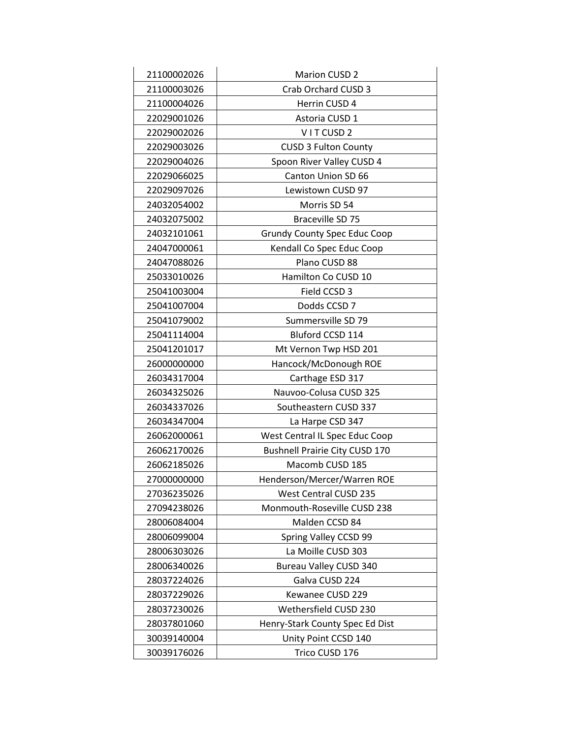| 21100002026 | Marion CUSD 2                         |
|-------------|---------------------------------------|
| 21100003026 | Crab Orchard CUSD 3                   |
| 21100004026 | Herrin CUSD 4                         |
| 22029001026 | Astoria CUSD 1                        |
| 22029002026 | VITCUSD <sub>2</sub>                  |
| 22029003026 | <b>CUSD 3 Fulton County</b>           |
| 22029004026 | Spoon River Valley CUSD 4             |
| 22029066025 | Canton Union SD 66                    |
| 22029097026 | Lewistown CUSD 97                     |
| 24032054002 | Morris SD 54                          |
| 24032075002 | Braceville SD 75                      |
| 24032101061 | <b>Grundy County Spec Educ Coop</b>   |
| 24047000061 | Kendall Co Spec Educ Coop             |
| 24047088026 | Plano CUSD 88                         |
| 25033010026 | Hamilton Co CUSD 10                   |
| 25041003004 | Field CCSD 3                          |
| 25041007004 | Dodds CCSD 7                          |
| 25041079002 | Summersville SD 79                    |
| 25041114004 | Bluford CCSD 114                      |
| 25041201017 | Mt Vernon Twp HSD 201                 |
| 26000000000 | Hancock/McDonough ROE                 |
| 26034317004 | Carthage ESD 317                      |
| 26034325026 | Nauvoo-Colusa CUSD 325                |
| 26034337026 | Southeastern CUSD 337                 |
| 26034347004 | La Harpe CSD 347                      |
| 26062000061 | West Central IL Spec Educ Coop        |
| 26062170026 | <b>Bushnell Prairie City CUSD 170</b> |
| 26062185026 | Macomb CUSD 185                       |
| 27000000000 | Henderson/Mercer/Warren ROE           |
| 27036235026 | West Central CUSD 235                 |
| 27094238026 | Monmouth-Roseville CUSD 238           |
| 28006084004 | Malden CCSD 84                        |
| 28006099004 | Spring Valley CCSD 99                 |
| 28006303026 | La Moille CUSD 303                    |
| 28006340026 | Bureau Valley CUSD 340                |
| 28037224026 | Galva CUSD 224                        |
| 28037229026 | Kewanee CUSD 229                      |
| 28037230026 | Wethersfield CUSD 230                 |
| 28037801060 | Henry-Stark County Spec Ed Dist       |
| 30039140004 | Unity Point CCSD 140                  |
| 30039176026 | Trico CUSD 176                        |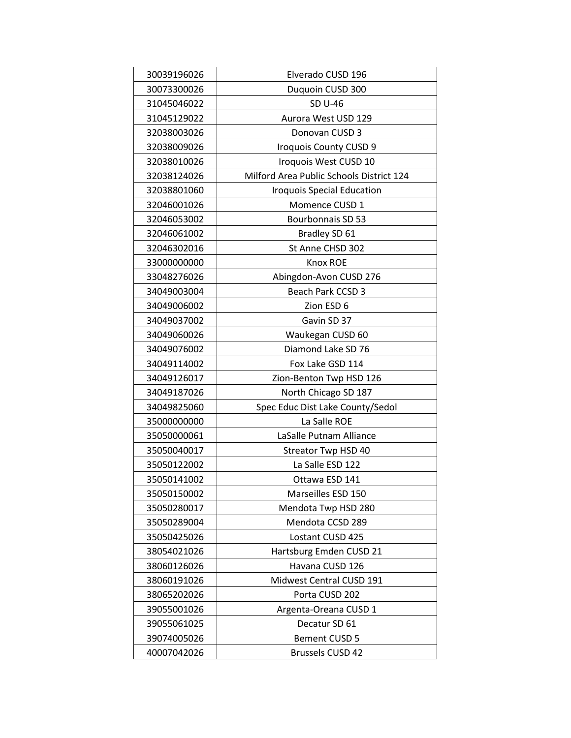| 30039196026 | Elverado CUSD 196                        |
|-------------|------------------------------------------|
| 30073300026 | Duquoin CUSD 300                         |
| 31045046022 | SD U-46                                  |
| 31045129022 | Aurora West USD 129                      |
| 32038003026 | Donovan CUSD 3                           |
| 32038009026 | Iroquois County CUSD 9                   |
| 32038010026 | Iroquois West CUSD 10                    |
| 32038124026 | Milford Area Public Schools District 124 |
| 32038801060 | <b>Iroquois Special Education</b>        |
| 32046001026 | Momence CUSD 1                           |
| 32046053002 | <b>Bourbonnais SD 53</b>                 |
| 32046061002 | Bradley SD 61                            |
| 32046302016 | St Anne CHSD 302                         |
| 33000000000 | Knox ROE                                 |
| 33048276026 | Abingdon-Avon CUSD 276                   |
| 34049003004 | <b>Beach Park CCSD 3</b>                 |
| 34049006002 | Zion ESD 6                               |
| 34049037002 | Gavin SD 37                              |
| 34049060026 | Waukegan CUSD 60                         |
| 34049076002 | Diamond Lake SD 76                       |
| 34049114002 | Fox Lake GSD 114                         |
| 34049126017 | Zion-Benton Twp HSD 126                  |
| 34049187026 | North Chicago SD 187                     |
| 34049825060 | Spec Educ Dist Lake County/Sedol         |
| 35000000000 | La Salle ROE                             |
| 35050000061 | LaSalle Putnam Alliance                  |
| 35050040017 | Streator Twp HSD 40                      |
| 35050122002 | La Salle ESD 122                         |
| 35050141002 | Ottawa ESD 141                           |
| 35050150002 | Marseilles ESD 150                       |
| 35050280017 | Mendota Twp HSD 280                      |
| 35050289004 | Mendota CCSD 289                         |
| 35050425026 | Lostant CUSD 425                         |
| 38054021026 | Hartsburg Emden CUSD 21                  |
| 38060126026 | Havana CUSD 126                          |
| 38060191026 | Midwest Central CUSD 191                 |
| 38065202026 | Porta CUSD 202                           |
| 39055001026 | Argenta-Oreana CUSD 1                    |
| 39055061025 | Decatur SD 61                            |
| 39074005026 | <b>Bement CUSD 5</b>                     |
| 40007042026 | <b>Brussels CUSD 42</b>                  |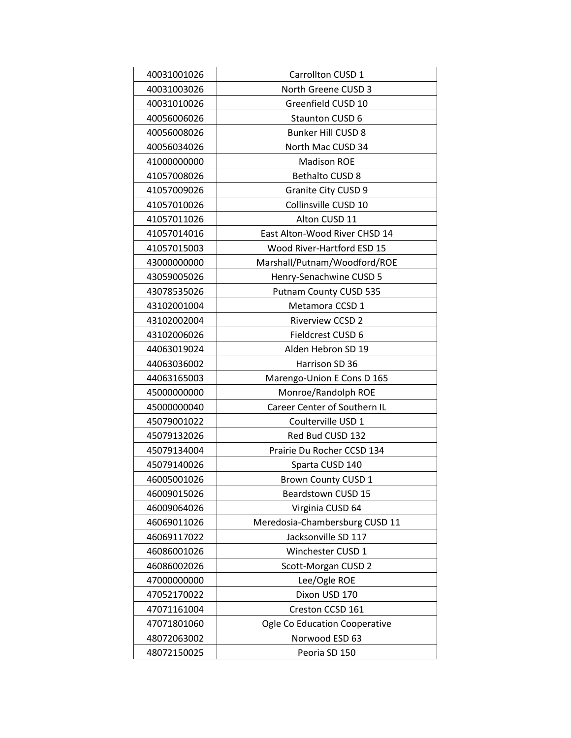| 40031001026 | Carrollton CUSD 1              |
|-------------|--------------------------------|
| 40031003026 | North Greene CUSD 3            |
| 40031010026 | Greenfield CUSD 10             |
| 40056006026 | <b>Staunton CUSD 6</b>         |
| 40056008026 | <b>Bunker Hill CUSD 8</b>      |
| 40056034026 | North Mac CUSD 34              |
| 41000000000 | <b>Madison ROE</b>             |
| 41057008026 | <b>Bethalto CUSD 8</b>         |
| 41057009026 | Granite City CUSD 9            |
| 41057010026 | Collinsville CUSD 10           |
| 41057011026 | Alton CUSD 11                  |
| 41057014016 | East Alton-Wood River CHSD 14  |
| 41057015003 | Wood River-Hartford ESD 15     |
| 43000000000 | Marshall/Putnam/Woodford/ROE   |
| 43059005026 | Henry-Senachwine CUSD 5        |
| 43078535026 | Putnam County CUSD 535         |
| 43102001004 | Metamora CCSD 1                |
| 43102002004 | <b>Riverview CCSD 2</b>        |
| 43102006026 | Fieldcrest CUSD 6              |
| 44063019024 | Alden Hebron SD 19             |
| 44063036002 | Harrison SD 36                 |
| 44063165003 | Marengo-Union E Cons D 165     |
| 45000000000 | Monroe/Randolph ROE            |
| 45000000040 | Career Center of Southern IL   |
| 45079001022 | Coulterville USD 1             |
| 45079132026 | Red Bud CUSD 132               |
| 45079134004 | Prairie Du Rocher CCSD 134     |
| 45079140026 | Sparta CUSD 140                |
| 46005001026 | Brown County CUSD 1            |
| 46009015026 | Beardstown CUSD 15             |
| 46009064026 | Virginia CUSD 64               |
| 46069011026 | Meredosia-Chambersburg CUSD 11 |
| 46069117022 | Jacksonville SD 117            |
| 46086001026 | Winchester CUSD 1              |
| 46086002026 | Scott-Morgan CUSD 2            |
| 47000000000 | Lee/Ogle ROE                   |
| 47052170022 | Dixon USD 170                  |
| 47071161004 | Creston CCSD 161               |
| 47071801060 | Ogle Co Education Cooperative  |
| 48072063002 | Norwood ESD 63                 |
| 48072150025 | Peoria SD 150                  |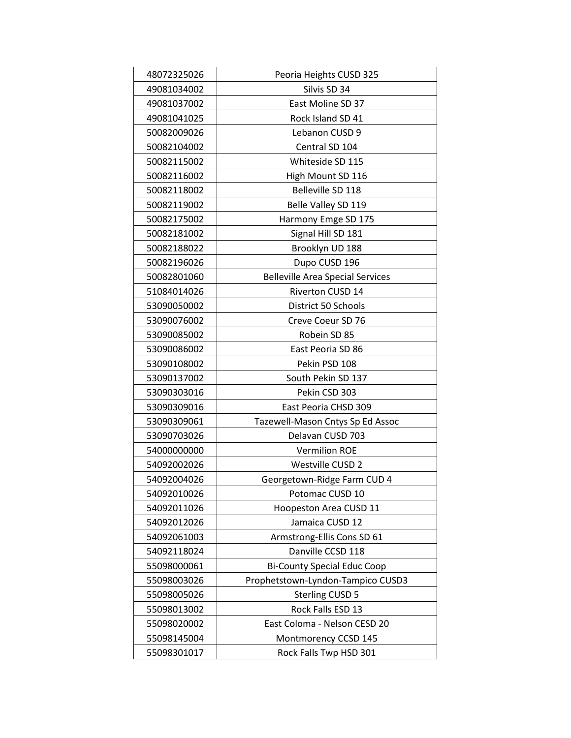| Peoria Heights CUSD 325                 |
|-----------------------------------------|
| Silvis SD 34                            |
| East Moline SD 37                       |
| Rock Island SD 41                       |
| Lebanon CUSD 9                          |
| Central SD 104                          |
| Whiteside SD 115                        |
| High Mount SD 116                       |
| Belleville SD 118                       |
| Belle Valley SD 119                     |
| Harmony Emge SD 175                     |
| Signal Hill SD 181                      |
| Brooklyn UD 188                         |
| Dupo CUSD 196                           |
| <b>Belleville Area Special Services</b> |
| Riverton CUSD 14                        |
| District 50 Schools                     |
| Creve Coeur SD 76                       |
| Robein SD 85                            |
| East Peoria SD 86                       |
| Pekin PSD 108                           |
| South Pekin SD 137                      |
| Pekin CSD 303                           |
| East Peoria CHSD 309                    |
| Tazewell-Mason Cntys Sp Ed Assoc        |
| Delavan CUSD 703                        |
| <b>Vermilion ROE</b>                    |
| <b>Westville CUSD 2</b>                 |
| Georgetown-Ridge Farm CUD 4             |
| Potomac CUSD 10                         |
| Hoopeston Area CUSD 11                  |
| Jamaica CUSD 12                         |
| Armstrong-Ellis Cons SD 61              |
| Danville CCSD 118                       |
| <b>Bi-County Special Educ Coop</b>      |
| Prophetstown-Lyndon-Tampico CUSD3       |
| <b>Sterling CUSD 5</b>                  |
| Rock Falls ESD 13                       |
| East Coloma - Nelson CESD 20            |
| Montmorency CCSD 145                    |
| Rock Falls Twp HSD 301                  |
|                                         |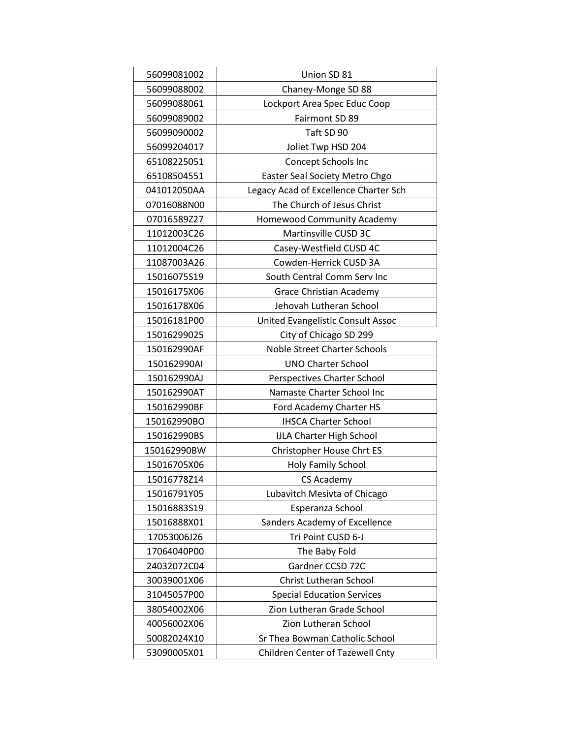| 56099081002 | Union SD 81                           |
|-------------|---------------------------------------|
| 56099088002 | Chaney-Monge SD 88                    |
| 56099088061 | Lockport Area Spec Educ Coop          |
| 56099089002 | Fairmont SD 89                        |
| 56099090002 | Taft SD 90                            |
| 56099204017 | Joliet Twp HSD 204                    |
| 65108225051 | Concept Schools Inc                   |
| 65108504551 | Easter Seal Society Metro Chgo        |
| 041012050AA | Legacy Acad of Excellence Charter Sch |
| 07016088N00 | The Church of Jesus Christ            |
| 07016589Z27 | Homewood Community Academy            |
| 11012003C26 | Martinsville CUSD 3C                  |
| 11012004C26 | Casey-Westfield CUSD 4C               |
| 11087003A26 | Cowden-Herrick CUSD 3A                |
| 15016075S19 | South Central Comm Serv Inc           |
| 15016175X06 | <b>Grace Christian Academy</b>        |
| 15016178X06 | Jehovah Lutheran School               |
| 15016181P00 | United Evangelistic Consult Assoc     |
| 15016299025 | City of Chicago SD 299                |
| 150162990AF | Noble Street Charter Schools          |
| 150162990AI | <b>UNO Charter School</b>             |
| 150162990AJ | Perspectives Charter School           |
| 150162990AT | Namaste Charter School Inc            |
| 150162990BF | Ford Academy Charter HS               |
| 150162990BO | <b>IHSCA Charter School</b>           |
| 150162990BS | <b>IJLA Charter High School</b>       |
| 150162990BW | Christopher House Chrt ES             |
| 15016705X06 | Holy Family School                    |
| 15016778Z14 | <b>CS Academy</b>                     |
| 15016791Y05 | Lubavitch Mesivta of Chicago          |
| 15016883S19 | Esperanza School                      |
| 15016888X01 | Sanders Academy of Excellence         |
| 17053006J26 | Tri Point CUSD 6-J                    |
| 17064040P00 | The Baby Fold                         |
| 24032072C04 | Gardner CCSD 72C                      |
| 30039001X06 | Christ Lutheran School                |
| 31045057P00 | <b>Special Education Services</b>     |
| 38054002X06 | Zion Lutheran Grade School            |
| 40056002X06 | Zion Lutheran School                  |
| 50082024X10 | Sr Thea Bowman Catholic School        |
| 53090005X01 | Children Center of Tazewell Cnty      |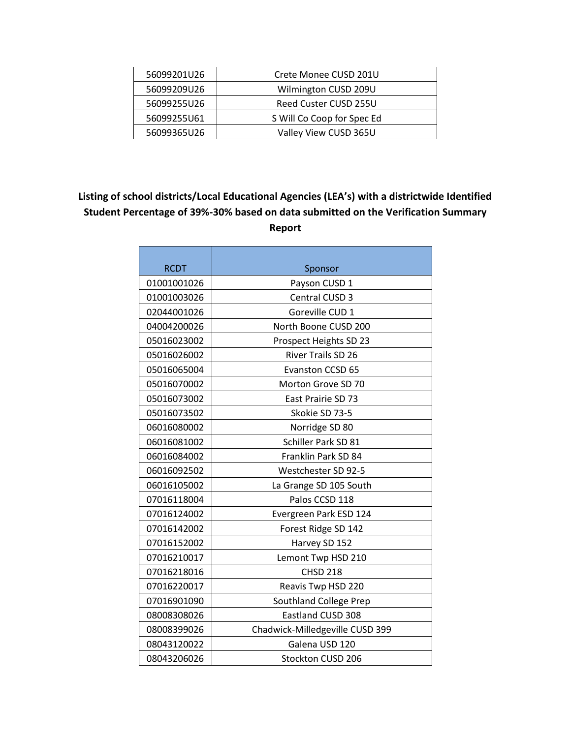## **Listing of school districts/Local Educational Agencies (LEA's) with a districtwide Identified Student Percentage of 39%-30% based on data submitted on the Verification Summary Report**

| <b>RCDT</b> |                                 |
|-------------|---------------------------------|
| 01001001026 | Sponsor<br>Payson CUSD 1        |
| 01001003026 | Central CUSD 3                  |
| 02044001026 | Goreville CUD 1                 |
| 04004200026 | North Boone CUSD 200            |
|             |                                 |
| 05016023002 | Prospect Heights SD 23          |
| 05016026002 | River Trails SD 26              |
| 05016065004 | Evanston CCSD 65                |
| 05016070002 | Morton Grove SD 70              |
| 05016073002 | East Prairie SD 73              |
| 05016073502 | Skokie SD 73-5                  |
| 06016080002 | Norridge SD 80                  |
| 06016081002 | Schiller Park SD 81             |
| 06016084002 | Franklin Park SD 84             |
| 06016092502 | Westchester SD 92-5             |
| 06016105002 | La Grange SD 105 South          |
| 07016118004 | Palos CCSD 118                  |
| 07016124002 | Evergreen Park ESD 124          |
| 07016142002 | Forest Ridge SD 142             |
| 07016152002 | Harvey SD 152                   |
| 07016210017 | Lemont Twp HSD 210              |
| 07016218016 | <b>CHSD 218</b>                 |
| 07016220017 | Reavis Twp HSD 220              |
| 07016901090 | <b>Southland College Prep</b>   |
| 08008308026 | Eastland CUSD 308               |
| 08008399026 | Chadwick-Milledgeville CUSD 399 |
| 08043120022 | Galena USD 120                  |
| 08043206026 | Stockton CUSD 206               |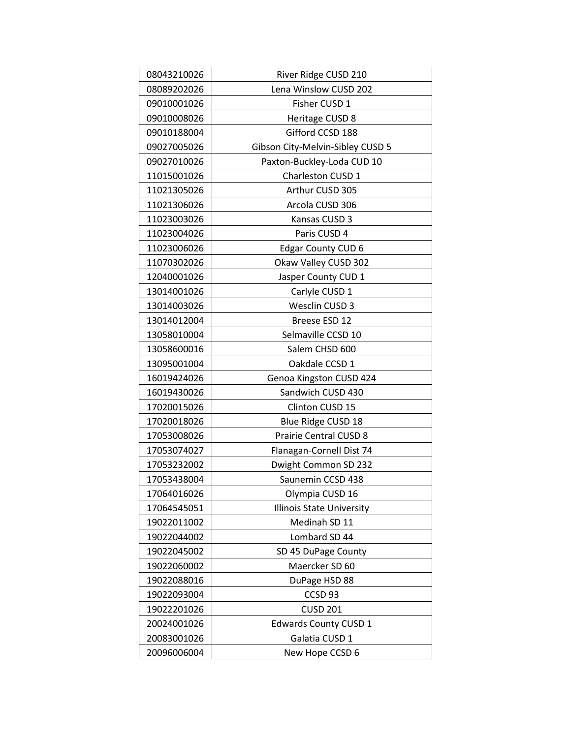| 08043210026 | River Ridge CUSD 210             |
|-------------|----------------------------------|
| 08089202026 | Lena Winslow CUSD 202            |
| 09010001026 | Fisher CUSD 1                    |
| 09010008026 | Heritage CUSD 8                  |
| 09010188004 | Gifford CCSD 188                 |
| 09027005026 | Gibson City-Melvin-Sibley CUSD 5 |
| 09027010026 | Paxton-Buckley-Loda CUD 10       |
| 11015001026 | Charleston CUSD 1                |
| 11021305026 | Arthur CUSD 305                  |
| 11021306026 | Arcola CUSD 306                  |
| 11023003026 | Kansas CUSD 3                    |
| 11023004026 | Paris CUSD 4                     |
| 11023006026 | <b>Edgar County CUD 6</b>        |
| 11070302026 | Okaw Valley CUSD 302             |
| 12040001026 | Jasper County CUD 1              |
| 13014001026 | Carlyle CUSD 1                   |
| 13014003026 | Wesclin CUSD 3                   |
| 13014012004 | Breese ESD 12                    |
| 13058010004 | Selmaville CCSD 10               |
| 13058600016 | Salem CHSD 600                   |
| 13095001004 | Oakdale CCSD 1                   |
| 16019424026 | Genoa Kingston CUSD 424          |
| 16019430026 | Sandwich CUSD 430                |
| 17020015026 | Clinton CUSD 15                  |
| 17020018026 | Blue Ridge CUSD 18               |
| 17053008026 | Prairie Central CUSD 8           |
| 17053074027 | Flanagan-Cornell Dist 74         |
| 17053232002 | Dwight Common SD 232             |
| 17053438004 | Saunemin CCSD 438                |
| 17064016026 | Olympia CUSD 16                  |
| 17064545051 | <b>Illinois State University</b> |
| 19022011002 | Medinah SD 11                    |
| 19022044002 | Lombard SD 44                    |
| 19022045002 | SD 45 DuPage County              |
| 19022060002 | Maercker SD 60                   |
| 19022088016 | DuPage HSD 88                    |
| 19022093004 | CCSD <sub>93</sub>               |
| 19022201026 | <b>CUSD 201</b>                  |
| 20024001026 | <b>Edwards County CUSD 1</b>     |
| 20083001026 | Galatia CUSD 1                   |
| 20096006004 | New Hope CCSD 6                  |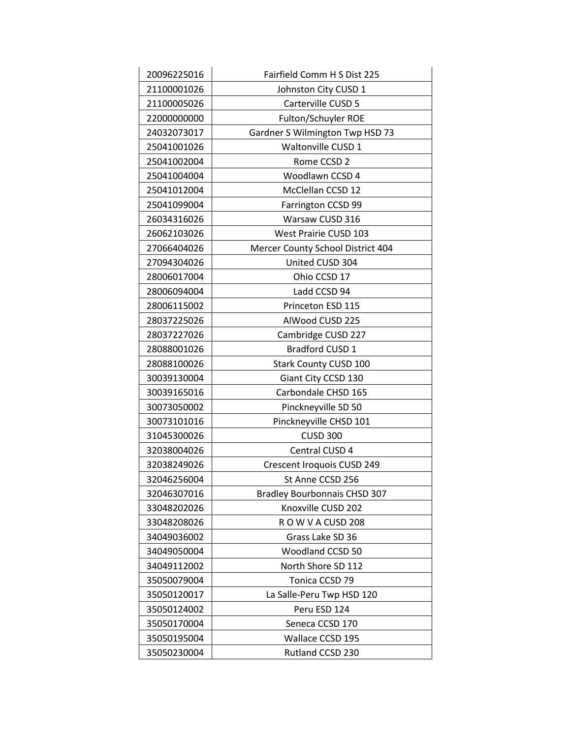| 20096225016 | Fairfield Comm H S Dist 225         |
|-------------|-------------------------------------|
| 21100001026 | Johnston City CUSD 1                |
| 21100005026 | Carterville CUSD 5                  |
| 22000000000 | Fulton/Schuyler ROE                 |
| 24032073017 | Gardner S Wilmington Twp HSD 73     |
| 25041001026 | Waltonville CUSD 1                  |
| 25041002004 | Rome CCSD 2                         |
| 25041004004 | Woodlawn CCSD 4                     |
| 25041012004 | McClellan CCSD 12                   |
| 25041099004 | Farrington CCSD 99                  |
| 26034316026 | Warsaw CUSD 316                     |
| 26062103026 | West Prairie CUSD 103               |
| 27066404026 | Mercer County School District 404   |
| 27094304026 | United CUSD 304                     |
| 28006017004 | Ohio CCSD 17                        |
| 28006094004 | Ladd CCSD 94                        |
| 28006115002 | Princeton ESD 115                   |
| 28037225026 | AlWood CUSD 225                     |
| 28037227026 | Cambridge CUSD 227                  |
| 28088001026 | Bradford CUSD 1                     |
| 28088100026 | <b>Stark County CUSD 100</b>        |
| 30039130004 | Giant City CCSD 130                 |
| 30039165016 | Carbondale CHSD 165                 |
| 30073050002 | Pinckneyville SD 50                 |
| 30073101016 | Pinckneyville CHSD 101              |
| 31045300026 | <b>CUSD 300</b>                     |
| 32038004026 | Central CUSD 4                      |
| 32038249026 | Crescent Iroquois CUSD 249          |
| 32046256004 | St Anne CCSD 256                    |
| 32046307016 | <b>Bradley Bourbonnais CHSD 307</b> |
| 33048202026 | Knoxville CUSD 202                  |
| 33048208026 | ROW VACUSD 208                      |
| 34049036002 | Grass Lake SD 36                    |
| 34049050004 | <b>Woodland CCSD 50</b>             |
| 34049112002 | North Shore SD 112                  |
| 35050079004 | Tonica CCSD 79                      |
| 35050120017 | La Salle-Peru Twp HSD 120           |
| 35050124002 | Peru ESD 124                        |
| 35050170004 | Seneca CCSD 170                     |
| 35050195004 | Wallace CCSD 195                    |
| 35050230004 | Rutland CCSD 230                    |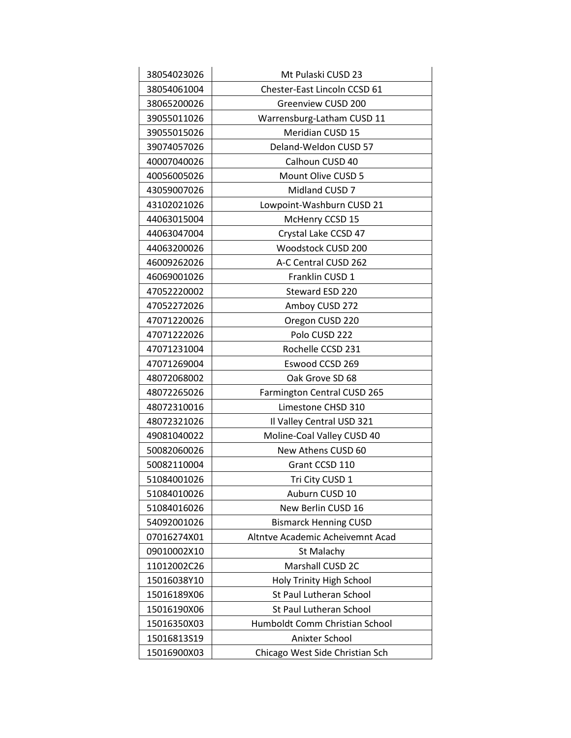| 38054023026 | Mt Pulaski CUSD 23               |
|-------------|----------------------------------|
| 38054061004 | Chester-East Lincoln CCSD 61     |
| 38065200026 | Greenview CUSD 200               |
| 39055011026 | Warrensburg-Latham CUSD 11       |
| 39055015026 | Meridian CUSD 15                 |
| 39074057026 | Deland-Weldon CUSD 57            |
| 40007040026 | Calhoun CUSD 40                  |
| 40056005026 | Mount Olive CUSD 5               |
| 43059007026 | Midland CUSD 7                   |
| 43102021026 | Lowpoint-Washburn CUSD 21        |
| 44063015004 | McHenry CCSD 15                  |
| 44063047004 | Crystal Lake CCSD 47             |
| 44063200026 | Woodstock CUSD 200               |
| 46009262026 | A-C Central CUSD 262             |
| 46069001026 | Franklin CUSD 1                  |
| 47052220002 | Steward ESD 220                  |
| 47052272026 | Amboy CUSD 272                   |
| 47071220026 | Oregon CUSD 220                  |
| 47071222026 | Polo CUSD 222                    |
| 47071231004 | Rochelle CCSD 231                |
| 47071269004 | Eswood CCSD 269                  |
| 48072068002 | Oak Grove SD 68                  |
| 48072265026 | Farmington Central CUSD 265      |
| 48072310016 | Limestone CHSD 310               |
| 48072321026 | Il Valley Central USD 321        |
| 49081040022 | Moline-Coal Valley CUSD 40       |
| 50082060026 | New Athens CUSD 60               |
| 50082110004 | Grant CCSD 110                   |
| 51084001026 | Tri City CUSD 1                  |
| 51084010026 | Auburn CUSD 10                   |
| 51084016026 | New Berlin CUSD 16               |
| 54092001026 | <b>Bismarck Henning CUSD</b>     |
| 07016274X01 | Altntve Academic Acheivemnt Acad |
| 09010002X10 | St Malachy                       |
| 11012002C26 | Marshall CUSD 2C                 |
| 15016038Y10 | Holy Trinity High School         |
| 15016189X06 | St Paul Lutheran School          |
| 15016190X06 | St Paul Lutheran School          |
| 15016350X03 | Humboldt Comm Christian School   |
| 15016813S19 | Anixter School                   |
| 15016900X03 | Chicago West Side Christian Sch  |